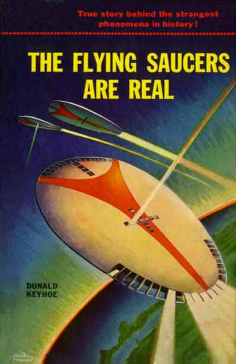The Daily Grain and *10 Million and 1* 

# **THE FLYING SAUCERS ARE REAL**

**MARTIN** 

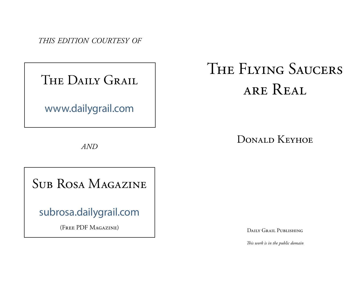*THIS EDITION COURTESY OF*

## THE DAILY GRAIL

www.dailygrail.com

*AND*

# THE FLYING SAUCERS ARE REAL

## DONALD KEYHOE

# SUB ROSA MAGAZINE

subrosa.dailygrail.com

(FREE PDF MAGAZINE)

DAILY GRAIL PUBLISHING

*This work is in the public domain*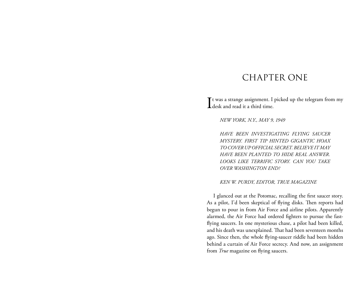## CHAPTER ONE

It was a strange assignment. I picked up the telegram from my desk and read it a third time. **L** desk and read it a third time.

*NEW YORK, N.Y., MAY 9, 1949* 

*HAVE BEEN INVESTIGATING FLYING SAUCER MYSTERY. FIRST TIP HINTED GIGANTIC HOAX TO COVER UP OFFICIAL SECRET. BELIEVE IT MAY HAVE BEEN PLANTED TO HIDE REAL ANSWER. LOOKS LIKE TERRIFIC STORY. CAN YOU TAKE OVER WASHINGTON END?* 

#### *KEN W. PURDY, EDITOR, TRUE MAGAZINE*

I glanced out at the Potomac, recalling the first saucer story. As a pilot, I'd been skeptical of flying disks. Then reports had begun to pour in from Air Force and airline pilots. Apparently alarmed, the Air Force had ordered fighters to pursue the fastflying saucers. In one mysterious chase, a pilot had been killed, and his death was unexplained. That had been seventeen months ago. Since then, the whole flying-saucer riddle had been hidden behind a curtain of Air Force secrecy. And now, an assignment from *True* magazine on flying saucers.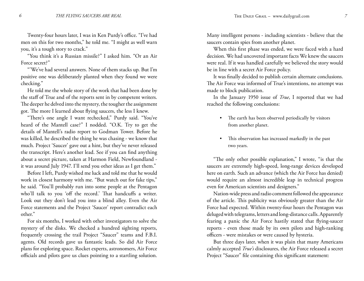Twenty-four hours later, I was in Ken Purdy's office. "I've had men on this for two months," he told me. "I might as well warn you, it's a tough story to crack."

"You think it's a Russian missile?" I asked him. "Or an Air Force secret?"

"'We've had several answers. None of them stacks up. But I'm positive one was deliberately planted when they found we were checking."

He told me the whole story of the work that had been done by the staff of True and of the reports sent in by competent writers. The deeper he delved into the mystery, the tougher the assignment got. The more I learned about flying saucers, the less I knew.

"There's one angle I want rechecked," Purdy said. "You've heard of the Mantell case?" I nodded. "O.K. Try to get the details of Mantell's radio report to Godman Tower. Before he was killed, he described the thing he was chasing - we know that much. Project 'Saucer' gave out a hint, but they've never released the transcript. Here's another lead. See if you can find anything about a secret picture, taken at Harmon Field, Newfoundland it was around July 1947. I'll send you other ideas as I get them."

Before I left, Purdy wished me luck and told me that he would work in closest harmony with me. "But watch out for fake tips," he said. "You'll probably run into some people at the Pentagon who'll talk to you 'off the record.' That handcuffs a writer. Look out they don't lead you into a blind alley. Even the Air Force statements and the Project 'Saucer' report contradict each other."

For six months, I worked with other investigators to solve the mystery of the disks. We checked a hundred sighting reports, frequently crossing the trail Project "Saucer" teams and F.B.I. agents. Old records gave us fantastic leads. So did Air Force plans for exploring space. Rocket experts, astronomers, Air Force officials and pilots gave us clues pointing to a startling solution.

Many intelligent persons - including scientists - believe that the saucers contain spies from another planet.

When this first phase was ended, we were faced with a hard decision. We had uncovered important facts We knew the saucers were real. If it was handled carefully we believed the story would be in line with a secret Air Force policy.

It was finally decided to publish certain alternate conclusions. The Air Force was informed of True's intentions, no attempt was made to block publication.

In the January 1950 issue of *True*, I reported that we had reached the following conclusions:

- The earth has been observed periodically by visitors from another planet.
- This observation has increased markedly in the past two years. •

"The only other possible explanation," I wrote, "is that the saucers are extremely high-speed, long-range devices developed here on earth. Such an advance (which the Air Force has denied) would require an almost incredible leap in technical progress even for American scientists and designers."

Nation-wide press and radio comment followed the appearance of the article. This publicity was obviously greater than the Air Force had expected. Within twenty-four hours the Pentagon was deluged with telegrams, letters and long-distance calls. Apparently fearing a panic the Air Force hastily stated that flying-saucer reports - even those made by its own pilots and high-ranking officers - were mistakes or were caused by hysteria.

But three days later, when it was plain that many Americans calmly accepted *True's* disclosures, the Air Force released a secret Project "Saucer" file containing this significant statement: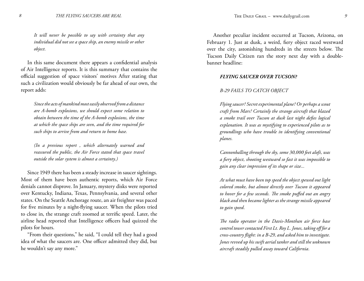*It will never be possible to say with certainty that any individual did not see a space ship, an enemy missile or other object.*

In this same document there appears a confidential analysis of Air Intelligence reports. It is this summary that contains the official suggestion of space visitors' motives After stating that such a civilization would obviously be far ahead of our own, the report adds:

*Since the acts of mankind most easily observed from a distance are A-bomb explosions, we should expect some relation to obtain between the time of the A-bomb explosions, the time at which the space ships are seen, and the time required for such ships to arrive from and return to home base.*

*(In a previous report , which alternately warned and reassured the public, the Air Force stated that space travel outside the solar system is almost a certainty.)*

Since 1949 there has been a steady increase in saucer sightings. Most of them have been authentic reports, which Air Force denials cannot disprove. In January, mystery disks were reported over Kentucky, Indiana, Texas, Pennsylvania, and several other states. On the Seattle Anchorage route, an air freighter was paced for five minutes by a night-flying saucer. When the pilots tried to close in, the strange craft zoomed at terrific speed. Later, the airline head reported that Intelligence officers had quizzed the pilots for hours.

"From their questions," he said, "I could tell they had a good idea of what the saucers are. One officer admitted they did, but he wouldn't say any more."

Another peculiar incident occurred at Tucson, Arizona, on February 1. Just at dusk, a weird, fiery object raced westward over the city, astonishing hundreds in the streets below. The Tucson Daily Citizen ran the story next day with a doublebanner headline:

#### *FLYING SAUCER OVER TUCSON?*

#### *B-29 FAILS TO CATCH OBJECT*

*Flying saucer? Secret experimental plane? Or perhaps a scout craft from Mars? Certainly the strange aircraft that blazed a smoke trail over Tucson at dusk last night defies logical explanation. It was as mystifying to experienced pilots as to groundlings who have trouble in identifying conventional planes.*

*Cannonballing through the sky, some 30,000 feet aloft, was a fiery object, shooting westward so fast it was impossible to gain any clear impression of its shape or size...*

*At what must have been top speed the object spewed out light colored smoke, but almost directly over Tucson it appeared to hover for a few seconds. The smoke puffed out an angry black and then became lighter as the strange missile appeared to gain speed.*

*The radio operator in the Davis-Monthan air force base control tower contacted First Lt. Roy L. Jones, taking off for a cross-country flight: in a B-29, and asked him to investigate. Jones revved up his swift aerial tanker and still the unknown aircraft steadily pulled away toward California.*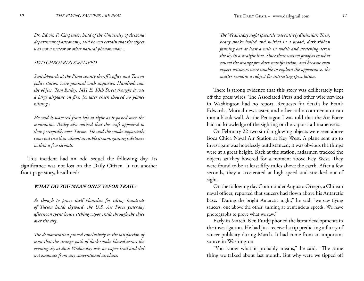*Dr. Edwin F. Carpenter, head of the University of Arizona department of astronomy, said he was certain that the object was not a meteor or other natural phenomenon...*

#### *SWITCHBOARDS SWAMPED*

*Switchboards at the Pima county sheriff's office and Tucson police station were jammed with inquiries. Hundreds saw the object. Tom Bailey, 1411 E. 10th Street thought it was a large airplane on fire. [A later check showed no planes missing.)*

*He said it wavered from left to right as it passed over the mountains. Bailey also noticed that the craft appeared to slow perceptibly over Tucson. He said the smoke apparently came out in a thin, almost invisible stream, gaining substance within a few seconds.*

This incident had an odd sequel the following day. Its significance was not lost on the Daily Citizen. It ran another front-page story, headlined:

#### *WHAT DO YOU MEAN ONLY VAPOR TRAIL?*

*As though to prove itself blameless for tilting hundreds of Tucson heads skyward, the U.S. Air Force yesterday afternoon spent hours etching vapor trails through the skies over the city.*

*The demonstration proved conclusively to the satisfaction of most that the strange path of dark smoke blazed across the evening sky at dusk Wednesday was no vapor trail and did not emanate from any conventional airplane.*

*The Wednesday night spectacle was entirely dissimilar. Then, heavy smoke boiled and swirled in a broad, dark ribbon fanning out at least a mile in width and stretching across the sky in a straight line. Since there was no proof as to what caused the strange pre-dark manifestation, and because even expert witnesses were unable to explain the appearance, the matter remains a subject for interesting speculation.*

There is strong evidence that this story was deliberately kept off the press wires. The Associated Press and other wire services in Washington had no report. Requests for details by Frank Edwards, Mutual newscaster, and other radio commentator ran into a blank wall. At the Pentagon I was told that the Air Force had no knowledge of the sighting or the vapor-trail maneuvers.

On February 22 two similar glowing objects were seen above Boca Chica Naval Air Station at Key West. A plane sent up to investigate was hopelessly outdistanced; it was obvious the things were at a great height. Back at the station, radarmen tracked the objects as they hovered for a moment above Key West. They were found to be at least fifty miles above the earth. After a few seconds, they a accelerated at high speed and streaked out of sight.

On the following day Commander Augusto Orrego, a Chilean naval officer, reported that saucers had flown above his Antarctic base. "During the bright Antarctic night," he said, "we saw flying saucers, one above the other, turning at tremendous speeds. We have photographs to prove what we saw."

Early in March, Ken Purdy phoned the latest developments in the investigation. He had just received a tip predicting a flurry of saucer publicity during March. It had come from an important source in Washington.

"You know what it probably means," he said. "The same thing we talked about last month. But why were we tipped off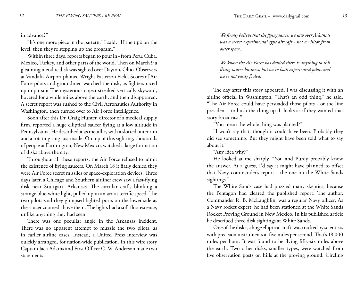#### in advance?"

"It's one more piece in the pattern," I said. "If the tip's on the level, then they're stepping up the program."

Within three days, reports began to pour in - from Peru, Cuba, Mexico, Turkey, and other parts of the world. Then on March 9 a gleaming metallic disk was sighted over Dayton, Ohio. Observers at Vandalia Airport phoned Wright Patterson Field. Scores of Air Force pilots and groundmen watched the disk, as fighters raced up in pursuit The mysterious object streaked vertically skyward, hovered for a while miles above the earth, and then disappeared. A secret report was rushed to the Civil Aeronautics Authority in Washington, then turned over to Air Force Intelligence.

Soon after this Dr. Craig Hunter, director of a medical supply firm, reported a huge elliptical saucer flying at a low altitude in Pennsylvania. He described it as metallic, with a slotted outer rim and a rotating ring just inside. On top of this sighting, thousands of people at Farmington, New Mexico, watched a large formation of disks above the city.

Throughout all these reports, the Air Force refused to admit the existence of flying saucers. On March 18 it flatly denied they were Air Force secret missiles or space-exploration devices. Three days later, a Chicago and Southern airliner crew saw a fast-flying disk near Stuttgart, Arkansas. The circular craft, blinking a strange blue-white light, pulled up in an arc at terrific speed. The two pilots said they glimpsed lighted ports on the lower side as the saucer zoomed above them. The lights had a soft fluorescence, unlike anything they had seen.

There was one peculiar angle in the Arkansas incident. There was no apparent attempt to muzzle the two pilots, as in earlier airline cases. Instead, a United Press interview was quickly arranged, for nation-wide publication. In this wire story Captain Jack Adams and First Officer C. W. Anderson made two statements:

*We firmly believe that the flying saucer we saw over Arkansas was a secret experimental type aircraft - not a visitor from outer space...*

*We know the Air Force has denied there is anything to this flying-saucer business, but we're both experienced pilots and we're not easily fooled.*

The day after this story appeared, I was discussing it with an airline official in Washington. "That's an odd thing," he said. "The Air Force could have persuaded those pilots - or the line president - to hush the thing up. It looks as if they wanted that story broadcast."

"You mean the whole thing was planted?"

"I won't say that, though it could have been. Probably they did see something. But they might have been told what to say about it."

"Any idea why?"

He looked at me sharply. "You and Purdy probably know the answer. At a guess, I'd say it might have planned to offset that Navy commander's report - the one on the White Sands sightings."

The White Sands case had puzzled many skeptics, because the Pentagon had cleared the published report. The author, Commander R. B. McLaughlin, was a regular Navy officer. As a Navy rocket expert, he had been stationed at the White Sands Rocket Proving Ground in New Mexico. In his published article he described three disk sightings at White Sands.

One of the disks, a huge elliptical craft, was tracked by scientists with precision instruments at five miles per second. That's 18,000 miles per hour. It was found to be flying fifty-six miles above the earth. Two other disks, smaller types, were watched from five observation posts on hills at the proving ground. Circling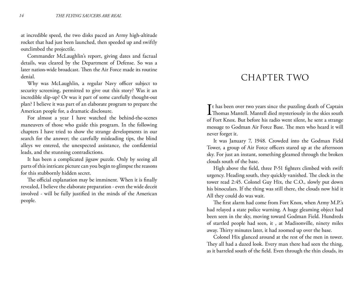at incredible speed, the two disks paced an Army high-altitude rocket that had just been launched, then speeded up and swiftly outclimbed the projectile.

Commander McLaughlin's report, giving dates and factual details, was cleared by the Department of Defense. So was a later nation-wide broadcast. Then the Air Force made its routine denial.

Why was McLaughlin, a regular Navy officer subject to security screening, permitted to give out this story? Was it an incredible slip-up? Or was it part of some carefully thought-out plan? I believe it was part of an elaborate program to prepare the American people for, a dramatic disclosure.

For almost a year I have watched the behind-the-scenes maneuvers of those who guide this program. In the following chapters I have tried to show the strange developments in our search for the answer; the carefully misleading tips, the blind alleys we entered, the unexpected assistance, the confidential leads, and the stunning contradictions.

It has been a complicated jigsaw puzzle. Only by seeing all parts of this intricate picture can you begin to glimpse the reasons for this stubbornly hidden secret.

The official explanation may be imminent. When it is finally revealed, I believe the elaborate preparation - even the wide deceit involved - will be fully justified in the minds of the American people.

## CHAPTER TWO

It has been over two years since the puzzling death of Captain<br>Thomas Mantell. Mantell died mysteriously in the skies south  $\mathbf{T}$ t has been over two years since the puzzling death of Captain of Fort Knox. But before his radio went silent, he sent a strange message to Godman Air Force Base. The men who heard it will never forget it.

It was January 7, 1948. Crowded into the Godman Field Tower, a group of Air Force officers stared up at the afternoon sky. For just an instant, something gleamed through the broken clouds south of the base.

High above the field, three P-51 fighters climbed with swift urgency. Heading south, they quickly vanished. The clock in the tower read 2:45. Colonel Guy Hix, the C.O., slowly put down his binoculars. If the thing was still there, the clouds now hid it All they could do was wait.

The first alarm had come from Fort Knox, when Army M.P.'s had relayed a state police warning. A huge gleaming object had been seen in the sky, moving toward Godman Field. Hundreds of startled people had seen, it , at Madisonville, ninety miles away. Thirty minutes later, it had zoomed up over the base.

Colonel Hix glanced around at the rest of the men in tower. They all had a dazed look. Every man there had seen the thing, as it barreled south of the field. Even through the thin clouds, its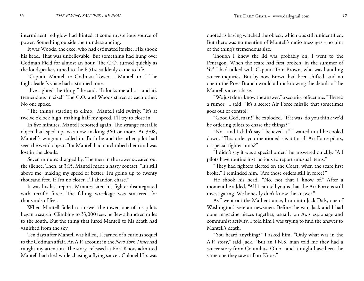intermittent red glow had hinted at some mysterious source of power. Something outside their understanding.

It was Woods, the exec, who had estimated its size. Hix shook his head. That was unbelievable. But something had hung over Godman Field for almost an hour. The C.O. turned quickly as the loudspeaker, tuned to the P-51's, suddenly came to life.

"Captain Mantell to Godman Tower ... Mantell to..." The flight leader's voice had a strained tone.

"I've sighted the thing!" he said. "It looks metallic – and it's tremendous in size!" The C.O. and Woods stared at each other. No one spoke.

"The thing's starting to climb," Mantell said swiftly. "It's at twelve o'clock high, making half my speed. I'll try to close in."

In five minutes, Mantell reported again. The strange metallic object had sped up, was now making 360 or more. At 3:08, Mantell's wingman called in. Both he and the other pilot had seen the weird object. But Mantell had outclimbed them and was lost in the clouds.

Seven minutes dragged by. The men in the tower sweated out the silence. Then, at 3:15, Mantell made a hasty contact. "It's still above me, making my speed or better. I'm going up to twenty thousand feet. If I'm no closer, I'll abandon chase."

It was his last report. Minutes later, his fighter disintegrated with terrific force. The falling wreckage was scattered for thousands of feet.

When Mantell failed to answer the tower, one of his pilots began a search. Climbing to 33,000 feet, he flew a hundred miles to the south. But the thing that lured Mantell to his death had vanished from the sky.

Ten days after Mantell was killed, I learned of a curious sequel to the Godman affair. An A.P. account in the *New York Times* had caught my attention. The story, released at Fort Knox, admitted Mantell had died while chasing a flying saucer. Colonel Hix was

quoted as having watched the object, which was still unidentified. But there was no mention of Mantell's radio messages - no hint of the thing's tremendous size.

Though I knew the lid was probably on, I went to the Pentagon. When the scare had first broken, in the summer of '47' I had talked with Captain Tom Brown, who was handling saucer inquiries. But by now Brown had been shifted, and no one in the Press Branch would admit knowing the details of the Mantell saucer chase.

"We just don't know the answer," a security officer me. "There's a rumor," I said, "it's a secret Air Force missile that sometimes goes out of control."

"Good God, man!" he exploded. "If it was, do you think we'd be ordering pilots to chase the things?"

"No - and I didn't say I believed it." I waited until he cooled down. "This order you mentioned - is it for all Air Force pilots, or special fighter units?"

"I didn't say it was a special order," he answered quickly. "All pilots have routine instructions to report unusual items."

"They had fighters alerted on the Coast, when the scare first broke," I reminded him. "Are those orders still in force?"

He shook his head. "No, not that I know of." After a moment he added, "All I can tell you is that the Air Force is still investigating. We honestly don't know the answer."

As I went out the Mall entrance, I ran into Jack Daly, one of Washington's veteran newsmen. Before the war, Jack and I had done magazine pieces together, usually on Axis espionage and communist activity. I told him I was trying to find the answer to Mantell's death.

"You heard anything?" I asked him. "Only what was in the A.P. story," said Jack. "But an I.N.S. man told me they had a saucer story from Columbus, Ohio - and it might have been the same one they saw at Fort Knox."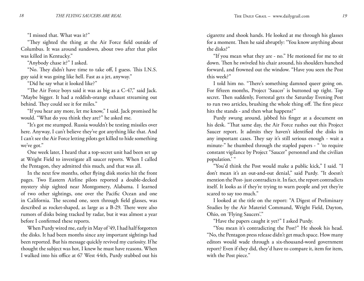"I missed that. What was it?"

"They sighted the thing at the Air Force field outside of Columbus. It was around sundown, about two after that pilot was killed in Kentucky."

"Anybody chase it?" I asked.

"No. They didn't have time to take off, I guess. This I.N.S. guy said it was going like hell. Fast as a jet, anyway."

"Did he say what it looked like?"

"The Air Force boys said it was as big as a C-47," said Jack. "Maybe bigger. It had a reddish-orange exhaust streaming out behind. They could see it for miles."

"If you hear any more, let me know," I said. Jack promised he would. "What do you think they are?" he asked me.

"It's got me stumped. Russia wouldn't be testing missiles over here. Anyway, I can't believe they've got anything like that. And I can't see the Air Force letting pilots get killed to hide something we've got."

One week later, I heard that a top-secret unit had been set up at Wright Field to investigate all saucer reports. When I called the Pentagon, they admitted this much, and that was all.

In the next few months, other flying disk stories hit the front pages. Two Eastern Airline pilots reported a double-decked mystery ship sighted near Montgomery, Alabama. I learned of two other sightings, one over the Pacific Ocean and one in California. The second one, seen through field glasses, was described as rocket-shaped, as large as a B-29. There were also rumors of disks being tracked by radar, but it was almost a year before I confirmed these reports.

When Purdy wired me, early in May of '49, I had half forgotten the disks. It had been months since any important sightings had been reported. But his message quickly revived my curiosity. If he thought the subject was hot, I knew he must have reasons. When I walked into his office at 67 West 44th, Purdy stubbed out his cigarette and shook hands. He looked at me through his glasses for a moment. Then he said abruptly: "You know anything about the disks?"

"If you mean what they are - no." He motioned for me to sit down. Then he swiveled his chair around, his shoulders hunched forward, and frowned out the window. "Have you seen the Post this week?"

I told him no. "There's something damned queer going on. For fifteen months, Project 'Saucer' is buttoned up tight. Top secret. Then suddenly, Forrestal gets the Saturday Evening Post to run two articles, brushing the whole thing off. The first piece hits the stands - and then what happens?"

Purdy swung around, jabbed his finger at a document on his desk. "That same day, the Air Force rushes out this Project Saucer report. It admits they haven't identified the disks in any important cases. They say it's still serious enough - wait a minute-" he thumbed through the stapled papers - " 'to require constant vigilance by Project "Saucer" personnel and the civilian population.' "

"You'd think the Post would make a public kick," I said. "I don't mean it's an out-and-out denial," said Purdy. "It doesn't mention the Post- just contradicts it. In fact, the report contradicts itself. It looks as if they're trying to warn people and yet they're scared to say too much."

I looked at the title on the report: "A Digest of Preliminary Studies by the Air Materiel Command, Wright Field, Dayton, Ohio, on 'Flying Saucers'."

"Have the papers caught it yet?" I asked Purdy.

"You mean it's contradicting the Post?" He shook his head. "No, the Pentagon press release didn't get much space. How many editors would wade through a six-thousand-word government report? Even if they did, they'd have to compare it, item for item, with the Post piece."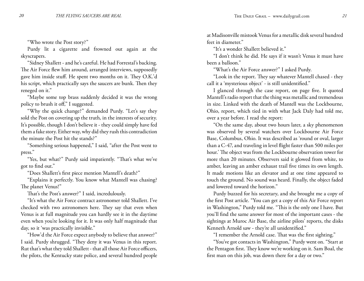"Who wrote the Post story?"

Purdy lit a cigarette and frowned out again at the skyscrapers.

"Sidney Shallett - and he's careful. He had Forrestal's backing. The Air Force flew him around, arranged interviews, supposedly gave him inside stuff. He spent two months on it. They O.K.'d his script, which practically says the saucers are bunk. Then they reneged on it."

"Maybe some top brass suddenly decided it was the wrong policy to brush it off," I suggested.

"Why the quick change?" demanded Purdy. "Let's say they sold the Post on covering up the truth, in the interests of security. It's possible, though I don't believe it - they could simply have fed them a fake story. Either way, why did they rush this contradiction the minute the Post hit the stands?"

"Something serious happened," I said, "after the Post went to press."

"Yes, but what?" Purdy said impatiently. "That's what we've got to find out."

"Does Shallett's first piece mention Mantell's death?"

"Explains it perfectly. You know what Mantell was chasing? The planet Venus!"

That's the Post's answer?" I said, incredulously.

"It's what the Air Force contract astronomer told Shallett. I've checked with two astronomers here. They say that even when Venus is at full magnitude you can hardly see it in the daytime even when you're looking for it. It was only half magnitude that day, so it 'was practically invisible."

"How'd the Air Force expect anybody to believe that answer?" I said. Purdy shrugged. "They deny it was Venus in this report. Rut that's what they told Shallett - that all those Air Force officers, the pilots, the Kentucky state police, and several hundred people at Madisonville mistook Venus for a metallic disk several hundred feet in diameter."

"It's a wonder Shallett believed it."

"I don't think he did. He says if it wasn't Venus it must have been a balloon."

"What's the Air Force answer?" I asked Purdy.

"Look in the report. They say whatever Mantell chased - they call it a 'mysterious object' - is still unidentified."

I glanced through the case report, on page five. It quoted Mantell's radio report that the thing was metallic and tremendous in size. Linked with the death of Mantell was the Lockbourne, Ohio, report, which tied in with what Jack Daly had told me, over a year before. I read the report:

"On the same day, about two hours later, a sky phenomenon was observed by several watchers over Lockbourne Air Force Base, Columbus, Ohio. It was described as 'round or oval, larger than a C-47, and traveling in level flight faster than 500 miles per hour.' The object was from the Lockbourne observation tower for more than 20 minutes. Observers said it glowed from white, to amber, leaving an amber exhaust trail five times its own length. It made motions like an elevator and at one time appeared to touch the ground. No sound was heard. Finally, the object faded and lowered toward the horizon."

Purdy buzzed for his secretary, and she brought me a copy of the first Post article. "You can get a copy of this Air Force report in Washington," Purdy told me. "This is the only one I have. But you'll find the same answer for most of the important cases - the sightings at Muroc Air Base, the airline pilots' reports, the disks Kenneth Arnold saw - they're all unidentified."

"I remember the Arnold case. That was the first sighting."

"You've got contacts in Washington," Purdy went on. "Start at the Pentagon first. They know we're working on it. Sam Boal, the first man on this job, was down there for a day or two."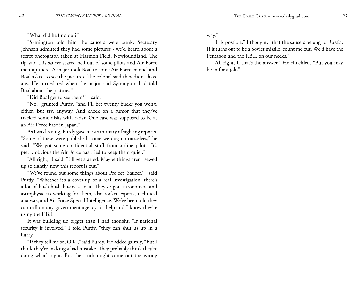"What did he find out?"

"Symington told him the saucers were bunk. Secretary Johnson admitted they had some pictures - we'd heard about a secret photograph taken at Harmon Field, Newfoundland. The tip said this saucer scared hell out of some pilots and Air Force men up there. A major took Boal to some Air Force colonel and Boal asked to see the pictures. The colonel said they didn't have any. He turned red when the major said Symington had told Boal about the pictures."

"Did Boal get to see them?" I said.

"No," grunted Purdy, "and I'll bet twenty bucks you won't, either. But try, anyway. And check on a rumor that they've tracked some disks with radar. One case was supposed to be at an Air Force base in Japan."

As I was leaving, Purdy gave me a summary of sighting reports. "Some of these were published, some we dug up ourselves," he said. "We got some confidential stuff from airline pilots, It's pretty obvious the Air Force has tried to keep them quiet."

"All right," I said. "I'll get started. Maybe things aren't sewed up so tightly, now this report is out."

"We've found out some things about Project 'Saucer,' " said Purdy. "Whether it's a cover-up or a real investigation, there's a lot of hush-hush business to it. They've got astronomers and astrophysicists working for them, also rocket experts, technical analysts, and Air Force Special Intelligence. We've been told they can call on any government agency for help and I know they're using the F.B.I."

It was building up bigger than I had thought. "If national security is involved," I told Purdy, "they can shut us up in a hurry."

"If they tell me so, O.K.," said Purdy. He added grimly, "But I think they're making a bad mistake. They probably think they're doing what's right. But the truth might come out the wrong

#### way."

"It is possible," I thought, "that the saucers belong to Russia. If it turns out to be a Soviet missile, count me out. We'd have the Pentagon and the F.B.I. on our necks."

"All right, if that's the answer." He chuckled. "But you may be in for a jolt."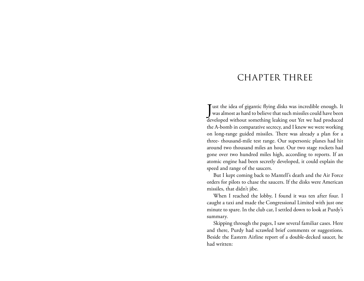## CHAPTER THREE

J ust the idea of gigantic flying disks was incredible enough. It was almost as hard to believe that such missiles could have been developed without something leaking out Yet we had produced the A-bomb in comparative secrecy, and I knew we were working on long-range guided missiles. There was already a plan for a three- thousand-mile test range. Our supersonic planes had hit around two thousand miles an hour. Our two stage rockets had gone over two hundred miles high, according to reports. If an atomic engine had been secretly developed, it could explain the speed and range of the saucers.

But I kept coming back to Mantell's death and the Air Force orders for pilots to chase the saucers. If the disks were American missiles, that didn't jibe.

When I reached the lobby, I found it was ten after four. I caught a taxi and made the Congressional Limited with just one minute to spare. In the club car, I settled down to look at Purdy's summary.

Skipping through the pages, I saw several familiar cases. Here and there, Purdy had scrawled brief comments or suggestions. Beside the Eastern Airline report of a double-decked saucer, he had written: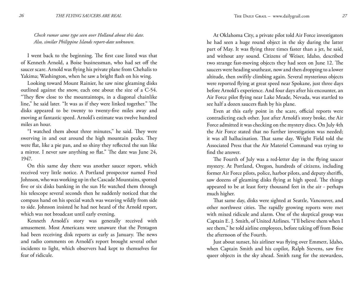*Check rumor same type seen over Holland about this date. Also, similar Philippine Islands report-date unknown.*

I went back to the beginning. The first case listed was that of Kenneth Arnold, a Boise businessman, who had set off the saucer scare. Arnold was flying his private plane from Chehalis to Yakima; Washington, when he saw a bright flash on his wing.

Looking toward Mount Rainier, he saw nine gleaming disks outlined against the snow, each one about the size of a C-54. "They flew close to the mountaintops, in a diagonal chainlike line," he said later. "It was as if they were linked together." The disks appeared to be twenty to twenty-five miles away and moving at fantastic speed. Arnold's estimate was twelve hundred miles an hour.

"I watched them about three minutes," he said. They were swerving in and out around the high mountain peaks. They were flat, like a pie pan, and so shiny they reflected the sun like a mirror. I never saw anything so flat." The date was June 24, 1947.

On this same day there was another saucer report, which received very little notice. A Portland prospector named Fred Johnson, who was working up in the Cascade Mountains, spotted five or six disks banking in the sun He watched them through his telescope several seconds then he suddenly noticed that the compass hand on his special watch was weaving wildly from side to side. Johnson insisted he had not heard of the Arnold report, which was not broadcast until early evening.

Kenneth Arnold's story was generally received with amusement. Most Americans were unaware that the Pentagon had been receiving disk reports as early as January. The news and radio comments on Arnold's report brought several other incidents to light, which observers had kept to themselves for fear of ridicule.

At Oklahoma City, a private pilot told Air Force investigators he had seen a huge round object in the sky during the latter part of May. It was flying three times faster than a jet, he said, and without any sound. Citizens of Weiser, Idaho, described two strange fast-moving objects they had seen on June 12. The saucers were heading southeast, now and then dropping to a lower altitude, then swiftly climbing again. Several mysterious objects were reported flying at great speed near Spokane, just three days before Arnold's experience. And four days after his encounter, an Air Force pilot flying near Lake Meade, Nevada, was startled to see half a dozen saucers flash by his plane.

Even at this early point in the scare, official reports were contradicting each other. Just after Arnold's story broke, the Air Force admitted it was checking on the mystery discs. On July 4th the Air Force stated that no further investigation was needed; it was all hallucination. That same day, Wright Field told the Associated Press that the Air Materiel Command was trying to find the answer.

The Fourth of July was a red-letter day in the flying saucer mystery. At Portland, Oregon, hundreds of citizens, including former Air Force pilots, police, harbor pilots, and deputy sheriffs, saw dozens of gleaming disks flying at high speed. The things appeared to be at least forty thousand feet in the air - perhaps much higher.

That same day, disks were sighted at Seattle, Vancouver, and other northwest cities. The rapidly growing reports were met with mixed ridicule and alarm. One of the skeptical group was Captain E. J. Smith, of United Airlines. "I'll believe them when I see them," he told airline employees, before taking off from Boise the afternoon of the Fourth.

Just about sunset, his airliner was flying over Emmett, Idaho, when Captain Smith and his copilot, Ralph Stevens, saw five queer objects in the sky ahead. Smith rang for the stewardess,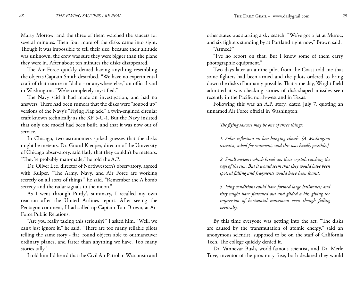Marty Morrow, and the three of them watched the saucers for several minutes. Then four more of the disks came into sight. Though it was impossible to tell their size, because their altitude was unknown, the crew was sure they were bigger than the plane they were in. After about ten minutes the disks disappeared.

The Air Force quickly denied having anything resembling the objects Captain Smith described. "We have no experimental craft of that nature in Idaho - or anywhere else," an official said in Washington. "We're completely mystified."

The Navy said it had made an investigation, and had no answers. There had been rumors that the disks were "souped up" versions of the Navy's "Flying Flapjack," a twin-engined circular craft known technically as the XF 5-U-1. But the Navy insisted that only one model had been built, and that it was now out of service.

In Chicago, two astronomers spiked guesses that the disks might be meteors. Dr. Girard Kieuper, director of the University of Chicago observatory, said flatly that they couldn't be meteors. "They're probably man-made," he told the A.P.

Dr. Oliver Lee, director of Northwestern's observatory, agreed with Kuiper. "The Army, Navy, and Air Force are working secretly on all sorts of things," he said. "Remember the A bomb secrecy-and the radar signals to the moon."

As I went through Purdy's summary, I recalled my own reaction after the United Airlines report. After seeing the Pentagon comment, I had called up Captain Tom Brown, at Air Force Public Relations.

"Are you really taking this seriously?" I asked him. "Well, we can't just ignore it," he said. "There are too many reliable pilots telling the same story - flat, round objects able to outmaneuver ordinary planes, and faster than anything we have. Too many stories tally."

I told him I'd heard that the Civil Air Patrol in Wisconsin and

other states was starting a sky search. "We've got a jet at Muroc, and six fighters standing by at Portland right now," Brown said. "Armed?"

"I've no report on that. But I know some of them carry photographic equipment."

Two days later an airline pilot from the Coast told me that some fighters had been armed and the pilots ordered to bring down the disks if humanly possible. That same day, Wright Field admitted it was checking stories of disk-shaped missiles seen recently in the Pacific north-west and in Texas.

Following this was an A.P. story, dated July 7, quoting an unnamed Air Force official in Washington:

*The flying saucers may be one of three things:*

*1. Solar reflection on low-hanging clouds. [A Washington scientist, asked for comment, said this was hardly possible.]*

*2. Small meteors which break up, their crystals catching the rays of the sun. But it would seem that they would have been spotted falling and fragments would have been found.*

*3. Icing conditions could have formed large hailstones; and they might have flattened out and glided a bit, giving the impression of horizontal movement even though falling vertically.*

By this time everyone was getting into the act. "The disks are caused by the transmutation of atomic energy." said an anonymous scientist, supposed to be on the staff of California Tech. The college quickly denied it.

Dr. Vannevar Bush, world-famous scientist, and Dr. Merle Tuve, inventor of the proximity fuse, both declared they would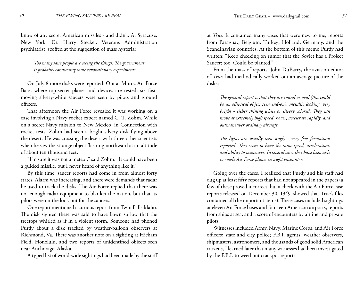know of any secret American missiles - and didn't. At Syracuse, New York, Dr. Harry Steckel, Veterans Administration psychiatrist, scoffed at the suggestion of mass hysteria:

*Too many sane people are seeing the things. The government is probably conducting some revolutionary experiments.*

On July 8 more disks were reported. Out at Muroc Air Force Base, where top-secret planes and devices are tested, six fastmoving silvery-white saucers were seen by pilots and ground officers.

That afternoon the Air Force revealed it was working on a case involving a Navy rocket expert named C. T. Zohm. While on a secret Navy mission to New Mexico, in Connection with rocket tests, Zohm had seen a bright silvery disk flying above the desert. He was crossing the desert with three other scientists when he saw the strange object flashing northward at an altitude of about ten thousand feet.

"I'm sure it was not a meteor," said Zohm. "It could have been a guided missile, but I never heard of anything like it."

By this time, saucer reports had come in from almost forty states. Alarm was increasing, and there were demands that radar be used to track the disks. The Air Force replied that there was not enough radar equipment to blanket the nation, but that its pilots were on the look out for the saucers.

One report mentioned a curious report from Twin Falls Idaho. The disk sighted there was said to have flown so low that the treetops whirled as if in a violent storm. Someone had phoned Purdy about a disk tracked by weather-balloon observers at Richmond, Va. There was another note on a sighting at Hickam Field, Honolulu, and two reports of unidentified objects seen near Anchorage, Alaska.

A typed list of world-wide sightings had been made by the staff

at *True*. It contained many cases that were new to me, reports from Paraguay, Belgium, Turkey; Holland, Germany, and the Scandinavian countries. At the bottom of this memo Purdy had written: "Keep checking on rumor that the Soviet has a Project Saucer; too. Could be planted."

From the mass of reports, John DuBarry, the aviation editor of *True*, had methodically worked out an average picture of the disks:

*The general report is that they are round or oval (this could be an elliptical object seen end-on), metallic looking, very bright - either shining white or silvery colored, They can move at extremely high speed, hover, accelerate rapidly, and outmaneuver ordinary aircraft.*

*The lights are usually seen singly - very few formations reported. They seem to have the same speed, acceleration, and ability to maneuver. In several cases they have been able to evade Air Force planes in night encounters.*

Going over the cases, I realized that Purdy and his staff had dug up at least fifty reports that had not appeared in the papers (a few of these proved incorrect, but a check with the Air Force case reports released on December 30, 1949, showed that True's files contained all the important items). These cases included sightings at eleven Air Force bases and fourteen American airports, reports from ships at sea, and a score of encounters by airline and private pilots.

Witnesses included Army, Navy, Marine Corps, and Air Force officers; state and city police; F.B.I. agents; weather observers, shipmasters, astronomers, and thousands of good solid American citizens, I learned later that many witnesses had been investigated by the F.B.I. to weed out crackpot reports.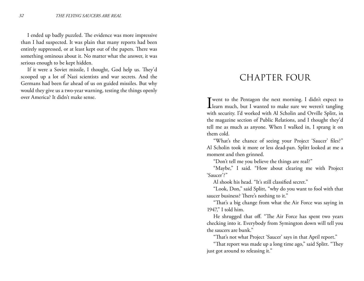I ended up badly puzzled. The evidence was more impressive than I had suspected. It was plain that many reports had been entirely suppressed, or at least kept out of the papers. There was something ominous about it. No matter what the answer, it was serious enough to be kept hidden.

If it were a Soviet missile, I thought, God help us. They'd scooped up a lot of Nazi scientists and war secrets. And the Germans had been far ahead of us on guided missiles. But why would they give us a two-year warning, testing the things openly over America? It didn't make sense.

## CHAPTER FOUR

I went to the Pentagon the next morning. I didn't expect to learn much, but I wanted to make sure we weren't tangling with security. I'd worked with Al Scholin and Orville Splitt, in the magazine section of Public Relations, and I thought they'd tell me as much as anyone. When I walked in, I sprang it on them cold.

"What's the chance of seeing your Project 'Saucer' files?" Al Scholin took it more or less dead-pan. Splitt looked at me a moment and then grinned.

"Don't tell me you believe the things are real?"

"Maybe," I said. "How about clearing me with Project 'Saucer'?"

Al shook his head. "It's still classified secret."

"Look, Don," said Splitt, "why do you want to fool with that saucer business? There's nothing to it."

"That's a big change from what the Air Force was saying in 1947," I told him.

He shrugged that off. "The Air Force has spent two years checking into it. Everybody from Symington down will tell you the saucers are bunk."

"That's not what Project 'Saucer' says in that April report."

"That report was made up a long time ago," said Splitt. "They just got around to releasing it."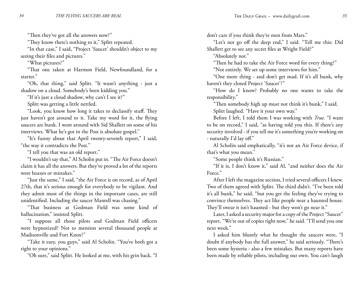"Then they've got all the answers now?"

"They know there's nothing to it," Splitt repeated.

"In that case," I said, "Project 'Saucer' shouldn't object to my seeing their files and pictures."

"What pictures?"

"That one taken at Harmon Field, Newfoundland, for a starter."

"Oh, that thing," said Splitt. "It wasn't anything - just a shadow on a cloud. Somebody's been kidding you."

"If it's just a cloud shadow, why can't I see it?"

Splitt was getting a little nettled.

"Look, you know how long it takes to declassify stuff. They just haven't got around to it. Take my word for it, the flying saucers are bunk. I went around with Sid Shallett on some of his interviews. What he's got in the Post is absolute gospel."

"It's funny about that April twenty-seventh report," I said, "the way it contradicts the Post."

"I tell you that was an old report."

"I wouldn't say that," Al Scholin put in. "The Air Force doesn't claim it has all the answers. But they've proved a lot of the reports were hoaxes or mistakes."

"Just the same," I said, "the Air Force is on record, as of April 27th, that it's serious enough for everybody to be vigilant. And they admit most of the things in the important cases, are still unidentified. Including the saucer Mantell was chasing."

"That business at Godman Field was some kind of hallucination," insisted Splitt.

"I suppose all those pilots and Godman Field officers were hypnotized? Not to mention several thousand people at Madisonville and Fort Knox?"

"Take it easy, you guys," said Al Scholin. "You've both got a right to your opinions."

"Oh sure," said Splitt. He looked at me, with his grin back. "I

don't care if you think they're men from Mars."

"Let's not go off the deep end," I said. "Tell me this: Did Shallett get to see any secret files at Wright Field?"

"Absolutely not."

"Then he had to take the Air Force word for every thing?"

"Not entirely. We set up some interviews for him."

"One more thing - and don't get mad. If it's all bunk, why haven't they closed Project 'Saucer'?"

"How do I know? Probably no one wants to take the responsibility."

"Then somebody high up must not think it's bunk," I said. Splitt laughed. "Have it your own way."

Before I left, I told them I was working with *True*. "I want to be on record," I said, "as having told you this. If there's any security involved - if you tell me it's something you're working on - naturally I'd lay off."

Al Scholin said emphatically, "it's not an Air Force device, if that's what you mean."

"Some people think it's Russian."

"If it is, I don't know it," said Al, "and neither does the Air Force."

After I left the magazine section, I tried several officers I knew. Two of them agreed with Splitt. The third didn't. "I've been told it's all bunk," he said, "but you get the feeling they've trying to convince themselves. They act like people near a haunted house. They'll swear it isn't haunted - but they won't go near it."

Later, I asked a security major for a copy of the Project "Saucer" report. "We're out of copies right now," he said. "I'll send you one next week."

I asked him bluntly what he thought the saucers were, "I doubt if anybody has the full answer," he said seriously. "There's been some hysteria - also a few mistakes. But many reports have been made by reliable pilots, including our own. You can't laugh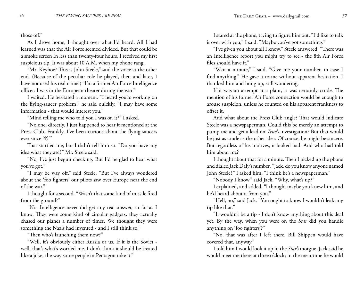those off."

As I drove home, I thought over what I'd heard. All I had learned was that the Air Force seemed divided. But that could be a smoke screen In less than twenty-four hours, I received my first suspicious tip. It was about 10 A.M, when my phone rang.

"Mr. Keyhoe? This is John Steele," said the voice at the other end. (Because of the peculiar role he played, then and later, I have not used his real name.) "I'm a former Air Force Intelligence officer. I was in the European theater during the war."

I waited. He hesitated a moment. "I heard you're working on the flying-saucer problem," he said quickly. "I may have some information - that would interest you."

"Mind telling me who told you I was on it?" I asked.

"No one, directly. I just happened to hear it mentioned at the Press Club. Frankly, I've been curious about the flying saucers ever since '45"'

That startled me, but I didn't tell him so. "Do you have any idea what they are?" Mr. Steele said.

"No, I've just begun checking. But I'd be glad to hear what you've got."

"I may be way off," said Steele. "But I've always wondered about the 'foo fighters' our pilots saw over Europe near the end of the war."

I thought for a second. "Wasn't that some kind of missile fired from the ground?"

"No. Intelligence never did get any real answer, so far as I know. They were some kind of circular gadgets, they actually chased our planes a number of times. We thought they were something the Nazis had invented - and I still think so."

"Then who's launching them now?"

"Well, it's obviously either Russia or us. If it is the Soviet well, that's what's worried me. I don't think it should be treated like a joke, the way some people in Pentagon take it."

I stared at the phone, trying to figure him out. "I'd like to talk it over with you," I said. "Maybe you've got something."

"I've given you about all I know," Steele answered. "There was an Intelligence report you might try to see - the 8th Air Force files should have it."

"Wait a minute," I said. "Give me your number, in case I find anything." He gave it to me without apparent hesitation. I thanked him and hung up, still wondering.

If it was an attempt at a plant, it was certainly crude. The mention of his former Air Force connection would be enough to arouse suspicion. unless he counted on his apparent frankness to offset it.

And what about the Press Club angle? That would indicate Steele was a newspaperman. Could this be merely an attempt to pump me and get a lead on *True's* investigation? But that would be just as crude as the other idea. Of course, he might be sincere. But regardless of his motives, it looked bad. And who had told him about me?

I thought about that for a minute. Then I picked up the phone and dialed Jack Daly's number. "Jack, do you know anyone named John Steele?" I asked him. "I think he's a newspaperman."

"Nobody I know," said Jack. "Why, what's up?"

I explained, and added, "I thought maybe you knew him, and he'd heard about it from you."

"Hell, no," said Jack. "You ought to know I wouldn't leak any tip like that."

"It wouldn't be a tip - I don't know anything about this deal yet. By the way, when you were on the *Star* did you handle anything on 'foo fighters'?"

"No, that was after I left there. Bill Shippen would have covered that, anyway."

I told him I would look it up in the *Star's* morgue. Jack said he would meet me there at three o'clock; in the meantime he would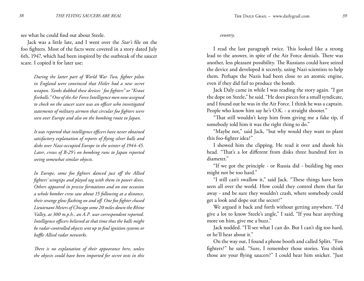see what he could find out about Steele.

Jack was a little late, and I went over the *Star's* file on the foo fighters. Most of the facts were covered in a story dated July 6th, 1947, which had been inspired by the outbreak of the saucer scare. I copied it for later use:

*During the latter part of World War Two, fighter pilots in England were convinced that Hitler had a new secret weapon. Yanks dubbed these devices ' foo fighters" or "Kraut fireballs." One of the Air Force Intelligence men now assigned to check on the saucer scare was an officer who investigated statements of military airmen that circular foo fighters were seen over Europe and also on the bombing route to Japan.*

*It was reported that intelligence officers have never obtained satisfactory explanation of reports of flying silver balls and disks over Nazi-occupied Europe in the winter of 1944-45. Later, crews of B-29's on bombing runs to Japan reported seeing somewhat similar objects.*

*In Europe, some foo fighters danced just off the Allied fighters' wingtips and played tag with them in power dives. Others appeared in precise formations and on one occasion a whole bomber crew saw about 15 following at a distance, their strange glow flashing on and off. One foo fighter chased Lieutenant Meiers of Chicago some 20 miles down the Rhine Valley, at 300 m.p.h., an A.P. war correspondent reported. Intelligence officers believed at that time that the balls might be radar-controlled objects sent up to foul ignition systems or baffle Allied radar networks.*

*There is no explanation of their appearance here, unless the objects could have been imported for secret tests in this* 

#### *country.*

I read the last paragraph twice. This looked like a strong lead to the answer, in spite of the Air Force denials. There was another, less pleasant possibility. The Russians could have seized the device and developed it secretly, using Nazi scientists to help them. Perhaps the Nazis had been close to an atomic engine, even if they did fail to produce the bomb.

Jack Daly came in while I was reading the story again. "I got the dope on Steele," he said. "He does pieces for a small syndicate, and I found out he was in the Air Force. I think he was a captain. People who know him say he's O.K. - a straight shooter."

"That still wouldn't keep him from giving me a fake tip, if somebody told him it was the right thing to do."

"Maybe not," said Jack, "but why would they want to plant this foo-fighter idea?"

I showed him the clipping. He read it over and shook his head. "That's a lot different from disks three hundred feet in diameter."

"If we got the principle - or Russia did - building big ones might not be too hard."

"I still can't swallow it," said Jack. "These things have been seen all over the world. How could they control them that far away - and be sure they wouldn't crash, where somebody could get a look and dope out the secret?"

We argued it back and forth without getting anywhere. "I'd give a lot to know Steele's angle," I said, "If you hear anything more on him, give me a buzz."

Jack nodded. "I'll see what I can do. But I can't dig too hard, or he'll hear about it."

On the way out, I found a phone booth and called Splitt. "Foo fighters?" he said. "Sure, I remember those stories. You think those are your flying saucers?" I could hear him snicker. "Just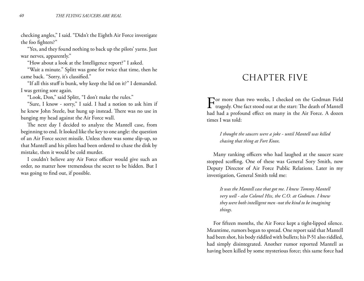checking angles," I said. "Didn't the Eighth Air Force investigate the foo fighters?"

"Yes, and they found nothing to back up the pilots' yarns. Just war nerves, apparently."

"How about a look at the Intelligence report?" I asked.

"Wait a minute." Splitt was gone for twice that time, then he came back. "Sorry, it's classified."

"If all this stuff is bunk, why keep the lid on it?" I demanded. I was getting sore again.

"Look, Don," said Splitt, "I don't make the rules."

"Sure, I know - sorry," I said. I had a notion to ask him if he knew John Steele, but hung up instead. There was no use in banging my head against the Air Force wall.

The next day I decided to analyze the Mantell case, from beginning to end. It looked like the key to one angle: the question of an Air Force secret missile. Unless there was some slip-up, so that Mantell and his pilots had been ordered to chase the disk by mistake, then it would be cold murder.

I couldn't believe any Air Force officer would give such an order, no matter how tremendous the secret to be hidden. But I was going to find out, if possible.

### CHAPTER FIVE

For more than two weeks, I checked on the Godman Field tragedy. One fact stood out at the start: The death of Mantell had had a profound effect on many in the Air Force. A dozen times I was told:

*I thought the saucers were a joke - until Mantell was killed chasing that thing at Fort Knox.*

Many ranking officers who had laughed at the saucer scare stopped scoffing. One of these was General Sory Smith, now Deputy Director of Air Force Public Relations. Later in my investigation, General Smith told me:

*It was the Mantell case that got me. I knew Tommy Mantell very well - also Colonel Hix, the C.O. at Godman. I knew they were both intelligent men -not the kind to be imagining things.*

For fifteen months, the Air Force kept a tight-lipped silence. Meantime, rumors began to spread. One report said that Mantell had been shot, his body riddled with bullets; his P-51 also riddled, had simply disintegrated. Another rumor reported Mantell as having been killed by some mysterious force; this same force had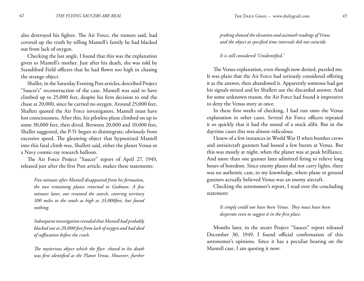also destroyed his fighter. The Air Force, the rumors said, had covered up the truth by telling Mantell's family he had blacked out from lack of oxygen.

Checking the last angle, I found that this was the explanation given to Mantell's mother. Just after his death, she was told by Standiford Field officers that he had flown too high in chasing the strange object.

Shallet, in the Saturday Evening Post articles, described Project "Saucer's" reconstruction of the case. Mantell was said to have climbed up to 25,000 feet, despite his firm decision to end the chase at 20,000, since he carried no oxygen. Around 25,000 feet, Shallett quoted the Air Force investigators, Mantell must have lost consciousness. After this, his pilotless plane climbed on up to some 30,000 feet, then dived. Between 20,000 and 10,000 feet, Shallet suggested, the P-51 began to disintegrate, obviously from excessive speed. The gleaming object that hypnotized Mantell into this fatal climb was, Shallett said, either the planet Venus or a Navy cosmic-ray research balloon.

The Air Force Project "Saucer" report of April 27, 1949, released just after the first Post article, makes these statements:

*Five minutes after Mantell disappeared from his formation, the two remaining planes returned to Godman. A few minutes later, one resumed the search, covering territory 100 miles to the south as high as 33,000feet, but found nothing.*

*Subsequent investigation revealed that Mantell had probably blacked out at 20,000 feet from lack of oxygen and had died of suffocation before the crash.*

*The mysterious object which the flyer. chased to his death was first identified as the Planet Venus. However, further* *probing showed the elevation and azimuth readings of Venus and the object at specified time intervals did not coincide.*

*It is still considered 'Unidentified.'*

The Venus explanation, even though now denied, puzzled me. It was plain that the Air Force had seriously considered offering it as the answer, then abandoned it. Apparently someone had got his signals mixed and let Shallett use the discarded answer. And for some unknown reason, the Air Force had found it imperative to deny the Venus story at once.

In these first weeks of checking, I had run onto the Venus explanation in other cases. Several Air Force officers repeated it so quickly that it had the sound of a stock alibi. But in the daytime cases this was almost ridiculous.

I knew of a few instances in World War II when bomber crews and antiaircraft gunners had loosed a few bursts at Venus. But this was mostly at night, when the planet was at peak brilliance. And more than one gunner later admitted firing to relieve long hours of boredom. Since enemy planes did not carry lights, there was no authentic case, to my knowledge, where plane or ground gunners actually believed Venus was an enemy aircraft.

Checking the astronomer's report, I read over the concluding statement:

*It simply could not have been Venus. They must have been desperate even to suggest it in the first place.*

Months later, in the secret Project "Saucer" report released December 30, 1949, I found official confirmation of this astronomer's opinions. Since it has a peculiar bearing on the Mantell case, I am quoting it now: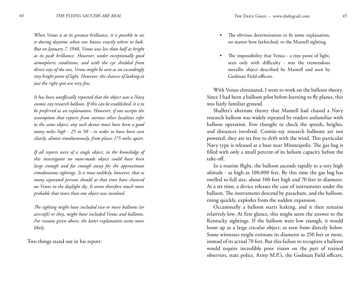*When Venus is at its greatest brilliance, it is possible to see it during daytime when one knows exactly where to look. But on January 7, 1948, Venus was less than half as bright as its peak brilliance. However, under exceptionally good atmospheric conditions, and with the eye shielded from direct rays of the sun, Venus might be seen as an exceedingly tiny bright point of light. However, the chances of looking at just the right spot are very few.*

*It has been unofficially reported that the object was a Navy cosmic-ray research balloon. If this can be established, it is to be preferred as an explanation. However, if one accepts the assumption that reports from various other localities refer to the same object, any such device must have been a good many miles high - 25 to 50 - in order to have been seen clearly, almost simultaneously, from places 175 miles apart.*

*If all reports were of a single object, in the knowledge of this investigator no man-made object could have been large enough and far enough away for the approximate simultaneous sightings. It is most unlikely, however, that so many separated persons should at that time have chanced on Venus in the daylight sky. It seems therefore much more probable that more than one object was involved.*

*The sighting might have included two or more balloons (or aircraft) or they, might have included Venus and balloons. For reasons given above, the latter explanation seems more likely.* 

Two things stand out in his report:

- The obvious determination to fit some explanation, no matter how farfetched, to the Mantell sighting. •
- The impossibility that Venus a tiny point of light, seen only with difficulty - was the tremendous metallic object described by Mantell and seen by Godman Field officers. •

With Venus eliminated, I went to work on the balloon theory. Since I had been a balloon pilot before learning to fly planes, this was fairly familiar ground.

Shallett's alternate theory that Mantell had chased a Navy research balloon was widely repeated by readers unfamiliar with balloon operation. Few thought to check the speeds, heights, and distances involved. Cosmic-ray research balloons are not powered; they are set free to drift with the wind. This particular Navy type is released at a base near Minneapolis. The gas bag is filled with only a small percent of its helium capacity before the take-off.

In a routine flight, the balloon ascends rapidly to a very high altitude - as high as 100,000 feet. By this time the gas bag has swelled to full size, about 100 feet high and 70 feet in diameter. At a set time, a device releases the case of instruments under the balloon. The instruments descend by parachute, and the balloon, rising quickly, explodes from the sudden expansion.

Occasionally a balloon starts leaking, and it then remains relatively low. At first glance, this might seem the answer to the Kentucky sightings. If the balloon were low enough, it would loom up as a large circular object, as seen from directly below. Some witnesses might estimate its diameter as 250 feet or more, instead of its actual 70 feet. But this failure to recognize a balloon would require incredibly poor vision on the part of trained observers, state police, Army M.P.'s, the Godman Field officers,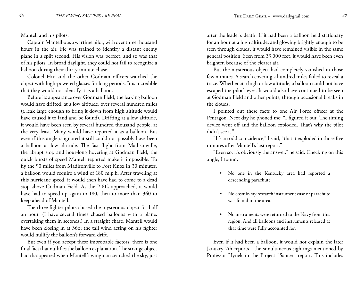Mantell and his pilots.

Captain Mantell was a wartime pilot, with over three thousand hours in the air. He was trained to identify a distant enemy plane in a split second. His vision was perfect, and so was that of his pilots. In broad daylight, they could not fail to recognize a balloon during their thirty-minute chase.

Colonel Hix and the other Godman officers watched the object with high-powered glasses for long periods. It is incredible that they would not identify it as a balloon.

Before its appearance over Godman Field, the leaking balloon would have drifted, at a low altitude, over several hundred miles (a leak large enough to bring it down from high altitude would have caused it to land and be found). Drifting at a low altitude, it would have been seen by several hundred thousand people, at the very least. Many would have reported it as a balloon. But even if this angle is ignored it still could not possibly have been a balloon at low altitude. The fast flight from Madisonville, the abrupt stop and hour-long hovering at Godman Field, the quick bursts of speed Mantell reported make it impossible. To fly the 90 miles from Madisonville to Fort Knox in 30 minutes, a balloon would require a wind of 180 m.p.h. After traveling at this hurricane speed, it would then have had to come to a dead stop above Godman Field. As the P-61's approached, it would have had to speed up again to 180, then to more than 360 to keep ahead of Mantell.

The three fighter pilots chased the mysterious object for half an hour. (I have several times chased balloons with a plane, overtaking them in seconds.) In a straight chase, Mantell would have been closing in at 36o; the tail wind acting on his fighter would nullify the balloon's forward drift.

But even if you accept these improbable factors, there is one final fact that nullifies the balloon explanation. The strange object had disappeared when Mantell's wingman searched the sky, just after the leader's death. If it had been a balloon held stationary for an hour at a high altitude, and glowing brightly enough to be seen through clouds, it would have remained visible in the same general position. Seen from 33,000 feet, it would have been even brighter, because of the clearer air.

But the mysterious object had completely vanished in those few minutes. A search covering a hundred miles failed to reveal a trace. Whether at a high or low altitude, a balloon could not have escaped the pilot's eyes. It would also have continued to be seen at Godman Field and other points, through occasional breaks in the clouds.

I pointed out these facts to one Air Force officer at the Pentagon. Next day he phoned me: "I figured it out. The timing device went off and the balloon exploded. That's why the pilot didn't see it."

"It's an odd coincidence," I said, "that it exploded in those five minutes after Mantell's last report."

"Even so, it's obviously the answer," he said. Checking on this angle, I found:

- No one in the Kentucky area had reported a descending parachute.
- No cosmic-ray research instrument case or parachute was found in the area.
- No instruments were returned to the Navy from this •region. And all balloons and instruments released at that time were fully accounted for.

Even if it had been a balloon, it would not explain the later January 7th reports - the simultaneous sightings mentioned by Professor Hynek in the Project "Saucer" report. This includes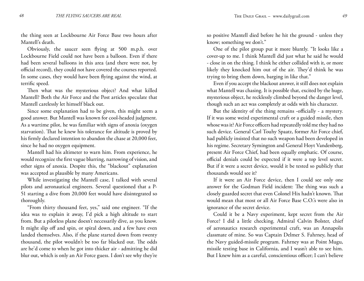the thing seen at Lockbourne Air Force Base two hours after Mantell's death.

Obviously, the saucer seen flying at 500 m.p.h. over Lockbourne Field could not have been a balloon. Even if there had been several balloons in this area (and there were not, by official record), they could not have covered the courses reported. In some cases, they would have been flying against the wind, at terrific speed.

Then what was the mysterious object? And what killed Mantell? Both the Air Force and the Post articles speculate that Mantell carelessly let himself black out.

Since some explanation had to be given, this might seem a good answer. But Mantell was known for cool-headed judgment. As a wartime pilot, he was familiar with signs of anoxia (oxygen starvation). That he knew his tolerance for altitude is proved by his firmly declared intention to abandon the chase at 20,000 feet, since he had no oxygen equipment.

Mantell had his altimeter to warn him. From experience, he would recognize the first vague blurring, narrowing of vision, and other signs of anoxia. Despite this, the "blackout" explanation was accepted as plausible by many Americans.

While investigating the Mantell case, I talked with several pilots and aeronautical engineers. Several questioned that a P-51 starting a dive from 20,000 feet would have disintegrated so thoroughly.

"From thirty thousand feet, yes," said one engineer. "If the idea was to explain it away, I'd pick a high altitude to start from. But a pilotless plane doesn't necessarily dive, as you know. It might slip off and spin, or spiral down, and a few have even landed themselves. Also, if the plane started down from twenty thousand, the pilot wouldn't be too far blacked out. The odds are he'd come to when he got into thicker air - admitting he did blur out, which is only an Air Force guess. I don't see why they're so positive Mantell died before he hit the ground - unless they know; something we don't."

One of the pilot group put it more bluntly. "It looks like a cover-up to me. I think Mantell did just what he said he would - close in on the thing. I think he either collided with it, or more likely they knocked him out of the air. They'd think he was trying to bring them down, barging in like that."

Even if you accept the blackout answer, it still does not explain what Mantell was chasing. It is possible that, excited by the huge, mysterious object, he recklessly climbed beyond the danger level, though such an act was completely at odds with his character.

But the identity of the thing remains -officially - a mystery. If it was some weird experimental craft or a guided missile, then whose was it? Air Force officers had repeatedly told me they had no such device. General Carl Touhy Spaatz, former Air Force chief, had publicly insisted that no such weapon had been developed in his regime. Secretary Symington and General Hoyt Vandenberg, present Air Force Chief, had been equally emphatic. Of course, official denials could be expected if it were a top level secret. But if it were a secret device, would it be tested so publicly that thousands would see it?

If it were an Air Force device, then I could see only one answer for the Godman Field incident: The thing was such a closely guarded secret that even Colonel Hix hadn't known. That would mean that most or all Air Force Base C.O.'s were also in ignorance of the secret device.

Could it be a Navy experiment, kept secret from the Air Force? I did a little checking. Admiral Calvin Bolster, chief of aeronautics research experimental craft, was an Annapolis classmate of mine. So was Captain Delmer S. Fahrney, head of the Navy guided-missile program. Fahrney was at Point Mugu, missile testing base in California, and I wasn't able to see him. But I knew him as a careful, conscientious officer; I can't believe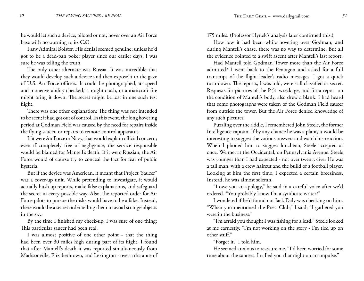he would let such a device, piloted or not, hover over an Air Force base with no warning to its C.O.

I saw Admiral Bolster. His denial seemed genuine; unless he'd got to be a dead-pan poker player since our earlier days, I was sure he was telling the truth.

The only other alternate was Russia. It was incredible that they would develop such a device and then expose it to the gaze of U.S. Air Force officers. It could be photographed, its speed and maneuverability checked; it might crash, or antiaircraft fire might bring it down. The secret might be lost in one such test flight.

There was one other explanation: The thing was not intended to be seen; it had got out of control. In this event, the long hovering period at Godman Field was caused by the need for repairs inside the flying saucer, or repairs to remote-control apparatus.

If it were Air Force or Navy, that would explain official concern; even if completely free of negligence, the service responsible would be blamed for Mantell's death. If it were Russian, the Air Force would of course try to conceal the fact for fear of public hysteria.

But if the device was American, it meant that Project 'Saucer" was a cover-up unit. While pretending to investigate, it would actually hush up reports, make false explanations, and safeguard the secret in every possible way. Also, the reported order for Air Force pilots to pursue the disks would have to be a fake. Instead, there would be a secret order telling them to avoid strange objects in the sky.

By the time I finished my check-up, I was sure of one thing: This particular saucer had been real.

I was almost positive of one other point - that the thing had been over 30 miles high during part of its flight. I found that after Mantell's death it was reported simultaneously from Madisonville, Elizabethtown, and Lexington - over a distance of 175 miles. (Professor Hynek's analysis later confirmed this.)

How low it had been while hovering over Godman, and during Mantell's chase, there was no way to determine. But all the evidence pointed to a swift ascent after Mantell's last report.

Had Mantell told Godman Tower more than the Air Force admitted? I went back to the Pentagon and asked for a full transcript of the flight leader's radio messages. I got a quick turn-down. The reports, I was told, were still classified as secret. Requests for pictures of the P-51 wreckage, and for a report on the condition of Mantell's body, also drew a blank. I had heard that some photographs were taken of the Godman Field saucer from outside the tower. But the Air Force denied knowledge of any such pictures.

Puzzling over the riddle, I remembered John Steele, the former Intelligence captain. If by any chance he was a plant, it would be interesting to suggest the various answers and watch his reaction. When I phoned him to suggest luncheon, Steele accepted at once. We met at the Occidental, on Pennsylvania Avenue. Steele was younger than I had expected - not over twenty-five. He was a tall man, with a crew haircut and the build of a football player. Looking at him the first time, I expected a certain breeziness. Instead, he was almost solemn.

"I owe you an apology," he said in a careful voice after we'd ordered. "You probably know I'm a syndicate writer?"

I wondered if he'd found out Jack Daly was checking on him. "When you mentioned the Press Club," I said, "I gathered you were in the business."

"I'm afraid you thought I was fishing for a lead." Steele looked at me earnestly. "I'm not working on the story - I'm tied up on other stuff."

"Forget it," I told him.

He seemed anxious to reassure me. "I'd been worried for some time about the saucers. I called you that night on an impulse."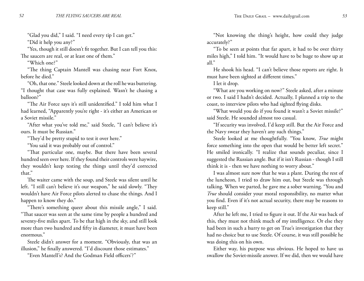"Glad you did," I said. "I need every tip I can get."

"Did it help you any?"

"Yes, though it still doesn't fit together. But I can tell you this: The saucers are real, or at least one of them."

"Which one?"

"The thing Captain Mantell was chasing near Fort Knox, before he died."

"Oh, that one." Steele looked down at the roll he was buttering. "I thought that case was fully explained. Wasn't he chasing a balloon?"

"The Air Force says it's still unidentified." I told him what I had learned, "Apparently you're right - it's either an American or a Soviet missile."

"After what you've told me," said Steele, "I can't believe it's ours. It must be Russian."

"They'd be pretty stupid to test it over here."

"You said it was probably out of control."

"That particular one, maybe. But there have been several hundred seen over here. If they found their controls were haywire, they wouldn't keep testing the things until they'd corrected that."

The waiter came with the soup, and Steele was silent until he left. "I still can't believe it's our weapon," he said slowly. "They wouldn't have Air Force pilots alerted to chase the things. And I happen to know they do."

"There's something queer about this missile angle," I said. "That saucer was seen at the same time by people a hundred and seventy-five miles apart. To be that high in the sky, and still look more than two hundred and fifty in diameter, it must have been enormous."

Steele didn't answer for a moment. "Obviously, that was an illusion," he finally answered. "I'd discount those estimates."

"Even Mantell's? And the Godman Field officers'?"

"Not knowing the thing's height, how could they judge accurately?"

"To be seen at points that far apart, it had to be over thirty miles high," I told him. "It would have to be huge to show up at all."

He shook his head. "I can't believe those reports are right. It must have been sighted at different times."

I let it drop.

"What are you working on now?" Steele asked, after a minute or two. I said I hadn't decided. Actually, I planned a trip to the coast, to interview pilots who had sighted flying disks.

"What would you do if you found it wasn't a Soviet missile?" said Steele. He sounded almost too casual.

"If security was involved, I'd keep still. But the Air Force and the Navy swear they haven't any such things."

Steele looked at me thoughtfully. "You know, *True* might force something into the open that would be better left secret." He smiled ironically. "I realize that sounds peculiar, since I suggested the Russian angle. But if it isn't Russian - though I still think it is - then we have nothing to worry about."

I was almost sure now that he was a plant. During the rest of the luncheon, I tried to draw him out, but Steele was through talking. When we parted, he gave me a sober warning. "You and *True* should consider your moral responsibility, no matter what you find. Even if it's not actual security, there may be reasons to keep still."

After he left me, I tried to figure it out. If the Air was back of this, they must not think much of my intelligence. Or else they had been in such a hurry to get on True's investigation that they had no choice but to use Steele. Of course, it was still possible he was doing this on his own.

Either way, his purpose was obvious. He hoped to have us swallow the Soviet-missile answer. If we did, then we would have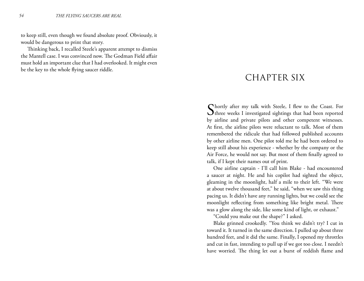to keep still, even though we found absolute proof. Obviously, it would be dangerous to print that story.

Thinking back, I recalled Steele's apparent attempt to dismiss the Mantell case. I was convinced now. The Godman Field affair must hold an important clue that I had overlooked. It might even be the key to the whole flying saucer riddle.

## CHAPTER SIX

Shortly after my talk with Steele, I flew to the Coast. For three weeks I investigated sightings that had been reported by airline and private pilots and other competent witnesses. At first, the airline pilots were reluctant to talk. Most of them remembered the ridicule that had followed published accounts by other airline men. One pilot told me he had been ordered to keep still about his experience - whether by the company or the Air Force, he would not say. But most of them finally agreed to talk, if I kept their names out of print.

One airline captain - I'll call him Blake - had encountered a saucer at night. He and his copilot had sighted the object, gleaming in the moonlight, half a mile to their left. "We were at about twelve thousand feet," he said, "when we saw this thing pacing us. It didn't have any running lights, but we could see the moonlight reflecting from something like bright metal. There was a glow along the side, like some kind of light, or exhaust."

"Could you make out the shape?" I asked.

Blake grinned crookedly. "You think we didn't try? I cut in toward it. It turned in the same direction. I pulled up about three hundred feet, and it did the same. Finally, I opened my throttles and cut in fast, intending to pull up if we got too close. I needn't have worried. The thing let out a burst of reddish flame and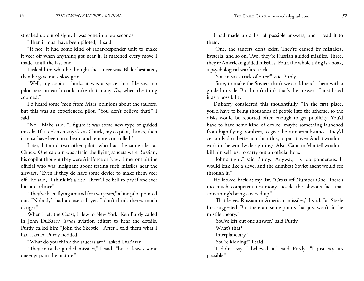streaked up out of sight. It was gone in a few seconds."

"Then it must have been piloted," I said.

"If not, it had some kind of radar-responder unit to make it veer off when anything got near it. It matched every move I made, until the last one."

I asked him what he thought the saucer was. Blake hesitated, then he gave me a slow grin.

"Well, my copilot thinks it was a space ship. He says no pilot here on earth could take that many G's, when the thing zoomed."

I'd heard some 'men from Mars' opinions about the saucers, but this was an experienced pilot. "You don't believe that?" I said.

"No," Blake said. "I figure it was some new type of guided missile. If it took as many G's as Chuck, my co pilot, thinks, then it must have been on a beam and remote-controlled."

Later, I found two other pilots who had the same idea as Chuck. One captain was afraid the flying saucers were Russian; his copilot thought they were Air Force or Navy. I met one airline official who was indignant about testing such missiles near the airways. "Even if they do have some device to make them veer off," he said, "I think it's a risk. There'll be hell to pay if one ever hits an airliner"

"They've been flying around for two years," a line pilot pointed out. "Nobody's had a close call yet. I don't think there's much danger."

When I left the Coast, I flew to New York. Ken Purdy called in John DuBarry, *True's* aviation editor; to hear the details. Purdy called him "John the Skeptic." After I told them what I had learned Purdy nodded.

"What do you think the saucers are?" asked DuBarry.

"They must be guided missiles," I said, "but it leaves some queer gaps in the picture."

I had made up a list of possible answers, and I read it to them:

"One, the saucers don't exist. They're caused by mistakes, hysteria, and so on. Two, they're Russian guided missiles. Three, they're American guided missiles. Four, the whole thing is a hoax, a psychological-warfare trick,"

"You mean a trick of ours?" said Purdy.

"Sure, to make the Soviets think we could reach them with a guided missile. But I don't think that's the answer - I just listed it as a possibility."

DuBarry considered this thoughtfully. "In the first place, you'd have to bring thousands of people into the scheme, so the disks would be reported often enough to get publicity. You'd have to have some kind of device, maybe something launched from high flying bombers, to give the rumors substance. They'd certainly do a better job than this, to put it oven And it wouldn't explain the worldwide sightings. Also, Captain Mantell wouldn't kill himself just to carry out an official hoax."

"John's right," said Purdy. "Anyway, it's too ponderous. It would leak like a sieve, and the dumbest Soviet agent would see through it."

He looked back at my list. "Cross off Number One. There's too much competent testimony, beside the obvious fact that something's being covered up."

"That leaves Russian or American missiles," I said, "as Steele first suggested. But there arc some points that just won't fit the missile theory."

"You've left out one answer," said Purdy.

"What's that?"

"Interplanetary."

"You're kidding!" I said.

"I didn't say I believed it," said Purdy. "I just say it's possible."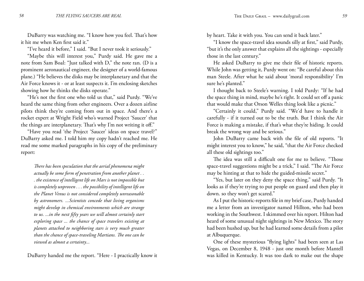DuBarry was watching me. "I know how you feel. That's how it hit me when Ken first said it."

"I've heard it before," I said. "But I never took it seriously."

"Maybe this will interest you," Purdy said. He gave me a note from Sam Boal: "Just talked with D," the note ran. (D is a prominent aeronautical engineer, the designer of a world-famous plane.) "He believes the disks may be interplanetary and that the Air Force knows it - or at least suspects it. I'm enclosing sketches showing how he thinks the disks operate."

"He's not the first one who told us that," said Purdy. "We've heard the same thing from other engineers. Over a dozen airline pilots think they're coming from out in space. And there's a rocket expert at Wright Field who's warned Project 'Saucer' that the things are interplanetary. That's why I'm not writing it off."

"Have you read 'the Project 'Saucer' ideas on space travel?" DuBarry asked me. I told him my copy hadn't reached me. He read me some marked paragraphs in his copy of the preliminary report:

*There has been speculation that the aerial phenomena might actually be some form of penetration from another planet . . . the existence of intelligent life on Mars is not impossible but is completely unproven . . . the possibility of intelligent life on the Planet Venus is not considered completely unreasonable by astronomers. ...Scientists concede that living organisms might develop in chemical environments which are strange to us. ...in the next fifty years we will almost certainly start exploring space ... the chance of space travelers existing at planets attached to neighboring stars is very much greater than the chance of space-traveling Martians. The one can be viewed as almost a certainty...*

DuBarry handed me the report. "Here - I practically know it

by heart. Take it with you. You can send it back later."

"I know the space-travel idea sounds silly at first," said Purdy, "but it's the only answer that explains all the sightings - especially those in the last century."

He asked DuBarry to give me their file of historic reports. While John was getting it, Purdy went on: "Be careful about this man Steele. After what he said about 'moral responsibility' I'm sure he's planted."

I thought back to Steele's warning. I told Purdy: "If he had the space thing in mind, maybe he's right. It could set off a panic that would make that Orson Welles thing look like a picnic."

"Certainly it could," Purdy said. "We'd have to handle it carefully - if it turned out to be the truth. But I think the Air Force is making a mistake, if that's what they're hiding. It could break the wrong way and be serious."

John DuBarry came back with the file of old reports. "It might interest you to know," he said, "that the Air Force checked all these old sightings too."

The idea was still a difficult one for me to believe. "Those space-travel suggestions might be a trick," I said. "The Air Force may be hinting at that to hide the guided-missile secret."

"Yes, but later on they deny the space thing," said Purdy. "It looks as if they're trying to put people on guard and then play it down. so they won't get scared."

As I put the historic-reports file in my brief case, Purdy handed me a letter from an investigator named Hillton, who had been working in the Southwest. I skimmed over his report. Hilton had heard of some unusual night sightings in New Mexico. The story had been hushed up, but he had learned some details from a pilot at Albuquerque.

One of these mysterious "flying lights" had been seen at Las Vegas, on December 8, 1948 - just one month before Mantell was killed in Kentucky. It was too dark to make out the shape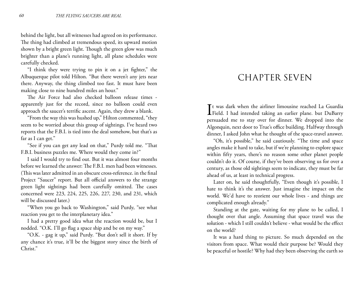behind the light, but all witnesses had agreed on its performance. The thing had climbed at tremendous speed, its upward motion shown by a bright green light. Though the green glow was much brighter than a plane's running light, all plane schedules were carefully checked.

"I think they were trying to pin it on a jet fighter," the Albuquerque pilot told Hilton. "But there weren't any jets near there. Anyway, the thing climbed too fast. It must have been making close to nine hundred miles an hour."

The Air Force had also checked balloon release times apparently just for the record, since no balloon could even approach the saucer's terrific ascent. Again, they drew a blank.

"From the way this was hushed up," Hilton commented, "they seem to be worried about this group of sightings. I've heard two reports that the F.B.I. is tied into the deal somehow, but that's as far as I can get."

"See if you can get any lead on that," Purdy told me. "That F.B.I. business puzzles me. Where would they come in?"

I said I would try to find out. But it was almost four months before we learned the answer: The F.B.I. men had been witnesses. (This was later admitted in an obscure cross-reference. in the final Project "Saucer" report. But all official answers to the strange green light sightings had been carefully omitted. The cases concerned were 223, 224, 225, 226, 227, 230, and 231, which will be discussed later.)

"When you go back to Washington," said Purdy, "see what reaction you get to the interplanetary idea."

I had a pretty good idea what the reaction would be, but I nodded. "O.K. I'll go flag a space ship and be on my way."

"O.K. - gag it up," said Purdy. "But don't sell it short. If by any chance it's true, it'll be the biggest story since the birth of Christ."

## CHAPTER SEVEN

It was dark when the airliner limousine reached La Guardia<br>Field. I had intended taking an earlier plane. but DuBarry t was dark when the airliner limousine reached La Guardia persuaded me to stay over for dinner. We dropped into the Algonquin, next door to True's office building. Halfway through dinner, I asked John what he thought of the space-travel answer.

"Oh, it's possible," he said cautiously. "The time and space angles make it hard to take, but if we're planning to explore space within fifty years, there's no reason some other planet people couldn't do it. Of course, if they've been observing us for over a century, as those old sightings seem to indicate, they must be far ahead of us, at least in technical progress.

Later on, he said thoughtfully, "Even though it's possible, I hate to think it's the answer. Just imagine the impact on the world. We'd have to reorient our whole lives - and things are complicated enough already."

Standing at the gate, waiting for my plane to be called, I thought over that angle. Assuming that space travel was the solution - which I still couldn't believe - what would be the effect on the world?

It was a hard thing to picture. So much depended on the visitors from space. What would their purpose be? Would they be peaceful or hostile? Why had they been observing the earth so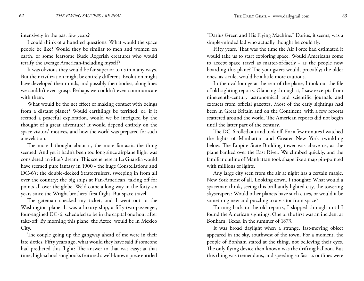intensively in the past few years?

I could think of a hundred questions. What would the space people be like? Would they be similar to men and women on earth, or some fearsome Buck Rogerish creatures who would terrify the average American-including myself?

It was obvious they would be far superior to us in many ways. But their civilization might be entirely different. Evolution might have developed their minds, and possibly their bodies, along lines we couldn't even grasp. Perhaps we couldn't even communicate with them.

What would be the net effect of making contact with beings from a distant planet? Would earthlings be terrified, or, if it seemed a peaceful exploration, would we be intrigued by the thought of a great adventure? It would depend entirely on the space visitors' motives, and how the world was prepared for such a revelation.

The more I thought about it, the more fantastic the thing seemed. And yet it hadn't been too long since airplane flight was considered an idiot's dream. This scene here at La Guardia would have seemed pure fantasy in 1900 - the huge Constellations and DC-6's; the double-decked Stratocruisers, sweeping in from all over the country; the big ships at Pan-American, taking off for points all over the globe. We'd come a long way in the forty-six years since the Wright brothers' first flight. But space travel!

The gateman checked my ticket, and I went out to the Washington plane. It was a luxury ship, a fifty-two-passenger, four-engined DC-6, scheduled to be in the capital one hour after take-off. By morning this plane, the Aztec, would be in Mexico City.

The couple going up the gangway ahead of me were in their late sixties. Fifty years ago, what would they have said if someone had predicted this flight? The answer to that was easy; at that time, high-school songbooks featured a well-known piece entitled

"Darius Green and His Flying Machine." Darius, it seems, was a simple-minded lad who actually thought he could fly.

Fifty years. That was the time the Air Force had estimated it would take us to start exploring space. Would Americans come to accept space travel as matter-of-factly - as the people now boarding this plane? The youngsters would, probably; the older ones, as a rule, would be a little more cautious.

In the oval lounge at the rear of the plane, I took out the file of old sighting reports. Glancing through it, I saw excerpts from nineteenth-century astronomical and scientific journals and extracts from official gazettes. Most of the early sightings had been in Great Britain and on the Continent, with a few reports scattered around the world. The American reports did not begin until the latter part of the century.

The DC-6 rolled out and took off. For a few minutes I watched the lights of Manhattan and Greater New York twinkling below. The Empire State Building tower was above us, as the plane banked over the East River. We climbed quickly, and the familiar outline of Manhattan took shape like a map pin-pointed with millions of lights.

Any large city seen from the air at night has a certain magic, New York most of all. Looking down, I thought:: What would a spaceman think, seeing this brilliantly lighted city, the towering skyscrapers? Would other planets have such cities, or would it be something new and puzzling to a visitor from space?

Turning back to the old reports, I skipped through until I found the American sightings. One of the first was an incident at Bonham, Texas, in the summer of 1873.

It was broad daylight when a strange, fast-moving object appeared in the sky, southwest of the town. For a moment, the people of Bonham stared at the thing, not believing their eyes. The only flying device then known was the drifting balloon. But this thing was tremendous, and speeding so fast its outlines were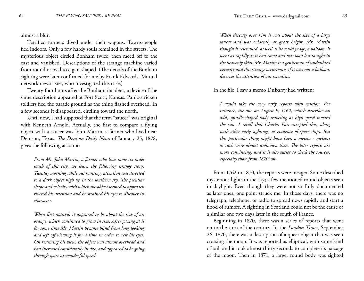almost a blur.

Terrified farmers dived under their wagons. Towns-people fled indoors. Only a few hardy souls remained in the streets. The mysterious object circled Bonham twice, then raced off to the east and vanished. Descriptions of the strange machine varied from round or oval to cigar- shaped. (The details of the Bonham sighting were later confirmed for me by Frank Edwards, Mutual network newscaster, who investigated this case.)

Twenty-four hours after the Bonham incident, a device of the same description appeared at Fort Scott, Kansas. Panic-stricken soldiers fled the parade ground as the thing flashed overhead. In a few seconds it disappeared, circling toward the north.

Until now, I had supposed that the term "saucer" was original with Kenneth Arnold. Actually, the first to compare a flying object with a saucer was John Martin, a farmer who lived near Denison, Texas. *The Denison Daily News* of January 25, 1878, gives the following account:

*From Mr. John Martin, a farmer who lives some six miles south of this city, we learn the following strange story: Tuesday morning while out hunting, attention was directed to a dark object high up in the southern sky. The peculiar shape and velocity with which the object seemed to approach riveted his attention and he strained his eyes to discover its character.*

*When first noticed, it appeared to be about the size of an orange, which continued to grow in size. After gazing at it for some time Mr. Martin became blind from long looking and left off viewing it for a time in order to rest his eyes. On resuming his view, the object was almost overhead and had increased considerably in size, and appeared to be going through space at wonderful speed.*

*When directly over him it was about the size of a large saucer and was evidently at great height. Mr. Martin thought it resembled, as well as he could judge, a balloon. It went as rapidly as it had come and was soon lost to sight in the heavenly skies. Mr. Martin is a gentleman of undoubted veracity and this strange occurrence, if it was not a balloon, deserves the attention of our scientists.*

In the file, I saw a memo DuBarry had written:

*I would take the very early reports with caution. For instance, the one on August 9, 1762, which describes an odd, spindle-shaped body traveling at high speed toward the sun. I recall that Charles Fort accepted this, along with other early sightings, as evidence of space ships. But this particular thing might have been a meteor - meteors as such were almost unknown then. The later reports are more convincing, and it is also easier to check the sources, especially those from 1870' on.*

From 1762 to 1870, the reports were meager. Some described mysterious lights in the sky; a few mentioned round objects seen in daylight. Even though they were not so fully documented as later ones, one point struck me. In those days, there was no telegraph, telephone, or radio to spread news rapidly and start a flood of rumors. A sighting in Scotland could not be the cause of a similar one two days later in the south of France.

Beginning in 1870, there was a series of reports that went on to the turn of the century. In the *London Times*, September 26, 1870, there was a description of a queer object that was seen crossing the moon. It was reported as elliptical, with some kind of tail, and it took almost thirty seconds to complete its passage of the moon. Then in 1871, a large, round body was sighted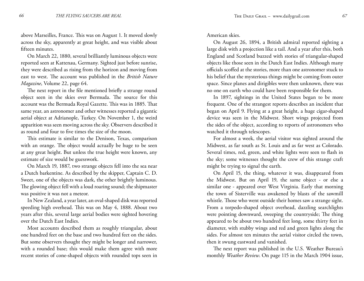above Marseilles, France. This was on August 1. It moved slowly across the sky, apparently at great height, and was visible about fifteen minutes.

On March 22, 1880, several brilliantly luminous objects were reported seen at Kattenau, Germany. Sighted just before sunrise, they were described as rising from the horizon and moving from east to west. The account was published in the *British Nature Magazine*, Volume 22, page 64.

The next report in the file mentioned briefly a strange round object seen in the skies over Bermuda. The source for this account was the Bermuda Royal Gazette. This was in 1885. That same year, an astronomer and other witnesses reported a gigantic aerial object at Adrianople, Turkey. On November 1, the weird apparition was seen moving across the sky. Observers described it as round and four to five times the size of the moon.

This estimate is similar to the Denison, Texas, comparison with an orange. The object would actually be huge to be seen at any great height. But unless the true height were known, any estimate of size would be guesswork.

On March 19, 1887, two strange objects fell into the sea near a Dutch barkentine. As described by the skipper, Captain C. D. Sweet, one of the objects was dark, the other brightly luminous. The glowing object fell with a loud roaring sound; the shipmaster was positive it was not a meteor.

In New Zealand, a year later, an oval-shaped disk was reported speeding high overhead. This was on May 4, 1888. About two years after this, several large aerial bodies were sighted hovering over the Dutch East Indies.

Most accounts described them as roughly triangular, about one hundred feet on the base and two hundred feet on the sides. But some observers thought they might be longer and narrower, with a rounded base; this would make them agree with more recent stories of cone-shaped objects with rounded tops seen in American skies.

On August 26, 1894, a British admiral reported sighting a large disk with a projection like a tail. And a year after this, both England and Scotland buzzed with stories of triangular-shaped objects like those seen in the Dutch East Indies. Although many officials scoffed at the stories, more than one astronomer stuck to his belief that the mysterious things might be coming from outer space. Since planes and dirigibles were then unknown, there was no one on earth who could have been responsible for them.

In 1897, sightings in the United States began to be more frequent. One of the strangest reports describes an incident that began on April 9. Flying at a great height, a huge cigar-shaped device was seen in the Midwest. Short wings projected from the sides of the object, according to reports of astronomers who watched it through telescopes.

For almost a week, the aerial visitor was sighted around the Midwest, as far south as St. Louis and as far west as Colorado. Several times, red, green, and white lights were seen to flash in the sky; some witnesses thought the crew of this strange craft might be trying to signal the earth.

On April 15, the thing, whatever it was, disappeared from the Midwest. But on April 19, the same object - or else a similar one - appeared over West Virginia. Early that morning the town of Sisterville was awakened by blasts of the sawmill whistle. Those who went outside their homes saw a strange sight. From a torpedo-shaped object overhead, dazzling searchlights were pointing downward, sweeping the countryside; The thing appeared to be about two hundred feet long, some thirty feet in diameter, with stubby wings and red and green lights along the sides. For almost ten minutes the aerial visitor circled the town, then it swung eastward and vanished.

The next report was published in the U.S. Weather Bureau's monthly *Weather Review*. On page 115 in the March 1904 issue,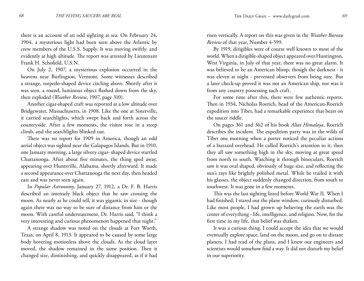there is an account of an odd sighting at sea. On February 24, 1904, a mysterious light had been seen above the Atlantic by crew members of the U.S.S. Supply. It was moving swiftly. and evidently at high altitude. The report was attested by Lieutenant Frank H. Schofield, U.S.N.

On July 2, 1907, a mysterious explosion occurred in the heavens near Burlington, Vermont. Some witnesses described a strange, torpedo-shaped device circling above. Shortly after it was seen, a round, luminous object flashed down from the sky, then exploded (*Weather Review*, 1907, page 310).

Another cigar-shaped craft was reported at a low altitude over Bridgewater, Massachusetts, in 1908. Like the one at Sisterville, it carried searchlights, which swept back and forth across the countryside. After a few moments, the visitor rose in a steep climb, and the searchlights blinked out.

There was no report for 1909 in America, though an odd aerial object was sighted near the Galapagos Islands. But in 1910, one January morning, a large silvery cigar- shaped device startled Chattanooga. After about five minutes, the thing sped away, appearing over Huntsville, Alabama, shortly afterward. It made a second appearance over Chattanooga the next day, then headed east and was never seen again.

In *Popular Astronomy*, January 27, 1912, a Dr. F. B. Harris described an intensely black object that he saw crossing the moon. As nearly as he could tell, it was gigantic in size - though again there was no way to be sure of distance from him or the moon. With careful understatement, Dr. Harris said, "I think a very interesting and curious phenomenon happened that night."

A strange shadow was noted on the clouds at Fort Worth, Texas, on April 8, 1913. It appeared to be caused by some large body hovering motionless above the clouds. As the cloud layer moved, the shadow remained in the same position. Then it changed size, diminishing, and quickly disappeared, as if it had

risen vertically. A report on this was given in the *Weather Bureau Review* of that year, Number 4-599.

By 1919, dirigibles were of course well known to most of the world. When a dirigible-shaped object appeared over Huntington, West Virginia, in July of that year, there was no great alarm. It was believed to be an American blimp, though the darkness - it was eleven at night - prevented observers from being sure. But a later check-up proved it was not an American ship, nor was it from any country possessing such craft.

For some time after this, there were few authentic reports. Then in 1934, Nicholas Roerich, head of the American-Roerich expedition into Tibet, had a remarkable experience that bears on the saucer riddle.

On pages 361 and 362 of his book *Altai Himalaya*, Roerich describes the incident. The expedition party was in the wilds of Tibet one morning when a porter noticed the peculiar actions of a buzzard overhead. He called Roerich's attention to it; then they all saw something high in the sky, moving at great speed from north to south. Watching it through binoculars, Roerich saw it was oval shaped, obviously of huge size, and reflecting the sun's rays like brightly polished metal. While he trailed it with his glasses, the object suddenly changed direction, from south to southwest. It was gone in a few moments.

This was the last sighting listed before World War II. When I had finished, I stared out the plane window, curiously disturbed. Like most people, I had grown up believing the earth was the center of everything - life, intelligence, and religion. Now, for the first time in my life, that belief was shaken.

It was a curious thing. I could accept the idea that we would eventually explore space, land on the moon, and go on to distant planets. I had read of the plans, and I knew our engineers and scientists would somehow find a way. It did not disturb my belief in our superiority.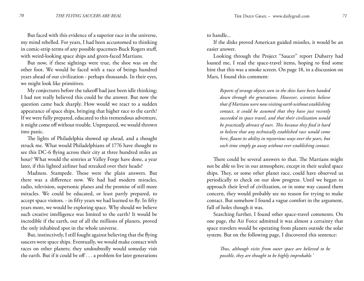But faced with this evidence of a superior race in the universe, my mind rebelled. For years, I had been accustomed to thinking in comic-strip terms of any possible spacemen-Buck Rogers stuff, with weird-looking space ships and green-faced Martians.

But now, if these sightings were true, the shoe was on the other foot. We would be faced with a race of beings hundred years ahead of our civilization - perhaps thousands. In their eyes, we might look like primitives.

My conjectures before the takeoff had just been idle thinking; I had not really believed this could be the answer. But now the question came back sharply. How would we react to a sudden appearance of space ships, bringing that higher race to the earth? If we were fully prepared, educated to this tremendous adventure, it might come off without trouble. Unprepared, we would thrown into panic.

The lights of Philadelphia showed up ahead, and a thought struck me. What would Philadelphians of 1776 have thought to see this DC-6 flying across their city at three hundred miles an hour? What would the sentries at Valley Forge have done, a year later, if this lighted airliner had streaked over their heads?

Madness. Stampede. Those were the plain answers. But there was a difference now. We had had modern miracles, radio, television, supersonic planes and the promise of still more miracles. We could be educated, or least partly prepared, to accept space visitors. - in fifty years we had learned to fly. In fifty years more, we would be exploring space. Why should we believe such creative intelligence was limited to the earth? It would be incredible if the earth, out of all the millions of planets, proved the only inhabited spot in the whole universe.

But, instinctively, I still fought against believing that the flying saucers were space ships. Eventually, we would make contact with races on other planets; they undoubtedly would someday visit the earth. But if it could be off . . . a problem for later generations to handle...

If the disks proved American guided missiles, it would be an easier answer.

Looking through the Project "Saucer" report Dubarry had loaned me, I read the space-travel items, hoping to find some hint that this was a smoke screen. On page 18, in a discussion on Mars, I found this comment:

*Reports of strange objects seen in the skies have been handed down through the generations. However, scientists believe that if Martians were now visiting earth without establishing contact, it could be assumed that they have just recently succeeded in space travel, and that their civilization would be practically abreast of ours. This because they find it hard to believe that any technically established race would come here, flaunt its ability in mysterious ways over the years, but each time simply go away without ever establishing contact.*

There could be several answers to that. The Martians might not be able to live in our atmosphere, except in their sealed space ships. They, or some other planet race, could have observed us periodically to check on our slow progress. Until we began to approach their level of civilization, or in some way caused them concern, they would probably see no reason for trying to make contact. But somehow I found a vague comfort in the argument, full of holes though it was.

Searching further, I found other space-travel comments. On one page, the Air Force admitted it was almost a certainty that space travelers would be operating from planets outside the solar system. But on the following page, I discovered this sentence:

*Thus, although visits from outer space are believed to be possible, they are thought to be highly improbable.'*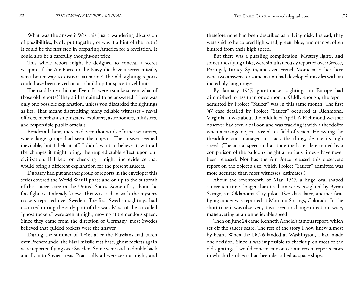What was the answer? Was this just a wandering discussion of possibilities, badly put together, or was it a hint of the truth? It could be the first step in preparing America for a revelation. It could also be a carefully thought-out trick.

This whole report might be designed to conceal a secret weapon. If the Air Force or the Navy did have a secret missile, what better way to distract attention? The old sighting reports could have been seized on as a build up for space travel hints.

Then suddenly it hit me. Even if it were a smoke screen, what of those old reports? They still remained to be answered. There was only one possible explanation, unless you discarded the sightings as lies. That meant discrediting many reliable witnesses - naval officers, merchant shipmasters, explorers, astronomers, ministers, and responsible public officials.

Besides all these, there had been thousands of other witnesses, where large groups had seen the objects. The answer seemed inevitable, but 1 held it off. I didn't want to believe it, with all the changes it might bring, the unpredictable effect upon our civilization. If I kept on checking I might find evidence that would bring a different explanation for the present saucers.

Dubarry had put another group of reports in the envelope; this series covered the World War II phase and on up to the outbreak of the saucer scare in the United States. Some of it, about the foo fighters, I already knew. This was tied in with the mystery rockets reported over Sweden. The first Swedish sightings had occurred during the early part of the war. Most of the so-called "ghost rockets" were seen at night, moving at tremendous speed. Since they came from the direction of Germany, most Swedes believed that guided rockets were the answer.

During the summer of 1946, after the Russians had taken over Peenemunde, the Nazi missile test base, ghost rockets again were reported flying over Sweden. Some were said to double back and fly into Soviet areas. Practically all were seen at night, and

therefore none had been described as a flying disk. Instead, they were said to he colored lights. red, green, blue, and orange, often blurred from their high speed.

But there was a puzzling complication. Mystery lights, and sometimes flying disks, were simultaneously reported over Greece, Portugal, Turkey, Spain, and even French Morocco. Either there were two answers, or some nation had developed missiles with an incredibly long range.

By January 1947, ghost-rocket sightings in Europe had diminished to less than one a month. Oddly enough, the report admitted by Project "Saucer" was in this same month. The first '47 case detailed by Project "Saucer" occurred at Richmond, Virginia. It was about the middle of April. A Richmond weather observer had seen a balloon and was tracking it with a theodolite when a strange object crossed his field of vision. He swung the theodolite and managed to track the thing, despite its high speed. (The actual speed and altitude-the latter determined by a comparison of the balloon's height at various times - have never been released. Nor has the Air Force released this observer's report on the object's size, which Project "Saucer" admitted was more accurate than most witnesses' estimates.)

About the seventeenth of May 1947, a huge oval-shaped saucer ten times longer than its diameter was sighted by Byron Savage, an Oklahoma City pilot. Two days later, another fastflying saucer was reported at Manitou Springs, Colorado. In the short time it was observed, it was seen to change direction twice, maneuvering at an unbelievable speed.

Then on June 24 came Kenneth Arnold's famous report, which set off the saucer scare. The rest of the story I now knew almost by heart. When the DC-6 landed at Washington, I had made one decision. Since it was impossible to check up on most of the old sightings, I would concentrate on certain recent reports-cases in which the objects had been described as space ships.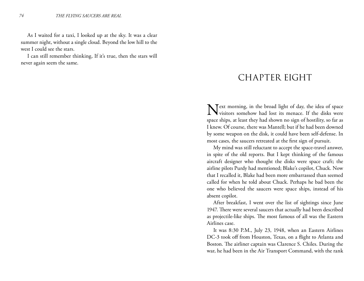As I waited for a taxi, I looked up at the sky. It was a clear summer night, without a single cloud. Beyond the low hill to the west I could see the stars.

I can still remember thinking, If it's true, then the stars will never again seem the same.

### CHAPTER EIGHT

Next morning, in the broad light of day, the idea of space visitors somehow had lost its menace. If the disks were space ships, at least they had shown no sign of hostility, so far as I knew. Of course, there was Mantell; but if he had been downed by some weapon on the disk, it could have been self-defense. In most cases, the saucers retreated at the first sign of pursuit.

My mind was still reluctant to accept the space-travel answer, in spite of the old reports. But I kept thinking of the famous aircraft designer who thought the disks were space craft; the airline pilots Purdy had mentioned; Blake's copilot, Chuck. Now that I recalled it, Blake had been more embarrassed than seemed called for when he told about Chuck. Perhaps he bad been the one who believed the saucers were space ships, instead of his absent copilot.

After breakfast, I went over the list of sightings since June 1947. There were several saucers that actually had been described as projectile-like ships. The most famous of all was the Eastern Airlines case.

It was 8:30 P.M., July 23, 1948, when an Eastern Airlines DC-3 took off from Houston, Texas, on a flight to Atlanta and Boston. The airliner captain was Clarence S. Chiles. During the war, he had been in the Air Transport Command, with the rank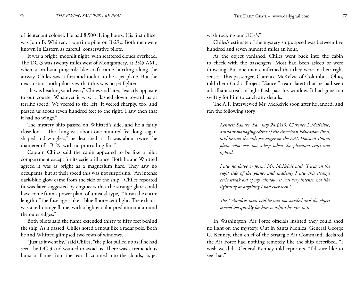of lieutenant colonel. He had 8,500 flying hours. His first officer was John B. Whitted, a wartime pilot on B-29's. Both men were known in Eastern as careful, conservative pilots.

It was a bright, moonlit night, with scattered clouds overhead. The DC-3 was twenty miles west of Montgomery, at 2:45 AM., when a brilliant projectile-like craft came hurtling along the airway. Chiles saw it first and took it to be a jet plane. But the next instant both pilots saw that this was no jet fighter.

"It was heading southwest," Chiles said later, "exactly opposite to our course. Whatever it was, it flashed down toward us at terrific speed. We veered to the left. It veered sharply. too, and passed us about seven hundred feet to the right. I saw then that it had no wings."

The mystery ship passed on Whitted's side, and he a fairly close look. "The thing was about one hundred feet long, cigarshaped and wingless," he described it. "It was about twice the diameter of a B-29, with no protruding fins."

Captain Chiles said the cabin appeared to be like a pilot compartment except for its eerie brilliance. Both he and Whitted agreed it was as bright as a magnesium flare. They saw no occupants, but at their speed this was not surprising. "An intense dark-blue glow came from the side of the ship," Chiles reported (it was later suggested by engineers that the strange glare could have come from a power plant of unusual type). "It ran the entire length of the fuselage - like a blue fluorescent light. The exhaust was a red-orange flame, with a lighter color predominant around the outer edges."

Both pilots said the flame extended thirty to fifty feet behind the ship. As it passed, Chiles noted a snout like a radar pole. Both he and Whitted glimpsed two rows of windows.

"Just as it went by," said Chiles, "the pilot pulled up as if he had seen the DC-3 and wanted to avoid us. There was a tremendous burst of flame from the rear. It zoomed into the clouds, its jet wash rocking our DC-3."

Chiles's estimate of the mystery ship's speed was between five hundred and seven hundred miles an hour.

As the object vanished, Chiles went back into the cabin to check with the passengers. Most had been asleep or were drowsing. But one man confirmed that they were in their right senses. This passenger, Clarence McKelvie of Columbus, Ohio, told them (and a Project "Saucer" team later) that he had seen a brilliant streak of light flash past his window. It had gone too swiftly for him to catch any details.

The A.P. interviewed Mr. McKelvie soon after he landed, and ran the following story:

*Kennett Square, Pa., July 24 (AP). Clarence L.McKelvie, assistant managing editor of the American Education Press, said he was the only passenger on the EAL Houston-Boston plane who was not asleep when the phantom craft was sighted.*

*I saw no shape or form,' Mr. McKelvie said. 'I was on the right side of the plane, and suddenly I saw this strange eerie streak out of my window, it was very intense, not like lightning or anything I had ever seen.'*

*The Columbus man said he was too startled and the object moved too quickly for him to adjust his eyes to it.*

In Washington, Air Force officials insisted they could shed no light on the mystery. Out in Santa Monica, General George C. Kenney, then chief of the Strategic Air Command, declared the Air Force had nothing remotely like the ship described. "I wish we did," General Kenney told reporters. "I'd sure like to see that."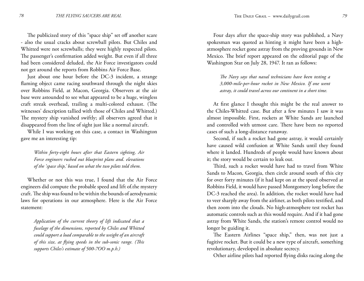The publicized story of this "space ship" set off another scare - also the usual cracks about screwball pilots. But Chiles and Whitted were not screwballs; they were highly respected pilots. The passenger's confirmation added weight. But even if all three had been considered deluded, the Air Force investigators could not get around the reports from Robbins Air Force Base.

Just about one hour before the DC-3 incident, a strange flaming object came racing southward through the night skies over Robbins Field, at Macon, Georgia. Observers at the air base were astounded to see what appeared to be a huge, wingless craft streak overhead, trailing a multi-colored exhaust. (The witnesses' description tallied with those of Chiles and Whitted.) The mystery ship vanished swiftly; all observers agreed that it disappeared from the line of sight just like a normal aircraft.

While I was working on this case, a contact in Washington gave me an interesting tip:

*Within forty-eight hours after that Eastern sighting, Air Force engineers rushed out blueprint plans and. elevations of the 'space ship,' based on what the two pilots told them.*

Whether or not this was true, I found that the Air Force engineers did compute the probable speed and lift of.the mystery craft. The ship was found to be within the bounds of aerodynamic laws for operations in our atmosphere. Here is the Air Force statement:

*Application of the current theory of lift indicated that a fuselage of the dimensions, reported by Chiles and Whitted could support a load comparable to the weight of an aircraft of this size, at flying speeds in the sub-sonic range. (This supports Chiles's estimate of 500-7OO m.p.h.)*

Four days after the space-ship story was published, a Navy spokesman was quoted as hinting it might have been a highatmosphere rocket gone astray from the proving grounds in New Mexico. The brief report appeared on the editorial page of the Washington Star on July 28, 1947. It ran as follows:

*The Navy says that naval technicians have been testing a 3,000-mile-per-hour rocket in New Mexico. If one went astray, it could travel across our continent in a short time.*

At first glance I thought this might be the real answer to the Chiles-Whitted case. But after a few minutes I saw it was almost impossible. First, rockets at White Sands are launched and controlled with utmost care. There have been no reported cases of such a long-distance runaway.

Second, if such a rocket had gone astray, it would certainly have caused wild confusion at White Sands until they found where it landed. Hundreds of people would have known about it; the story would be certain to leak out.

Third, such a rocket would have had to travel from White Sands to Macon, Georgia, then circle around south of this city for over forty minutes (if it had kept on at the speed observed at Robbins Field, it would have passed Montgomery long before the DC-3 reached the area). In addition, the rocket would have had to veer sharply away from the airliner, as both pilots testified, and then zoom into the clouds. No high-atmosphere test rocket has automatic controls such as this would require. And if it had gone astray from White Sands, the station's remote control would no longer be guiding it.

The Eastern Airlines "space ship," then, was not just a fugitive rocket. But it could be a new type of aircraft, something revolutionary, developed in absolute secrecy.

Other airline pilots had reported flying disks racing along the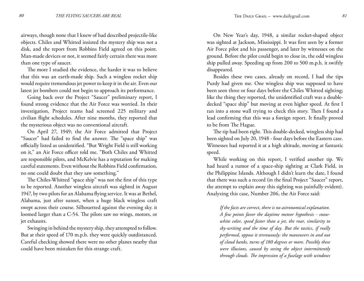airways, though none that I knew of had described projectile-like objects. Chiles and Whitted insisted the mystery ship was not a disk, and the report from Robbins Field agreed on this point. Man-made devices or not, it seemed fairly certain there was more than one type of saucer.

The more I studied the evidence, the harder it was to believe that this was an earth-made ship. Such a wingless rocket ship would require tremendous jet power to keep it in the air. Even our latest jet bombers could not begin to approach its performance.

Going back over the Project "Saucer" preliminary report, I found strong evidence that the Air Force was worried. In their investigation, Project teams had screened 225 military and civilian flight schedules. After nine months, they reported that the mysterious object was no conventional aircraft.

On April 27, 1949; the Air Force admitted that Project "Saucer" had failed to find the answer. The "space ship" was officially listed as unidentified. "But Wright Field is still working on it," an Air Force officer told me. "Both Chiles and Whitted are responsible pilots, and McKelvie has a reputation for making careful statements. Even without the Robbins Field confirmation, no one could doubt that they saw something."

The Chiles-Whitted "space ship" was not the first of this type to be reported. Another wingless aircraft was sighted in August 1947, by two pilots for an Alabama flying service. It was at Bethel, Alabama, just after sunset, when a huge black wingless craft swept across their course. Silhouetted against the evening sky. it loomed larger than a C-54. The pilots saw no wings, motors, or jet exhausts.

Swinging in behind the mystery ship, they attempted to follow. But at their speed of 170 m.p.h. they were quickly outdistanced. Careful checking showed there were no other planes nearby that could have been mistaken for this strange craft.

On New Year's day, 1948, a similar rocket-shaped object was sighted at Jackson, Mississippi. It was first seen by a former Air Force pilot and his passenger, and later by witnesses on the ground. Before the pilot could begin to close in, the odd wingless ship pulled away. Speeding up from 200 to 500 m.p.h. it swiftly disappeared.

Besides these two cases, already on record, I had the tips Purdy had given me. One wingless ship was supposed to have been seen three or four days before the Chiles Whitted sighting; like the thing they reported, the unidentified craft was a doubledecked "space ship" but moving at even higher speed. At first I ran into a stone wall trying to check this story. Then I found a lead confirming that this was a foreign report. It finally proved to be from The Hague.

The tip had been right. This double-decked, wingless ship had been sighted on July 20, 1948 - four days before the Eastern case. Witnesses had reported it at a high altitude, moving at fantastic speed.

While working on this report, I verified another tip. We had heard a rumor of a space-ship sighting at Clark Field, in the Philippine Islands. Although I didn't learn the date, I found that there was such a record (in the final Project "Saucer" report, the attempt to explain away this sighting was painfully evident). Analyzing this case, Number 206, the Air Force said:

*If the facts are correct, there is no astronomical explanation. A few points favor the daytime meteor hypothesis - snowwhite color, speed faster than a jet, the roar, similarity to sky-writing and the time of day. But the tactics, if really performed, oppose it strenuously: the maneuvers in and out of cloud banks, turns of 180 degrees or more. Possibly these were illusions, caused by seeing the object intermittently through clouds. The impression of a fuselage with windows*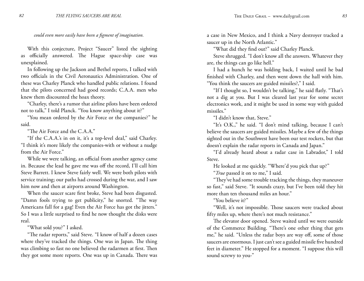With this conjecture, Project "Saucer" listed the sighting as officially answered. The Hague space-ship case was unexplained.

In following up the Jackson and Bethel reports, I talked with two officials in the Civil Aeronautics Administration. One of these was Charley Planck who handled public relations. I found that the pilots concerned had good records; C.A.A. men who knew them discounted the hoax theory.

"Charley, there's a rumor that airline pilots have been ordered not to talk," I told Planck. "You know anything about it?"

"You mean ordered by the Air Force or the companies?" he said.

"The Air Force and the C.A.A."

"If the C.A.A.'s in on it, it's a top-level deal," said Charley. "I think it's more likely the companies-with or without a nudge from the Air Force."

While we were talking, an official from another agency came in. Because the lead he gave me was off the record, I'll call him Steve Barrett. I knew Steve fairly well. We were both pilots with service training; our paths had crossed during the war, and I saw him now and then at airports around Washington.

When the saucer scare first broke, Steve had been disgusted. "Damn fools trying to get publicity," he snorted. "The way Americans fall for a gag! Even the Air Force has got the jitters." So I was a little surprised to find he now thought the disks were real.

"What sold you?" I asked.

"The radar reports," said Steve. "I know of half a dozen cases where they've tracked the things. One was in Japan. The thing was climbing so fast no one believed the radarmen at first. Then they got some more reports. One was up in Canada. There was a case in New Mexico, and I think a Navy destroyer tracked a saucer up in the North Atlantic."

"What did they find out?" said Charley Planck.

Steve shrugged. "I don't know all the answers. Whatever they are, the things can go like hell."

I had a hunch he was holding back, I waited until he bad finished with Charley, and then went down the hall with him. "You think the saucers are guided missiles?," I said.

"If I thought so, I wouldn't be talking," he said flatly. "That's not a dig at you. But I was cleared last year for some secret electronics work, and it might be used in some way with guided missiles."

"I didn't know that, Steve."

"It's O.K.," he said. "I don't mind talking, because I can't believe the saucers are guided missiles. Maybe a few of the things sighted out in the Southwest have been our test rockets, but that doesn't explain the radar reports in Canada and Japan."

"I'd already heard about a radar case in Labrador," I told Steve.

He looked at me quickly. "Where'd you pick that up?"

"*True* passed it on to me," I said.

"They've had some trouble tracking the things, they maneuver so fast," said Steve. "It sounds crazy, but I've been told they hit more than ten thousand miles an hour."

"You believe it?"

"Well, it's not impossible. Those saucers were tracked about fifty miles up, where there's not much resistance."

The elevator door opened. Steve waited until we were outside of the Commerce Building. "There's one other thing that gets me," he said. "Unless the radar boys are way off, some of those saucers are enormous. I just can't see a guided missile five hundred feet in diameter." He stopped for a moment. "I suppose this will sound screwy to you-"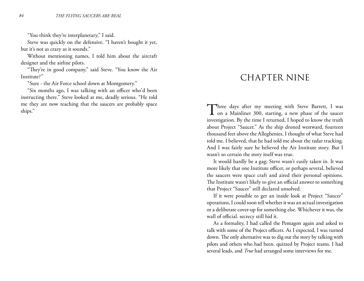"You think they're interplanetary," I said.

Steve was quickly on the defensive. "I haven't bought it yet, but it's not as crazy as it sounds."

Without mentioning names, I told him about the aircraft designer and the airline pilots.

"They're in good company," said Steve. "You know the Air Institute?"

"Sure - the Air Force school down at Montgomery."

"Six months ago, I was talking with an officer who'd been instructing there." Steve looked at me, deadly serious. "He told me they are now teaching that the saucers are probably space ships."

### CHAPTER NINE

Three days after my meeting with Steve Barrett, I was<br>
on a Mainliner 300, starting, a new phase of the saucer investigation. By the time I returned, I hoped to know the truth about Project "Saucer." As the ship droned westward, fourteen thousand feet above the Alleghenies, I thought of what Steve had told me. I believed, that he had told me about the radar tracking. And I was fairly sure he believed the Air Institute story. But I wasn't so certain the story itself was true.

It would hardly be a gag; Steve wasn't easily taken in. It was more likely that one Institute officer, or perhaps several, believed the saucers were space craft and aired their personal opinions. The Institute wasn't likely to give an official answer to something that Project "Saucer" still declared unsolved.

If it were possible to get an inside look at Project "Saucer" operations, I could soon tell whether it was an actual investigation or a deliberate cover-up for something else. Whichever it was, the wall of official. secrecy still hid it.

As a formality, I had called the Pentagon again and asked to talk with some of the Project officers. As I expected, I was turned down. The only alternative was to dig out the story by talking with pilots and others who had been. quizzed by Project teams. I had several leads, and *True* had arranged some interviews for me.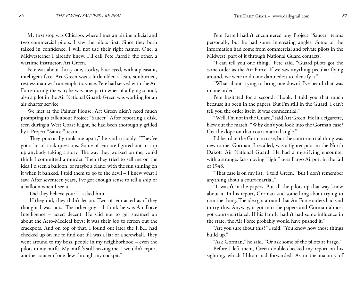My first stop was Chicago, where I met an airline official and two commercial pilots. I saw the pilots first. Since they both talked in confidence, I will not use their right names. One, a Midwesterner I already knew, I'll call Pete Farrell; the other, a wartime instructor, Art Green.

Pete was about thirty-one, stocky, blue-eyed, with a pleasant, intelligent face. Art Green was a little older, a lean, sunburned, restless man with an emphatic voice. Pete had served with the Air Force during the war; he was now part owner of a flying school, also a pilot in the Air National Guard. Green was working for an air charter service

We met at the Palmer House. Art Green didn't need much prompting to talk about Project "Saucer." After reporting a disk, seen during a West Coast Right, he had been thoroughly grilled by a Project "Saucer" team.

"They practically took me apart," he said irritably. "They've got a lot of trick questions. Some of 'em are figured out to trip up anybody faking a story. The way they worked on me, you'd think I committed a murder. Then they tried to sell me on the idea I'd seen a balloon, or maybe a plane, with the sun shining on it when it banked. I told them to go to the devil – I knew what I saw. After seventeen years, I've got enough sense to tell a ship or a balloon when I see it."

"Did they believe you?" I asked him.

"If they did, they didn't let on. Two of 'em acted as if they thought I was nuts. The other guy – I think he was Air Force Intelligence – acted decent. He said not to get steamed up about the Aero-Medical boys; it was their job to screen out the crackpots. And on top of that, I found out later the F.B.I. had checked up on me to find out if I was a liar or a screwball. They went around to my boss, people in my neighborhood – even the pilots in my outfit. My outfit's still razzing me. I wouldn't report another saucer if one flew through my cockpit."

Pete Farrell hadn't encountered any Project "Saucer" teams personally, but he had some interesting angles. Some of the information had come from commercial and private pilots in the Midwest, part of it through National Guard contacts.

"I can tell you one thing," Pete said. "Guard pilots got the same order as the Air Force. If we saw anything peculiar flying around, we were to do our damnedest to identify it."

"What about trying to bring one down? I've heard that was in one order."

Pete hesitated for a second. "Look, I told you that much because it's been in the papers. But I'm still in the Guard. I can't tell you the order itself. It was confidential."

"Well, I'm not in the Guard," said Art Green. He lit a cigarette, blew out the match. "Why don't you look into the Gorman case? Get the dope on that court-martial angle."

I'd heard of the Gorman case, but the court-martial thing was new to me. Gorman, I recalled, was a fighter pilot in the North Dakota Air National Guard. He had a mystifying encounter with a strange, fast-moving "light" over Fargo Airport in the fall of 1948.

"That case is on my list," I told Green. "But I don't remember anything about a court-martial."

"It wasn't in the papers. But all the pilots up that way know about it. In his report, Gorman said something about trying to ram the thing. The idea got around that Air Force orders had said to try this. Anyway, it got into the papers and Gorman almost got court-martialed. If his family hadn't had some influence in the state, the Air Force probably would have pushed it."

"Are you sure about this?" I said. "You know how those things build up."

"Ask Gorman," he said. "Or ask some of the pilots at Fargo."

Before I left them, Green double-checked my report on his sighting, which Hilton had forwarded. As in the majority of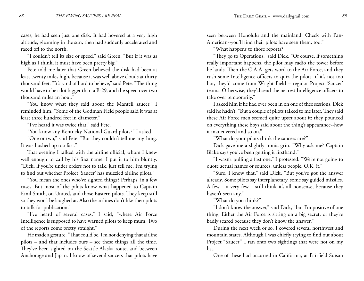cases, he had seen just one disk. It had hovered at a very high altitude, gleaming in the sun, then had suddenly accelerated and raced off to the north.

"I couldn't tell its size or speed," said Green. "But if it was as high as I think, it must have been pretty big."

Pete told me later that Green believed the disk had been at least twenty miles high, because it was well above clouds at thirty thousand feet. "It's kind of hard to believe," said Pete. "The thing would have to be a lot bigger than a B-29, and the speed over two thousand miles an hour."

"You know what they said about the Mantell saucer," I reminded him. "Some of the Godman Field people said it was at least three hundred feet in diameter."

"I've heard it was twice that," said Pete.

"You know any Kentucky National Guard pilots?" I asked.

"One or two," said Pete. "But they couldn't tell me anything. It was hushed up too fast."

That evening I talked with the airline official, whom I knew well enough to call by his first name. I put it to him bluntly. "Dick, if you're under orders not to talk, just tell me. Fm trying to find out whether Project 'Saucer' has muzzled airline pilots."

"You mean the ones who've sighted things? Perhaps, in a few cases. But most of the pilots know what happened to Captain Emil Smith, on United, and those Eastern pilots. They keep still so they won't be laughed at. Also the airlines don't like their pilots to talk for publication."

"I've heard of several cases," I said, "where Air Force Intelligence is supposed to have warned pilots to keep mum. Two of the reports come pretty straight."

He made a gesture. "That could be. I'm not denying that airline pilots – and that includes ours – see these things all the time. They've been sighted on the Seattle-Alaska route, and between Anchorage and Japan. I know of several saucers that pilots have

seen between Honolulu and the mainland. Check with Pan-American--you'll find their pilots have seen them, too."

"What happens to those reports?"

"They go to Operations," said Dick. "Of course, if something really important happens, the pilot may radio the tower before he lands. Then the C.A.A. gets word to the Air Force, and they rush some Intelligence officers to quiz the pilots. if it's not too hot, they'd come from Wright Field – regular Project 'Saucer' teams. Otherwise, they'd send the nearest Intelligence officers to take over temporarily."

I asked him if he had ever been in on one of thee sessions. Dick said he hadn't. "But a couple of pilots talked to me later. They said these Air Force men seemed quite upset about it; they pounced on everything these boys said about the thing's appearance--how it maneuvered and so on."

"What do your pilots think the saucers are?"

Dick gave me a slightly ironic grin. "Why ask me? Captain Blake says you've been getting it firsthand."

"I wasn't pulling a fast one," I protested. "We're not going to quote actual names or sources, unless people. O.K. it."

"Sure, I know that," said Dick. "But you've got thc answer already. Some pilots say interplanetary, some say guided missiles. A few – a very few – still think it's all nonsense, because they haven't seen any."

"What do you think?"

"I don't know the answer," said Dick, "but I'm positive of one thing. Either the Air Force is sitting on a big secret, or they're badly scared because they don't know the answer."

During the next week or so, I covered several northwest and mountain states. Although I was chiefly trying to find out about Project "Saucer," I ran onto two sightings that were not on my list.

One of these had occurred in California, at Fairfield Suisan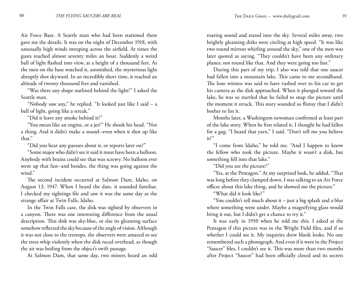Air Force Base. A Seattle man who had been stationed there gave me the details. It was on the night of December 1918, with unusually high winds sweeping across the airfield. At times the gusts reached almost seventy miles an hour. Suddenly a weird ball of light flashed into view, at a height of a thousand feet. As the men on the base watched it, astonished, the mysterious light abruptly shot skyward. In an incredibly short time, it reached an altitude of twenty thousand feet and vanished.

"Was there any shape outlined behind the light?" I asked the Seattle man.

"Nobody saw any," he replied. "It looked just like I said – a ball of light, going like a streak."

"Did it leave any smoke behind it?"

"You mean like an engine, or a jet?" He shook his head. "Not a thing. And it didn't make a sound--even when it shot up like that."

"Did you hear any guesses about it, or reports later on?"

"Some major who didn't see it said it must have been a balloon. Anybody with brains could see that was screwy. No balloon ever went up that fast--and besides, the thing was going against the wind."

The second incident occurred at Salmon Dam, Idaho, on August 13, 1947. When I heard the date, it sounded familiar. I checked my sightings file and saw it was the same day as the strange affair at Twin Falls, Idaho.

In the Twin Falls case, the disk was sighted by observers in a canyon. There was one interesting difference from the usual description. This disk was sky-blue, or else its gleaming surface somehow reflected the sky because of the angle of vision. Although it was not close to the treetops, the observers were amazed to see the trees whip violently when the disk raced overhead, as though the air was boiling from the object's swift passage.

At Salmon Dam, that same day, two miners heard an odd

roaring sound and stared into the sky. Several miles away, two brightly gleaming disks were circling at high speed. "It was like two round mirrors whirling around the sky," one of the men was later quoted as saying. "They couldn't have been any ordinary planes; not round like that. And they were going too fast."

During this part of my trip, I also was told that one saucer had fallen into a mountain lake. This came to me secondhand. The lone witness was said to have rushed over to his car to get his camera as the disk approached. When it plunged toward the lake, he was so startled that he failed to snap the picture until the moment it struck. This story sounded so flimsy that I didn't bother to list it.

Months later, a Washington newsman confirmed at least part of the lake story. When he first related it, I thought he had fallen for a gag. "I heard that yarn," I said. "Don't tell me you believe it?"

"I come from Idaho," he told me. "And I happen to know the fellow who took the picture. Maybe it wasn't a disk, but something fell into that lake."

"Did you see the picture?"

"Yes, at the Pentagon." At my surprised look, he added, "That was long before they clamped down. I was talking to an Air Force officer about this lake thing, and he showed me the picture."

"What did it look like?"

"You couldn't tell much about it – just a big splash and a blur where something went under. Maybe a magnifying glass would bring it out, but I didn't get a chance to try it."

It was early in 1950 when he told me this. I asked at the Pentagon if this picture was in the Wright Field files, and if so whether I could see it. My inquiries drew blank looks. No one remembered such a photograph. And even if it were in the Project "Saucer" files, I couldn't see it. This was more than two months after Project "Saucer" had been officially closed and its secrets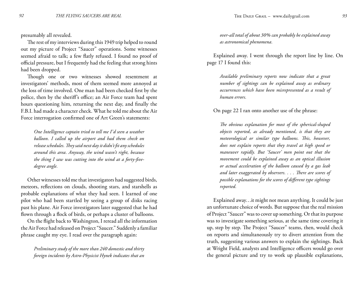presumably all revealed.

The rest of my interviews during this 1949 trip helped to round out my picture of Project "Saucer" operations. Some witnesses seemed afraid to talk; a few flatly refused. I found no proof of official pressure, but I frequently had the feeling that strong hints had been dropped.

Though one or two witnesses showed resentment at investigators' methods, most of them seemed more annoyed at the loss of time involved. One man had been checked first by the police, then by the sheriff's office; an Air Force team had spent hours questioning him, returning the next day, and finally the F.B.I. had made a character check. What he told me about the Air Force interrogation confirmed one of Art Green's statements:

*One Intelligence captain tried to tell me I'd seen a weather balloon. I called up the airport and had them check on release schedules. They said next day it didn't fit any schedules around this area. Anyway, the wind wasn't right, because the thing I saw was cutting into the wind at a forty-fivedegree angle.*

Other witnesses told me that investigators had suggested birds, meteors, reflections on clouds, shooting stars, and starshells as probable explanations of what they had seen. I learned of one pilot who had been startled by seeing a group of disks racing past his plane. Air Force investigators later suggested that he had flown through a flock of birds, or perhaps a cluster of balloons.

On the flight back to Washington, I reread all the information the Air Force had released on Project "Saucer." Suddenly a familiar phrase caught my eye. I read over the paragraph again:

*Preliminary study of the more than 240 domestic and thirty foreign incidents by Astro-Physicist Hynek indicates that an* 

*over-all total of about 30% can probably be explained away as astronomical phenomena.*

Explained away. I went through the report line by line. On page 17 I found this:

*Available preliminary reports now indicate that a great number of sightings can be explained away as ordinary occurrences which have been misrepresented as a result of human errors.*

On page 22 I ran onto another use of the phrase:

*The obvious explanation for most of the spherical-shaped objects reported, as already mentioned, is that they are meteorological or similar type balloons. This, however, does not explain reports that they travel at high speed or maneuver rapidly. But 'Saucer' men point out that the movement could be explained away as an optical illusion or actual acceleration of the balloon caused by a gas leak and later exaggerated by observers. . . . There are scores of possible explanations for the scores of different type sightings reported.*

Explained away…it might not mean anything. It could be just an unfortunate choice of words. But suppose that the real mission of Project "Saucer" was to cover up something. Or that its purpose was to investigate something serious, at the same time covering it up, step by step. The Project "Saucer" teams, then, would check on reports and simultaneously try to divert attention from the truth, suggesting various answers to explain the sightings. Back at Wright Field, analysts and Intelligence officers would go over the general picture and try to work up plausible explanations,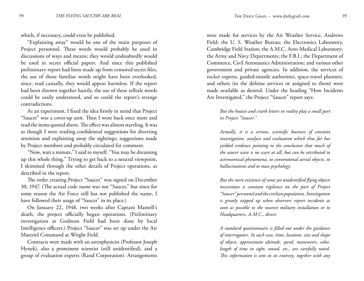which, if necessary, could even be published.

"Explaining away" would be one of the main purposes of Project personnel. These words would probably be used in discussions of ways and means; they would undoubtedly would be used in secret official papers. And since this published preliminary report had been made up from censored secret files, the use of those familiar words might have been overlooked, since, read casually, they would appear harmless. If the report had been thrown together hastily, the use of these telltale words could be easily understood, and so could the report's strange contradictions.

As an experiment, I fixed the idea firmly in mind that Project "Saucer" was a cover-up unit. Then I went back once more and read the items quoted above. The effect was almost startling. It was as though I were reading confidential suggestions for diverting attention and explaining away the sightings; suggestions made by Project members and probably circulated for comment.

"Now, wait a minute," I said to myself. "You may be dreaming up this whole thing." Trying to get back to a neutral viewpoint, I skimmed through the other details of Project operations, as described in the report.

The order creating Project "Saucer" was signed on December 30, 1947. (The actual code name was not "Saucer," but since for some reason the Air Force still has not published the name, I have followed their usage of "Saucer" in its place.)

On January 22, 1948, two weeks after Captain Mantell's death, the project officially began operations. (Preliminary investigation at Godman Field had been done by local Intelligence officers.) Project "Saucer" was set up under the Air Materiel Command at Wright Field.

Contracts were made with an astrophysicist (Professor Joseph Hynek), also a prominent scientist (still unidentified), and a group of evaluation experts (Rand Corporation). Arrangements

were made for services by the Air Weather Service, Andrews Field; the U. S. Weather Bureau; the Electronics Laboratory, Cambridge Field Station; the A.M.C. Aero-Medical Laboratory; the Army and Navy Departments; the F.B.I.; the Department of Commerce, Civil Aeronautics Administration; and various other government and private agencies. In addition, the services of rocket experts, guided-missile authorities, space-travel planners, and others (in the defense services or assigned to them) were made available as desired. Under the heading "How Incidents Are Investigated," the Project "Saucer" report says:

*But the hoaxes and crank letters in reality play a small part in Project "Saucer."*

*Actually, it is a serious, scientific business of constant investigation, analysis and evaluation which thus far has yielded evidence pointing to the conclusion that much of the saucer scare is no scare at all, but can be attributed to astronomical phenomena, to conventional aerial objects, to hallucinations and to mass psychology.*

*But the mere existence of some yet unidentified flying objects necessitates a constant vigilance on the part of Project "Saucer" personnel and the civilian population. Investigation is greatly stepped up when observers report incidents as soon as possible to the nearest military installation or to Headquarters, A.M.C., direct.*

*A standard questionnaire is filled out under the guidance of interrogators. In each case, time, location, size and shape of object, approximate altitude, speed, maneuvers, color, length of time in sight, sound, etc., are carefully noted. This information is sent in its entirety, together with any*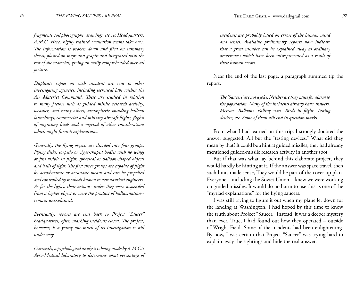*fragments, soil photographs, drawings, etc., to Headquarters, A.M.C. Here, highly trained evaluation teams take over. The information is broken down and filed on summary sheets, plotted on maps and graphs and integrated with the rest of the material, giving an easily comprehended over-all picture.*

*Duplicate copies on each incident arc sent to other investigating agencies, including technical labs within the Air Materiel Command. These are studied in relation to many factors such as guided missile research activity, weather, and many others, atmospheric sounding balloon launchings, commercial and military aircraft flights, flights of migratory birds and a myriad of other considerations which might furnish explanations.*

*Generally, the flying objects are divided into four groups: Flying disks, torpedo or cigar-shaped bodies with no wings or fins visible in flight, spherical or balloon-shaped objects and balls of light. The first three groups are capable of flight by aerodynamic or aerostatic means and can be propelled and controlled by methods known to aeronautical engineers. As for the lights, their actions--unless they were suspended from a higher object or were the product of hallucination- remain unexplained.*

*Eventually, reports are sent back to Project "Saucer" headquarters, often marking incidents closed. The project, however, is a young one-much of its investigation is still under way.*

*Currently, a psychological analysis is being made by A.M.C.'s Aero-Medical laboratory to determine what percentage of*  *incidents are probably based on errors of the human mind and senses. Available preliminary reports now indicate that a great number can be explained away as ordinary occurrences which have been misrepresented as a result of these human errors.*

Near the end of the last page, a paragraph summed tip the report.

*The 'Saucers' are not a joke. Neither are they cause for alarm to the population. Many of the incidents already have answers. Meteors. Balloons. Falling stars. Birds in flight. Testing devices, etc. Some of them still end in question marks.*

From what I had learned on this trip, I strongly doubted the answer suggested. All but the "testing devices." What did they mean by that? It could be a hint at guided missiles; they had already mentioned guided-missile research activity in another spot.

But if that was what lay behind this elaborate project, they would hardly be hinting at it. If the answer was space travel, then such hints made sense, They would be part of the cover-up plan. Everyone – including the Soviet Union – knew we were working on guided missiles. It would do no harm to use this as one of the "myriad explanations" for the flying saucers.

I was still trying to figure it out when my plane let down for the landing at Washington. I had hoped by this time to know the truth about Project "Saucer." Instead, it was a deeper mystery than ever. True, I had found out how they operated – outside of Wright Field. Some of the incidents had been enlightening. By now, I was certain that Project "Saucer" was trying hard to explain away the sightings and hide the real answer.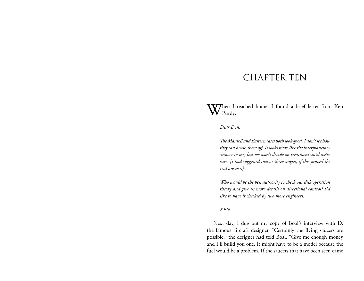## CHAPTER TEN

Then I reached home, I found a brief letter from Ken Purdy:

*Dear Don:*

*The Mantell and Eastern cases both look good. I don't see how they can brush them off. It looks more like the interplanetary answer to me, but we won't decide on treatment until we're sure. [I had suggested two or three angles, if this proved the real answer.]*

*Who would be the best authority to check our disk operation theory and give us more details on directional control? I'd like to have it checked by two more engineers.*

#### *KEN*

Next day, I dug out my copy of Boal's interview with D, the famous aircraft designer. "Certainly the flying saucers are possible," the designer had told Boal. "Give me enough money and I'll build you one. It might have to be a model because the fuel would be a problem. If the saucers that have been seen came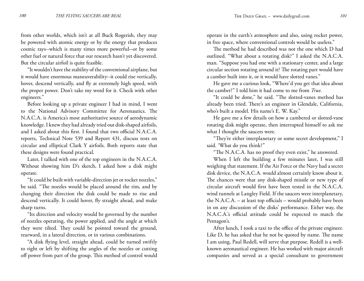from other worlds, which isn't at all Buck Rogerish, they may be powered with atomic energy or by the energy that produces cosmic rays--which is many times more powerful--or by some other fuel or natural force that our research hasn't yet discovered. But the circular airfoil is quite feasible.

"It wouldn't have the stability of the conventional airplane, but it would have enormous maneuverability--it could rise vertically, hover, descend vertically, and fly at extremely high speed, with the proper power. Don't take my word for it. Check with other engineers."

Before looking up a private engineer I had in mind, I went to the National Advisory Committee for Aeronautics. The N.A.C.A. is America's most authoritative source of aerodynamic knowledge. I knew they had already tried out disk-shaped airfoils, and I asked about this first. I found that two official N.A.C.A. reports, Technical Note 539 and Report 431, discuss tests on circular and elliptical Clark Y airfoils. Both reports state that these designs were found practical.

Later, I talked with one of the top engineers in the N.A.C.A. Without showing him D's sketch, I asked how a disk might operate.

"It could be built with variable-direction jet or rocket nozzles," be said. "The nozzles would be placed around the rim, and by changing their direction the disk could be made to rise and descend vertically. It could hover, fly straight ahead, and make sharp turns.

"Its direction and velocity would be governed by the number of nozzles operating, the power applied, and the angle at which they were tilted. They could be pointed toward the ground, rearward, in a lateral direction, or in various combinations.

"A disk flying level, straight ahead, could be turned swiftly to right or left by shifting the angles of the nozzles or cutting off power from part of the group. This method of control would operate in the earth's atmosphere and also, using rocket power, in free space, where conventional controls would be useless."

The method he had described was not the one which D had outlined. "What about a rotating disk?" I asked the N.A.C.A. man. "Suppose you had one with a stationary center, and a large circular section rotating around it? The rotating part would have a camber built into it, or it would have slotted vanes."

He gave me a curious look, "Where'd you get that idea about the camber?" I told him it had come to me from *True*.

"It could be done," he said. "The slotted-vanes method has already been tried. There's an engineer in Glendale, California, who's built a model. His name's E. W. Kay."

He gave me a few details on how a cambered or slotted-vane rotating disk might operate, then interrupted himself to ask me what I thought the saucers were.

"They're either interplanetary or some secret development," I said. 'What do you think?"

"The N.A.C.A. has no proof they even exist," he answered.

When I left the building a few minutes later, I was still weighing that statement. If the Air Force or the Navy had a secret disk device, the N.A.C.A. would almost certainly know about it. The chances were that any disk-shaped missile or new type of circular aircraft would first have been tested in the N.A.C.A. wind tunnels at Langley Field. If the saucers were interplanetary, the N.A.C.A. – at least top officials – would probably have been in on any discussion of the disks' performance. Either way, the N.A.C.A.'s official attitude could be expected to match the Pentagon's.

After lunch, I took a taxi to the office of the private engineer. Like D, he has asked that he not be quoted by name. The name I am using, Paul Redell, will serve that purpose. Redell is a wellknown aeronautical engineer. He has worked with major aircraft companies and served as a special consultant to government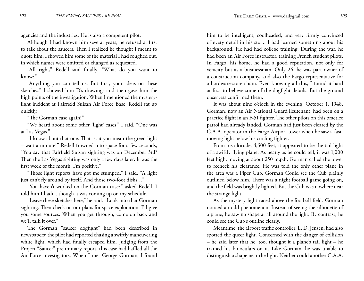agencies and the industries. He is also a competent pilot.

Although I had known him several years, he refused at first to talk about the saucers. Then I realized he thought I meant to quote him. I showed him some of the material I had roughed out, in which names were omitted or changed as requested.

"All right," Redell said finally. "What do you want to know?"

"Anything you can tell us. But first, your ideas on these sketches." I showed him D's drawings and then gave him the high points of the investigation. When I mentioned the mysterylight incident at Fairfield Suisan Air Force Base, Redell sat up quickly.

"The Gorman case again!"

"We heard about some other 'light' cases," I said. "One was at Las Vegas."

"I know about that one. That is, it you mean the green light – wait a minute!" Redell frowned into space for a few seconds, "You say that Fairfield Suisan sighting was on December 3rd? Then the Las Vegas sighting was only a few days later. It was the first week of the month, I'm positive."

"Those light reports have got me stumped," I said. "A light just can't fly around by itself. And those two-foot disks…"

"You haven't worked on the Gorman case?" asked Redell. I told him I hadn't though it was coming up on my schedule.

"Leave these sketches here," he said. "Look into that Gorman sighting. Then check on our plans for space exploration. I'll give you some sources. When you get through, come on back and we'll talk it over."

The Gorman "saucer dogfight" had been described in newspapers; the pilot had reported chasing a swiftly maneuvering white light, which had finally escaped him. Judging from the Project "Saucer" preliminary report, this case had baffled all the Air Force investigators. When I met George Gorman, I found

him to be intelligent, coolheaded, and very firmly convinced of every detail in his story. I had learned something about his background. He had had college training. During the war, he had been an Air Force instructor, training French student pilots. In Fargo, his home, he had a good reputation, not only for veracity but as a businessman. Only 26, he was part owner of a construction company, and also the Fargo representative for a hardware-store chain. Even knowing all this, I found it hard at first to believe some of the dogfight details. But the ground observers confirmed them.

It was about nine o'clock in the evening, October 1, 1948. Gorman, now an Air National Guard lieutenant, had been on a practice flight in an F-51 fighter. The other pilots on this practice patrol had already landed. Gorman had just been cleared by the C.A.A. operator in the Fargo Airport tower when he saw a fastmoving light below his circling fighter.

From his altitude, 4,500 feet, it appeared to be the tail light of a swiftly flying plane. As nearly as he could tell, it was 1,000 feet high, moving at about 250 m.p.h. Gorman called the tower to recheck his clearance. He was told the only other plane in the area was a Piper Cub. Gorman Could see the Cub plainly outlined below him. There was a night football game going on, and the field was brightly lighted. But the Cub was nowhere near the strange light.

As the mystery light raced above the football field. Gorman noticed an odd phenomenon. Instead of seeing the silhouette of a plane, he saw no shape at all around the light. By contrast, he could see the Cub's outline clearly.

Meantime, the airport traffic controller, L. D. Jensen, had also spotted the queer light. Concerned with the danger of collision – he said later that he, too, thought it a plane's tail light – he trained his binoculars on it. Like Gorman, he was unable to distinguish a shape near the light. Neither could another C.A.A.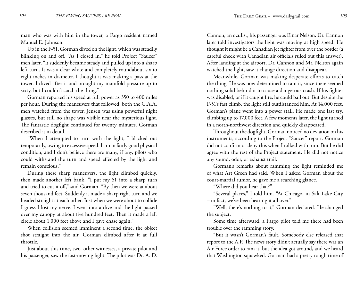man who was with him in the tower, a Fargo resident named Manuel E. Johnson.

Up in the F-51, Gorman dived on the light, which was steadily blinking on and off. "As I closed in," he told Project "Saucer" men later, "it suddenly became steady and pulled up into a sharp left turn. It was a clear white and completely roundabout six to eight inches in diameter. I thought it was making a pass at the tower. I dived after it and brought my manifold pressure up to sixty, but I couldn't catch the thing."

Gorman reported his speed at full power as 350 to 400 miles per hour. During the maneuvers that followed, both the C.A.A. men watched from the tower. Jensen was using powerful night glasses, but still no shape was visible near the mysterious light. The fantastic dogfight continued for twenty minutes. Gorman described it in detail.

"When I attempted to turn with the light, I blacked out temporarily, owing to excessive speed. I am in fairly good physical condition, and I don't believe there are many, if any, pilots who could withstand the turn and speed effected by the light and remain conscious."

During these sharp maneuvers, the light climbed quickly, then made another left bank. "I put my 51 into a sharp turn and tried to cut it off," said Gorman. "By then we were at about seven thousand feet, Suddenly it made a sharp right turn and we headed straight at each other. Just when we were about to collide I guess I lost my nerve. I went into a dive and the light passed over my canopy at about five hundred feet. Then it made a left circle about 1,000 feet above and I gave chase again."

When collision seemed imminent a second time, the object shot straight into the air. Gorman climbed after it at full throttle.

Just about this time, two. other witnesses, a private pilot and his passenger, saw the fast-moving light. The pilot was Dr. A. D. Cannon, an oculist; his passenger was Einar Nelson. Dr. Cannon later told investigators the light was moving at high speed. He thought it might be a Canadian jet fighter from over the border (a careful check with Canadian air officials ruled out this answer). After landing at the airport, Dr. Cannon and Mr. Nelson again watched the light, saw it change direction and disappear.

Meanwhile, Gorman was making desperate efforts to catch the thing. He was now determined to ram it, since there seemed nothing solid behind it to cause a dangerous crash. If his fighter was disabled, or if it caught fire, he could bail out. But despite the F-51's fast climb, the light still outdistanced him. At 14,000 feet, Gorman's plane went into a power stall, He made one last try, climbing up to 17,000 feet. A few moments later, the light turned in a north-northwest direction and quickly disappeared.

Throughout the dogfight, Gorman noticed no deviation on his instruments, according to the Project "Saucer" report. Gorman did not confirm or deny this when I talked with him. But he did agree with the rest of the Project statement. He did not notice any sound, odor, or exhaust trail.

Gorman's remarks about ramming the light reminded me of what Art Green had said. When I asked Gorman about the court-martial rumor, he gave me a searching glance.

"Where did you hear that?"

"Several places," I told him. "At Chicago, in Salt Lake City – in fact, we've been hearing it all over."

"Well, there's nothing to it," Gorman declared. He changed the subject.

Some time afterward, a Fargo pilot told me there had been trouble over the ramming story.

"But it wasn't Gorman's fault. Somebody else released that report to the A.P. The news story didn't actually say there was an Air Force order to ram it, but the idea got around, and we heard that Washington squawked. Gorman had a pretty rough time of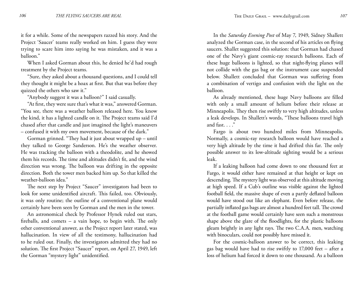it for a while. Some of the newspapers razzed his story. And the Project 'Saucer' teams really worked on him. I guess they were trying to scare him into saying he was mistaken, and it was a balloon."

When I asked Gorman about this, he denied he'd had rough treatment by the Project teams.

"Sure, they asked about a thousand questions, and I could tell they thought it might be a hoax at first. But that was before they quizzed the others who saw it."

"Anybody suggest it was a balloon?" I said casually.

"At first, they were sure that's what it was," answered Gorman. "You see, there was a weather balloon released here. You know the kind, it has a lighted candle on it. The Project teams said I'd chased after that candle and just imagined the light's maneuvers – confused it with my own movement, because of the dark."

Gorman grinned. "They had it just about wrapped up – until they talked to George Sanderson. He's the weather observer. He was tracking the balloon with a theodolite, and he showed them his records. The time and altitudes didn't fit, and the wind direction was wrong. The balloon was drifting in the opposite direction. Both the tower men backed him up. So that killed the weather-balloon idea."

The next step by Project "Saucer" investigators had been to look for some unidentified aircraft. This failed, too. Obviously, it was only routine; the outline of a conventional plane would certainly have been seen by Gorman and the men in the tower.

An astronomical check by Professor Hynek ruled out stars, fireballs, and comets – a vain hope, to begin with. The only other conventional answer, as the Project report later stated, was hallucination. In view of all the testimony, hallucination had to he ruled out. Finally, the investigators admitted they had no solution. The first Project "Saucer" report, on April 27, 1949, left the Gorman "mystery light" unidentified.

In the *Saturday Evening Post* of May 7, 1949, Sidney Shallett analyzed the Gorman case, in the second of his articles on flying saucers. Shallet suggested this solution: that Gorman had chased one of the Navy's giant cosmic-ray research balloons. Each of these huge balloons is lighted, so that night-flying planes will not collide with the gas bag or the instrument case suspended below. Shallett concluded that Gorman was suffering from a combination of vertigo and confusion with the light on the balloon.

As already mentioned, these huge Navy balloons are filled with only a small amount of helium before their release at Minneapolis. They then rise swiftly to very high altitudes, unless a leak develops. In Shallett's words, "These balloons travel high and fast. . . ."

Fargo is about two hundred miles from Minneapolis. Normally, a cosmic-ray research balloon would have reached a very high altitude by the time it had drifted this far. The only possible answer to its low-altitude sighting would be a serious leak.

If a leaking balloon had come down to one thousand feet at Fargo, it would either have remained at that height or kept on descending. The mystery light was observed at this altitude moving at high speed. If a Cub's outline was visible against the lighted football field, the massive shape of even a partly deflated balloon would have stood out like an elephant. Even before release, the partially inflated gas bags are almost a hundred feet tall. The crowd at the football game would certainly have seen such a monstrous shape above the glare of the floodlights, for the plastic balloons gleam brightly in any light rays. The two C.A.A. men, watching with binoculars, could not possibly have missed it.

For the cosmic-balloon answer to be correct, this leaking gas bag would have had to rise swiftly to 17,000 feet – after a loss of helium had forced it down to one thousand. As a balloon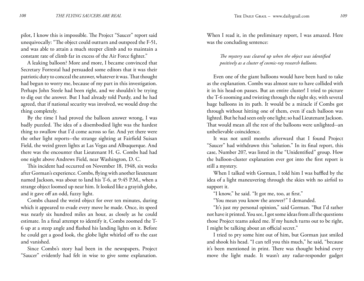pilot, I know this is impossible. The Project "Saucer" report said unequivocally: "The object could outturn and outspeed the F-51, and was able to attain a much steeper climb and to maintain a constant rate of climb far in excess of the Air Force fighter."

A leaking balloon? More and more, I became convinced that Secretary Forrestal had persuaded some editors that it was their patriotic duty to conceal the answer, whatever it was. That thought had begun to worry me, because of my part in this investigation. Perhaps John Steele had been right, and we shouldn't be trying to dig out the answer. But I had already told Purdy, and he had agreed, that if national security was involved, we would drop the thing completely.

By the time I had proved the balloon answer wrong, I was badly puzzled. The idea of a disembodied light was the hardest thing to swallow that I'd come across so far. And yet there were the other light reports--the strange sighting at Fairfield Suisan Field, the weird green lights at Las Vegas and Albuquerque. And there was the encounter that Lieutenant H. G. Combs had had one night above Andrews Field, near Washington, D. C.

This incident had occurred on November 18, 1948, six weeks after Gorman's experience. Combs, flying with another lieutenant named Jackson, was about to land his T-6, at 9:45 P.M., when a strange object loomed up near him. It looked like a grayish globe, and it gave off an odd, fuzzy light.

Combs chased the weird object for over ten minutes, during which it appeared to evade every move he made. Once, its speed was nearly six hundred miles an hour, as closely as he could estimate. In a final attempt to identify it, Combs zoomed the T-6 up at a steep angle and flashed his landing lights on it. Before he could get a good look, the globe light whirled off to the east and vanished.

Since Combs's story had been in the newspapers, Project "Saucer" evidently had felt in wise to give some explanation.

When I read it, in the preliminary report, I was amazed. Here was the concluding sentence:

*The mystery was cleared up when the object was identified positively as a cluster of cosmic-ray research balloons.*

Even one of the giant balloons would have been hard to take as the explanation. Combs was almost sure to have collided with it in his head-on passes. But an entire cluster! I tried to picture the T-6 zooming and twisting through the night sky, with several huge balloons in its path. It would be a miracle if Combs got through without hitting one of them, even if each balloon was lighted. But he had seen only one light; so had Lieutenant Jackson. That would mean all the rest of the balloons were unlighted--an unbelievable coincidence.

It was not until months afterward that I found Project "Saucer" had withdrawn this "solution." In its final report, this case, Number 207, was listed in the "Unidentified" group. How the balloon-cluster explanation ever got into the first report is still a mystery.

When I talked with Gorman, I told him I was baffled by the idea of a light maneuvering through the skies with no airfoil to support it.

"I know," he said. "It got me, too, at first."

"You mean you know the answer?" I demanded.

"It's just my personal opinion," said Gorman. "But I'd rather not have it printed. You see, I got some ideas from all the questions those Project teams asked me. If my hunch turns out to be right, I might be talking about an official secret."

I tried to pry some hint out of him, but Gorman just smiled and shook his head. "I can tell you this much," he said, "because it's been mentioned in print. There was thought behind every move the light made. It wasn't any radar-responder gadget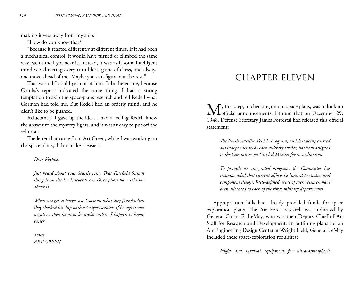making it veer away from my ship."

"How do you know that?"

"Because it reacted differently at different times. If it had been a mechanical control, it would have turned or climbed the same way each time I got near it. Instead, it was as if some intelligent mind was directing every turn like a game of chess, and always one move ahead of me. Maybe you can figure out the rest."

That was all I could get out of him. It bothered me, because Combs's report indicated the same thing. I had a strong temptation to skip the space-plans research and tell Redell what Gorman had told me. But Redell had an orderly mind, and he didn't like to be pushed.

Reluctantly, I gave up the idea. I had a feeling Redell knew the answer to the mystery lights, and it wasn't easy to put off the solution.

The letter that came from Art Green, while I was working on the space plans, didn't make it easier:

#### *Dear Keyhoe:*

*Just heard about your Seattle visit. That Fairfield Suisan thing is on the level; several Air Force pilots have told me about it.*

*When you get to Fargo, ask Gorman what they found when they checked his ship with a Geiger counter. If he says it was negative, then he must be under orders. I happen to know better.*

*Yours, ART GREEN*

# CHAPTER ELEVEN

 $\bigvee$  y first step, in checking on our space plans, was to look up  $\mathbf{V}\mathbf{I}$  official announcements. I found that on December 29, 1948, Defense Secretary James Forrestal had released this official statement:

*The Earth Satellite Vehicle Program, which is being carried out independently by each military service, has been assigned to the Committee on Guided Missiles for co-ordination.*

*To provide an integrated program, the Committee has recommended that current efforts be limited to studies and component design. Well-defined areas of such research have been allocated to each of the three military departments.*

Appropriation bills had already provided funds for space exploration plans. The Air Force research was indicated by General Curtis E. LeMay, who was then Deputy Chief of Air Staff for Research and Development. In outlining plans for an Air Engineering Design Center at Wright Field, General LeMay included these space-exploration requisites:

*Flight and survival equipment for ultra-atmospheric*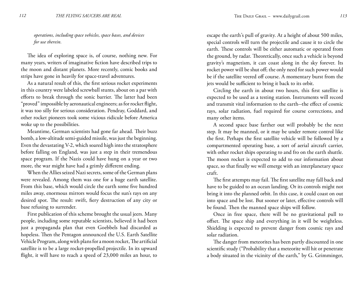*operations, including space vehicles, space bases, and devices for use therein.*

The idea of exploring space is, of course, nothing new. For many years, writers of imaginative fiction have described trips to the moon and distant planets. More recently, comic books and strips have gone in heavily for space-travel adventures.

As a natural result of this, the first serious rocket experiments in this country were labeled screwball stunts, about on a par with efforts to break through the sonic barrier. The latter had been "proved" impossible by aeronautical engineers; as for rocket flight, it was too silly for serious consideration. Pendray, Goddard, and other rocket pioneers took some vicious ridicule before America woke up to the possibilities.

Meantime, German scientists had gone far ahead. Their buzz bomb, a low-altitude semi-guided missile, was just the beginning. Even the devastating V-2, which soared high into the stratosphere before falling on England, was just a step in their tremendous space program. If the Nazis could have hung on a year or two more, the war might have had a grimly different ending.

When the Allies seized Nazi secrets, some of the German plans were revealed. Among them was one for a huge earth satellite. From this base, which would circle the earth some five hundred miles away, enormous mirrors would focus the sun's rays on any desired spot. The result: swift, fiery destruction of any city or base refusing to surrender.

First publication of this scheme brought the usual jeers. Many people, including some reputable scientists, believed it had been just a propaganda plan that even Goebbels had discarded as hopeless. Then the Pentagon announced the U.S. Earth Satellite Vehicle Program, along with plans for a moon rocket, The artificial satellite is to be a large rocket-propelled projectile. In its upward flight, it will have to reach a speed of 23,000 miles an hour, to

escape the earth's pull of gravity. At a height of about 500 miles, special controls will turn the projectile and cause it to circle the earth. These controls will be either automatic or operated from the ground, by radar. Theoretically, once such a vehicle is beyond gravity's magnetism, it can coast along in the sky forever. Its rocket power will be shut off; the only need for such power would be if the satellite veered off course. A momentary burst from the jets would be sufficient to bring it back to its orbit.

Circling the earth in about two hours, this first satellite is expected to be used as a testing station. Instruments will record and transmit vital information to the earth--the effect of cosmic rays, solar radiation, fuel required for course corrections, and many other items.

A second space base farther out will probably be the next step. It may be manned, or it may be under remote control like the first. Perhaps the first satellite vehicle will be followed by a compartmented operating base, a sort of aerial aircraft carrier, with other rocket ships operating to and fro on the earth shuttle. The moon rocket is expected to add to our information about space, so that finally we will emerge with an interplanetary space craft.

The first attempts may fail. The first satellite may fall back and have to be guided to an ocean landing. Or its controls might not bring it into the planned orbit. In this case, it could coast on out into space and be lost. But sooner or later, effective controls will be found. Then the manned space ships will follow.

Once in free space, there will be no gravitational pull to offset. The space ship and everything in it will be weightless. Shielding is expected to prevent danger from cosmic rays and solar radiation.

The danger from meteorites has been partly discounted in one scientific study ("Probability that a meteorite will hit or penetrate a body situated in the vicinity of the earth," by G. Grimminger,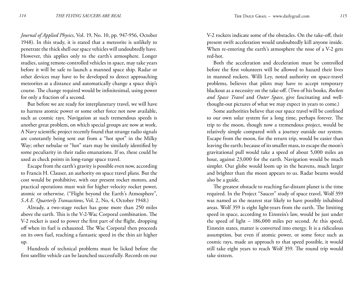*Journal of Applied Physics*, Vol. 19, No. 10, pp. 947-956, October 1948). In this study, it is stated that a meteorite is unlikely to penetrate the thick shell our space vehicles will undoubtedly have. However, this applies only to the earth's atmosphere. Longer studies, using remote-controlled vehicles in space, may take years before it will be safe to launch a manned space ship. Radar or other devices may have to be developed to detect approaching meteorites at a distance and automatically change a space ship's course. The change required would be infinitesimal, using power for only a fraction of a second.

But before we are ready for interplanetary travel, we will have to harness atomic power or some other force not now available, such as cosmic rays. Navigation at such tremendous speeds is another great problem, on which special groups are now at work. A Navy scientific project recently found that strange radio signals are constantly being sent out from a "hot spot" in the Milky Way; other nebulae or "hot" stars may be similarly identified by some peculiarity in their radio emanations. If so, these could be used as check points in long-range space travel.

Escape from the earth's gravity is possible even now, according to Francis H. Clauser, an authority on space travel plans. But the cost would be prohibitive, with our present rocket motors, and practical operations must wait for higher velocity rocket power, atomic or otherwise. ("Flight beyond the Earth's Atmosphere", *S.A.E. Quarterly Transactions*, Vol. 2, No, 4, October 1948.)

Already, a two-stage rocket has gone more than 250 miles above the earth. This is the V-2-Wac Corporal combination. The V-2 rocket is used to power the first part of the flight, dropping off when its fuel is exhausted. The Wac Corporal then proceeds on its own fuel, reaching a fantastic speed in the thin air higher up.

Hundreds of technical problems must be licked before the first satellite vehicle can be launched successfully. Records on our V-2 rockets indicate some of the obstacles. On the take-off, their present swift acceleration would undoubtedly kill anyone inside. When re-entering the earth's atmosphere the nose of a V-2 gets red-hot.

Both the acceleration and deceleration must be controlled before the first volunteers will be allowed to hazard their lives in manned rockets. Willi Ley, noted authority on space-travel problems, believes that pilots may have to accept temporary blackout as a necessity on the take-off. (Two of his books, *Rockets and Space Travel* and *Outer Space*, give fascinating and wellthought-out pictures of what we may expect in years to come.)

Some authorities believe that our space travel will be confined to our own solar system for a long time, perhaps forever. The trip to the moon, though now a tremendous project, would be relatively simple compared with a journey outside our system. Escape from the moon, for the return trip, would be easier than leaving the earth; because of its smaller mass, to escape the moon's gravitational pull would take a speed of about 5,000 miles an hour, against 23,000 for the earth. Navigation would be much simpler. Our globe would loom up in the heavens, much larger and brighter than the moon appears to us. Radar beams would also be a guide.

The greatest obstacle to reaching far-distant planet is the time required. In the Project "Saucer" study of space travel, Wolf 359 was named as the nearest star likely to have possibly inhabited areas. Wolf 359 is eight light-years from the earth. The limiting speed in space, according to Einstein's law, would be just under the speed of light – 186,000 miles per second. At this speed, Einstein states, matter is converted into energy. It is a ridiculous assumption, but even if atomic power, or some force such as cosmic rays, made an approach to that speed possible, it would still take eight years to reach Wolf 359. The round trip would take sixteen.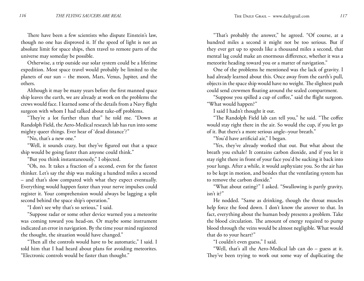There have been a few scientists who dispute Einstein's law, though no one has disproved it. If the speed of light is not an absolute limit for space ships, then travel to remote parts of the universe may someday be possible.

Otherwise, a trip outside our solar system could be a lifetime expedition. Most space travel would probably be limited to the planets of our sun – the moon, Mars, Venus, Jupiter, and the others.

Although it may be many years before the first manned space ship leaves the earth, we are already at work on the problems the crews would face. I learned some of the details from a Navy flight surgeon with whom I had talked about take-off problems.

"They're a lot further than that" he told me. "Down at Randolph Field, the Aero-Medical research lab has run into some mighty queer things. Ever hear of 'dead distance'?"

"No, that's a new one."

"Well, it sounds crazy, but they've figured out that a space ship would be going faster than anyone could think."

"But you think instantaneously," I objected.

"Oh, no. It takes a fraction of a second, even for the fastest thinker. Let's say the ship was making a hundred miles a second – and that's slow compared with what they expect eventually. Everything would happen faster than your nerve impulses could register it. Your comprehension would always be lagging a split second behind the space ship's operation."

"I don't see why that's so serious," I said.

"Suppose radar or some other device warned you a meteorite was coming toward you head-on. Or maybe some instrument indicated an error in navigation. By the time your mind registered the thought, the situation would have changed."

"Then all the controls would have to be automatic," I said. I told him that I had heard about plans for avoiding meteorites. "Electronic controls would be faster than thought."

"That's probably the answer," he agreed. "Of course, at a hundred miles a second it might not be too serious. But if they ever get up to speeds like a thousand miles a second, that mental lag could make an enormous difference, whether it was a meteorite heading toward you or a matter of navigation."

One of the problems he mentioned was the lack of gravity. I had already learned about this. Once away from the earth's pull, objects in the space ship would have no weight. The slightest push could send crewmen floating around the sealed compartment.

"Suppose you spilled a cup of coffee," said the flight surgeon. "What would happen?"

I said I hadn't thought it out.

"The Randolph Field lab can tell you," he said. "The coffee would stay right there in the air. So would the cup, if you let go of it. But there's a more serious angle--your breath."

"You'd have artificial air," I began.

"Yes, they've already worked that out. But what about the breath you exhale? It contains carbon dioxide, and if you let it stay right there in front of your face you'd be sucking it back into your lungs. After a while, it would asphyxiate you. So the air has to be kept in motion, and besides that the ventilating system has to remove the carbon dioxide."

"What about eating?" I asked. "Swallowing is partly gravity, isn't it?"

He nodded. "Same as drinking, though the throat muscles help force the food down. I don't know the answer to that. In fact, everything about the human body presents a problem. Take the blood circulation. The amount of energy required to pump blood through the veins would be almost negligible. What would that do to your heart?"

"I couldn't even guess," I said.

"Well, that's all the Aero-Medical lab can do – guess at it. They've been trying to work out some way of duplicating the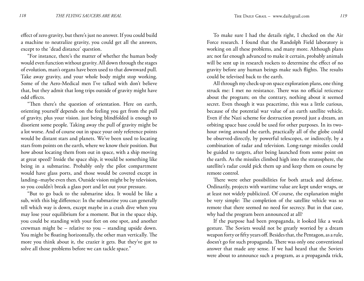effect of zero gravity, but there's just no answer. If you could build a machine to neutralize gravity, you could get all the answers, except to the 'dead distance' question.

"For instance, there's the matter of whether the human body would even function without gravity. All down through the stages of evolution, man's organs have been used to that downward pull. Take away gravity, and your whole body might stop working. Some of the Aero-Medical men I've talked with don't believe that, but they admit that long trips outside of gravity might have odd effects.

"Then there's the question of orientation. Here on earth, orienting yourself depends on the feeling you get from the pull of gravity, plus your vision. just being blindfolded is enough to disorient some people. Taking away the pull of gravity might be a lot worse. And of course out in space your only reference points would be distant stars and planets. We've been used to locating stars from points on the earth, where we know their position. But how about locating them from out in space, with a ship moving at great speed? Inside the space ship, it would be something like being in a submarine. Probably only the pilot compartment would have glass ports, and those would be covered except in landing--maybe even then. Outside vision might be by television, so you couldn't break a glass port and let out your pressure.

"But to go back to the submarine idea. It would be like a sub, with this big difference: In the submarine you can generally tell which way is down, except maybe in a crash dive when you may lose your equilibrium for a moment. But in the space ship, you could be standing with your feet on one spot, and another crewman might be – relative to you – standing upside down. You might be floating horizontally, the other man vertically. The more you think about it, the crazier it gets. But they've got to solve all those problems before we can tackle space."

To make sure I had the details right, I checked on the Air Force research. I found that the Randolph Field laboratory is working on all these problems, and many more. Although plans arc not far enough advanced to make it certain, probably animals will be sent up in research rockets to determine the effect of no gravity before any human beings make such flights. The results could be televised back to the earth.

All through my check-up on space exploration plans, one thing struck me: I met no resistance. There was no official reticence about the program; on the contrary, nothing about it seemed secret. Even though it was peacetime, this was a little curious, because of the potential war value of an earth satellite vehicle. Even if the Nazi scheme for destruction proved just a dream, an orbiting space base could be used for other purposes. In its twohour swing around the earth, practically all of the globe could be observed-directly, by powerful telescopes, or indirectly, by a combination of radar and television. Long-range missiles could be guided to targets, after being launched from some point on the earth. As the missiles climbed high into the stratosphere, the satellite's radar could pick them up and keep them on course by remote control.

There were other possibilities for both attack and defense. Ordinarily, projects with wartime value are kept under wraps, or at least not widely publicized. Of course, the explanation might be very simple: The completion of the satellite vehicle was so remote that there seemed no need for secrecy. But in that case, why had the program been announced at all?

If the purpose had been propaganda, it looked like a weak gesture. The Soviets would not be greatly worried by a dream weapon forty or fifty years off. Besides that, the Pentagon, as a rule, doesn't go for such propaganda. There was only one conventional answer that made any sense. If we had heard that the Soviets were about to announce such a program, as a propaganda trick,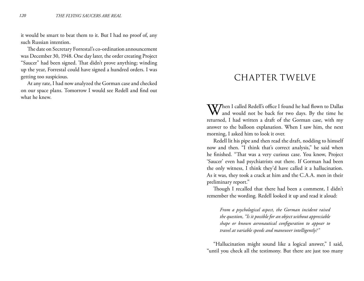it would be smart to beat them to it. But I had no proof of, any such Russian intention.

The date on Secretary Forrestal's co-ordination announcement was December 30, 1948. One day later, the order creating Project "Saucer" had been signed. That didn't prove anything; winding up the year, Forrestal could have signed a hundred orders. I was getting too suspicious.

At any rate, I had now analyzed the Gorman case and checked on our space plans. Tomorrow I would see Redell and find out what he knew.

### CHAPTER TWELVE

When I called Redell's office I found he had flown to Dallas<br>and would not be back for two days. By the time he returned, I had written a draft of the Gorman case, with my answer to the balloon explanation. When I saw him, the next morning, I asked him to look it over.

Redell lit his pipe and then read the draft, nodding to himself now and then. "I think that's correct analysis," he said when he finished. "That was a very curious case. You know, Project 'Saucer' even had psychiatrists out there. If Gorman had been the only witness, I think they'd have called it a hallucination. As it was, they took a crack at him and the C.A.A. men in their preliminary report."

Though I recalled that there had been a comment, I didn't remember the wording. Redell looked it up and read it aloud:

*From a psychological aspect, the Gorman incident raised the question, "Is it possible for an object without appreciable shape or known aeronautical configuration to appear to travel at variable speeds and maneuver intelligently?"*

"Hallucination might sound like a logical answer," I said, "until you check all the testimony. But there are just too many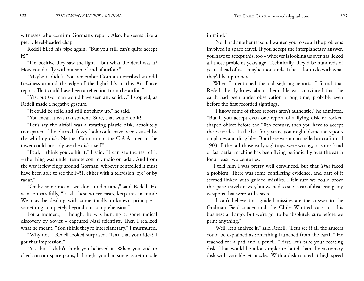witnesses who confirm Gorman's report. Also, he seems like a pretty level-headed chap."

Redell filled his pipe again. "But you still can't quite accept it?"

"I'm positive they saw the light – but what the devil was it? How could it fly without some kind of airfoil?"

"Maybe it didn't. You remember Gorman described an odd fuzziness around the edge of the light? It's in this Air Force report. That could have been a reflection from the airfoil."

"Yes, but Gorman would have seen any solid…" I stopped, as Redell made a negative gesture.

"It could be solid and still not show up," he said.

"You mean it was transparent? Sure, that would do it!"

"Let's say the airfoil was a rotating plastic disk, absolutely transparent. The blurred, fuzzy look could have been caused by the whirling disk. Neither Gorman nor the C.A.A. men in the tower could possibly see the disk itself."

"Paul, I think you've hit it," I said. "I can see thc rest of it – the thing was under remote control, radio or radar. And from the way it flew rings around Gorman, whoever controlled it must have been able to see the F-51, either with a television 'eye' or by radar,"

"Or by some means we don't understand," said Redell. He went on carefully, "In all these saucer cases, keep this in mind: We may be dealing with some totally unknown principle something completely beyond our comprehension."

For a moment, I thought he was hunting at some radical discovery by Soviet – captured Nazi scientists. Then I realized what he meant. "You think they're interplanetary," I murmured.

"Why not?" Redell looked surprised. "Isn't that your idea? I got that impression."

"Yes, but I didn't think you believed it. When you said to check on our space plans, I thought you had some secret missile in mind."

"No, I had another reason. I wanted you to see all the problems involved in space travel. If you accept the interplanetary answer, you have to accept this, too – whoever is looking us over has licked all those problems years ago. Technically, they'd be hundreds of years ahead of us – maybe thousands. It has a lot to do with what they'd be up to here."

When I mentioned the old sighting reports, I found that Redell already knew about them. He was convinced that the earth had been under observation a long time, probably even before the first recorded sightings.

"I know some of those reports aren't authentic," he admitted. "But if you accept even one report of a flying disk or rocketshaped object before the 20th century, then you have to accept the basic idea. In the last forty years, you might blame the reports on planes and dirigibles. But there was no propelled aircraft until 1903. Either all those early sightings were wrong, or some kind of fast aerial machine has been flying periodically over the earth for at least two centuries.

I told him I was pretty well convinced, but that *True* faced a problem. There was some conflicting evidence, and part of it seemed linked with guided missiles. I felt sure we could prove the space-travel answer, but we had to stay clear of discussing any weapons that were still a secret.

"I can't believe that guided missiles are the answer to the Godman Field saucer and the Chiles-Whitted case, or this business at Fargo. But we're got to be absolutely sure before we print anything."

"Well, let's analyze it," said Redell. "Let's see if all the saucers could be explained as something launched from the earth." He reached for a pad and a pencil. "First, let's take your rotating disk. That would be a lot simpler to build than the stationary disk with variable jet nozzles. With a disk rotated at high speed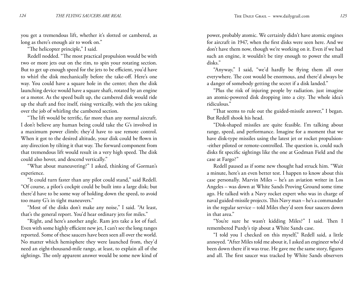you get a tremendous lift, whether it's slotted or cambered, as long as there's enough air to work on."

"The helicopter principle," I said.

Redell nodded. "The most practical propulsion would be with two or more jets out on the rim, to spin your rotating section. But to get up enough speed for the jets to be efficient, you'd have to whirl the disk mechanically before the take-off. Here's one way. You could have a square hole in the center; then the disk launching device would have a square shaft, rotated by an engine or a motor. As the speed built up, the cambered disk would ride up the shaft and free itself, rising vertically, with the jets taking over the job of whirling the cambered section.

"The lift would be terrific, far more than any normal aircraft. I don't believe any human being could take the G's involved in a maximum power climb; they'd have to use remote control. When it got to the desired altitude, your disk could be flown in any direction by tilting it that way. The forward component from that tremendous lift would result in a very high speed. The disk could also hover, and descend vertically."

"What about maneuvering?" I asked, thinking of Gorman's experience.

"It could turn faster than any pilot could stand," said Redell. "Of course, a pilot's cockpit could be built into a large disk; but there'd have to be some way of holding down the speed, to avoid too many G's in tight maneuvers."

"Most of the disks don't make any noise," I said. "At least, that's the general report. You'd hear ordinary jets for miles."

"Right, and here's another angle. Ram jets take a lot of fuel. Even with some highly efficient new jet, I can't see the long ranges reported. Some of these saucers have been seen all over the world. No matter which hemisphere they were launched from, they'd need an eight-thousand-mile range, at least, to explain all of the sightings. The only apparent answer would be some new kind of

power, probably atomic. We certainly didn't have atomic engines for aircraft in 1947, when the first disks were seen here. And we don't have them now, though we're working on it. Even if we had such an engine, it wouldn't be tiny enough to power the small disks."

"Anyway," I said, "we'd hardly be flying them all over everywhere. The cost would be enormous, and there'd always be a danger of somebody getting the secret if a disk landed."

"Plus the risk of injuring people by radiation. just imagine an atomic-powered disk dropping into a city. The whole idea's ridiculous."

"That seems to rule out the guided-missile answer," I began. But Redell shook his head.

"Disk-shaped missiles are quite feasible. I'm talking about range, speed, and performance. Imagine for a moment that we have disk-type missiles using the latest jet or rocket propulsion- -either piloted or remote-controlled. The question is, could such disks fit specific sightings like the one at Godman Field and the case at Fargo?"

Redell paused as if some new thought had struck him. "Wait a minute, here's an even better test. I happen to know about this case personally. Marvin Miles – he's an aviation writer in Los Angeles – was down at White Sands Proving Ground some time ago. He talked with a Navy rocket expert who was in charge of naval guided-missile projects. This Navy man – he's a commander in the regular service – told Miles they'd seen four saucers down in that area."

"You're sure he wasn't kidding Miles?" I said. Then I remembered Purdy's tip about a White Sands case.

"I told you I checked on this myself," Redell said, a little annoyed. "After Miles told me about it, I asked an engineer who'd been down there if it was true. He gave me the same story, figures and all. The first saucer was tracked by White Sands observers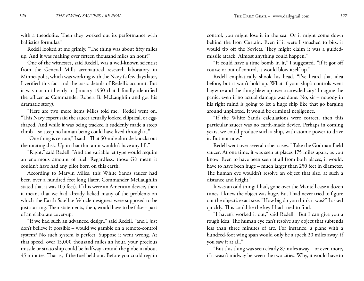with a theodolite. Then they worked out its performance with ballistics formulas."

Redell looked at me grimly. "The thing was about fifty miles up. And it was making over fifteen thousand miles an hour!"

One of the witnesses, said Redell, was a well-known scientist from the General Mills aeronautical research laboratory in Minneapolis, which was working with the Navy (a few days later, I verified this fact and the basic details of Redell's account. But it was not until early in January 1950 that I finally identified the officer as Commander Robert B. McLaughlin and got his dramatic story).

"Here are two more items Miles told me," Redell went on. "This Navy expert said the saucer actually looked elliptical, or eggshaped. And while it was being tracked it suddenly made a steep climb – so steep no human being could have lived through it."

"One thing is certain," I said. "That 50-mile altitude knocks out the rotating disk. Up in that thin air it wouldn't have any lift."

"Right," said Redell. "And the variable jet type would require an enormous amount of fuel. Regardless, those G's mean it couldn't have had any pilot born on this earth."

According to Marvin Miles, this White Sands saucer had been over a hundred feet long (later, Commander McLaughlin stated that it was 105 feet). If this were an American device, then it meant that we had already licked many of the problems on which the Earth Satellite Vehicle designers were supposed to be just starting. Their statements, then, would have to be false – part of an elaborate cover-up.

"If we had such an advanced design," said Redell, "and I just don't believe it possible – would we gamble on a remote-control system? No such system is perfect. Suppose it went wrong. At that speed, over 15,000 thousand miles an hour, your precious missile or strato ship could be halfway around the globe in about 45 minutes. That is, if the fuel held out. Before you could regain

control, you might lose it in the sea. Or it might come down behind the Iron Curtain. Even if it were I smashed to bits, it would tip off the Soviets. They might claim it was a guidedmissile attack. Almost anything could happen."

"It could have a time bomb in it," I suggested. "if it got off course or out of control, it would blow itself up."

Redell emphatically shook his head. "I've heard that idea before, but it won't hold up. What if your ship's controls went haywire and the thing blew up over a crowded city? Imagine the panic, even if no actual damage was done. No, sir – nobody in his right mind is going to let a huge ship like that go barging around unpiloted. It would be criminal negligence.

"If the White Sands calculations were correct, then this particular saucer was no earth-made device. Perhaps in coming years, we could produce such a ship, with atomic power to drive it. But not now."

Redell went over several other cases. "Take the Godman Field saucer. At one time, it was seen at places 175 miles apart, as you know. Even to have been seen at all from both places, it would. have to have been huge – much larger than 250 feet in diameter. The human eye wouldn't resolve an object that size, at such a distance and height."

It was an odd thing; I had, gone over the Mantell case a dozen times. I knew the object was huge. But I had never tried to figure out the object's exact size. "How big do you think it was?" I asked quickly. This could be the key I had tried to find.

"I haven't worked it out," said Redell. "But I can give you a rough idea. The human eye can't resolve any object that subtends less than three minutes of arc. For instance, a plane with a hundred-foot wing span would only be a speck 20 miles away, if you saw it at all."

"But this thing was seen clearly 87 miles away – or even more, if it wasn't midway between the two cities. Why, it would have to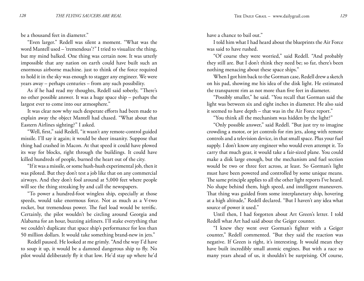be a thousand feet in diameter."

"Even larger." Redell was silent a moment. "What was the word Mantell used – 'tremendous'?" I tried to visualize the thing, but my mind balked. One thing was certain now. It was utterly impossible that any nation on earth could have built such an enormous airborne machine. just to think of the force required to hold it in the sky was enough to stagger any engineer. We were years away – perhaps centuries – from any such possibility.

As if he had read my thoughts, Redell said soberly, "There's no other possible answer. It was a huge space ship – perhaps the largest ever to come into our atmosphere."

It was clear now why such desperate efforts had been made to explain away the object Mantell had chased. "What about that Eastern Airlines sighting?" I asked.

"Well, first," said Redell, "it wasn't any remote-control guided missile. I'll say it again; it would be sheer insanity. Suppose that thing had crashed in Macon. At that speed it could have plowed its way for blocks, right through the buildings. It could have killed hundreds of people, burned the heart out of the city.

"If it was a missile, or some hush-hush experimental job, then it was piloted. But they don't test a job like that on any commercial airways. And they don't fool around at 5,000 feet where people will see the thing streaking by and call the newspapers.

"To power a hundred-foot wingless ship, especially at those speeds, would take enormous force. Not as much as a V-two rocket, but tremendous power. The fuel load would be terrific. Certainly, the pilot wouldn't be circling around Georgia and Alabama for an hour, buzzing airliners. I'll stake everything that we couldn't duplicate that space ship's performance for less than 50 million dollars. It would take something brand-new in jets."

Redell paused. He looked at me grimly. "And the way I'd have to soup it up, it would be a damned dangerous ship to fly. No pilot would deliberately fly it that low. He'd stay up where he'd

have a chance to bail out."

I told him what I had heard about the blueprints the Air Force was said to have rushed.

"Of course they were worried," said Redell. "And probably they still are. But I don't think they need be; so far, there's been nothing menacing about these space ships."

When I got him back to the Gorman case, Redell drew a sketch on his pad, showing me his idea of the disk light. He estimated the transparent rim as not more than five feet in diameter.

"Possibly smaller," he said. "You recall that Gorman said the light was between six and eight inches in diameter. He also said it seemed to have depth – that was in the Air Force report."

"You think all the mechanism was hidden by the light?"

"Only possible answer," said Redell. "But just try to imagine crowding a motor, or jet controls for rim jets, along with remote controls and a television device, in that small space. Plus your fuel supply. I don't know any engineer who would even attempt it. To carry that much gear, it would take a fair-sized plane. You could make a disk large enough, but the mechanism and fuel section would be two or three feet across, at least. So Gorman's light must have been powered and controlled by some unique means. The same principle applies to all the other light reports I've heard. No shape behind them, high speed, and intelligent maneuvers. That thing was guided from some interplanetary ship, hovering at a high altitude," Redell declared. "But I haven't any idea what source of power it used."

Until then, I had forgotten about Art Green's letter. I told Redell what Art had said about the Geiger counter.

"I knew they went over Gorman's fighter with a Geiger counter," Redell commented. "But they said the reaction was negative. If Green is right, it's interesting. It would mean they have built incredibly small atomic engines. But with a race so many years ahead of us, it shouldn't be surprising. Of course,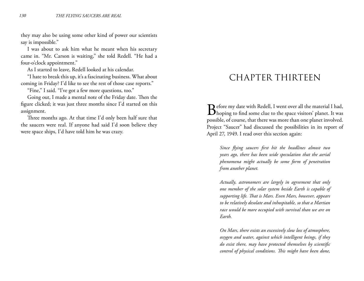they may also be using some other kind of power our scientists say is impossible."

I was about to ask him what he meant when his secretary came in. "Mr. Carson is waiting," she told Redell. "He had a four-o'clock appointment."

As I started to leave, Redell looked at his calendar.

"I hate to break this up, it's a fascinating business. What about coming in Friday? I'd like to see the rest of those case reports."

"Fine," I said. "I've got a few more questions, too."

Going out, I made a mental note of the Friday date. Then the figure clicked; it was just three months since I'd started on this assignment.

Three months ago. At that time I'd only been half sure that the saucers were real. If anyone had said I'd soon believe they were space ships, I'd have told him he was crazy.

## CHAPTER THIRTEEN

 $\bf D$  efore my date with Redell, I went over all the material I had,  $\mathbf D$  hoping to find some clue to the space visitors' planet. It was possible, of course, that there was more than one planet involved. Project "Saucer" had discussed the possibilities in its report of April 27, 1949. I read over this section again:

*Since flying saucers first hit the headlines almost two years ago, there has been wide speculation that the aerial phenomena might actually be some form of penetration from another planet.*

*Actually, astronomers are largely in agreement that only one member of the solar system beside Earth is capable of supporting life. That is Mars. Even Mars, however, appears to be relatively desolate and inhospitable, so that a Martian race would be more occupied with survival than we are on Earth.*

*On Mars, there exists an excessively slow loss of atmosphere, oxygen and water, against which intelligent beings, if they do exist there, may have protected themselves by scientific control of physical conditions. This might have been done,*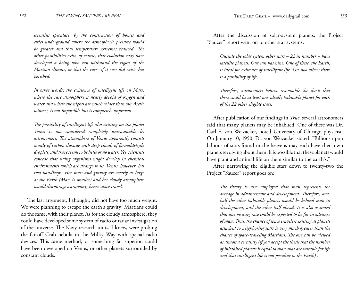*scientists speculate, by the construction of homes and cities underground where the atmospheric pressure would be greater and thus temperature extremes reduced. The other possibilities exist, of course, that evolution may have developed a being who can withstand the rigors of the Martian climate, or that the race--if it ever did exist--has perished.*

*In other words, the existence of intelligent life on Mars, where the rare atmosphere is nearly devoid of oxygen and water and where the nights are much colder than our Arctic winters, is not impossible but is completely unproven.*

*The possibility of intelligent life also existing on the planet Venus is not considered completely unreasonable by astronomers. The atmosphere of Venus apparently consists mostly of carbon dioxide with deep clouds of formaldehyde droplets, and there seems to be little or no water. Yet, scientists concede that living organisms might develop in chemical environments which are strange to us. Venus, however, has two handicaps. Her mass and gravity are nearly as large as the Earth (Mars is smaller) and her cloudy atmosphere would discourage astronomy, hence space travel.*

The last argument, I thought, did not have too much weight. We were planning to escape the earth's gravity; Martians could do the same, with their planet. As for the cloudy atmosphere, they could have developed some system of radio or radar investigation of the universe. The Navy research units, I knew, were probing the far-off Crab nebula in the Milky Way with special radio devices. This same method, or something far superior, could have been developed on Venus, or other planets surrounded by constant clouds.

After the discussion of solar-system planets, the Project "Saucer" report went on to other star systems:

*Outside the solar system other stars – 22 in number – have satellite planets. Our sun has nine. One of these, the Earth, is ideal for existence of intelligent life. On two others there is a possibility of life.*

*Therefore, astronomers believe reasonable the thesis that there could be at least one ideally habitable planet for each of the 22 other eligible stars.*

After publication of our findings in *True*, several astronomers said that many planets may be inhabited. One of these was Dr. Carl F. von Weizacker, noted University of Chicago physicist. On January 10, 1950, Dr. von Weizacker stated: "Billions upon billions of stars found in the heavens may each have their own planets revolving about them. It is possible that these planets would have plant and animal life on them similar to the earth's."

After narrowing the eligible stars down to twenty-two the Project "Saucer" report goes on:

*The theory is also employed that man represents the average in advancement and development. Therefore, onehalf the other habitable planets would be behind man in development, and the other half ahead. It is also assumed that any visiting race could be expected to be far in advance of man. Thus, the chance of space travelers existing at planets attached to neighboring stars is very much greater than the chance of space-traveling Martians. The one can be viewed as almost a certainty (if you accept the thesis that the number of inhabited planets is equal to those that are suitable for life and that intelligent life is not peculiar to the Earth) .*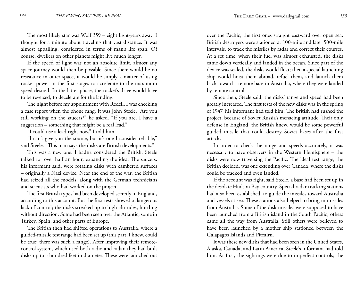The most likely star was Wolf 359 – eight light-years away. I thought for a minute about traveling that vast distance. It was almost appalling, considered in terms of man's life span. Of course, dwellers on other planets might live much longer.

If the speed of light was not an absolute limit, almost any space journey would then be possible. Since there would be no resistance in outer space, it would be simply a matter of using rocket power in the first stages to accelerate to the maximum speed desired. In the latter phase, the rocket's drive would have to be reversed, to decelerate for the landing.

The night before my appointment with Redell, I was checking a case report when the phone rang. It was John Steele. "Are you still working on the saucers?" he asked. "If you are, I have a suggestion – something that might be a real lead."

"I could use a lead right now," I told him.

"I can't give you the source, but it's one I consider reliable," said Steele. "This man says the disks are British developments."

This was a new one. I hadn't considered the British. Steele talked for over half an hour, expanding the idea. The saucers, his informant said, were rotating disks with cambered surfaces – originally a Nazi device. Near the end of the war, the British had seized all the models, along with the German technicians and scientists who had worked on the project.

The first British types had been developed secretly in England, according to this account. But the first tests showed a dangerous lack of control; the disks streaked up to high altitudes, hurtling without direction. Some had been seen over the Atlantic, some in Turkey, Spain, and other parts of Europe.

The British then had shifted operations to Australia, where a guided-missile test range had been set up (this part, I knew, could be true; there was such a range). After improving their remotecontrol system, which used both radio and radar, they had built disks up to a hundred feet in diameter. These were launched out over the Pacific, the first ones straight eastward over open sea. British destroyers were stationed at 100-mile and later 500-mile intervals, to track the missiles by radar and correct their courses. At a set time, when their fuel was almost exhausted, the disks came down vertically and landed in the ocean. Since part of the device was sealed, the disks would float; then a special launching ship would hoist them abroad, refuel them, and launch them back toward a remote base in Australia, where they were landed by remote control.

Since then, Steele said, the disks' range and speed had been greatly increased. The first tests of the new disks was in the spring of 1947, his informant had told him. The British had rushed the project, because of Soviet Russia's menacing attitude. Their only defense in England, the British knew, would be some powerful guided missile that could destroy Soviet bases after the first attack.

In order to check the range and speeds accurately, it was necessary to have observers in the Western Hemisphere – the disks were now traversing the Pacific. The ideal test range, the British decided, was one extending over Canada, where the disks could be tracked and even landed.

If the account was right, said Steele, a base had been set up in the desolate Hudson Bay country. Special radar-tracking stations had also been established, to guide the missiles toward Australia and vessels at sea. These stations also helped to bring in missiles from Australia. Some of the disk missiles were supposed to have been launched from a British island in the South Pacific; others came all the way from Australia. Still others were believed to have been launched by a mother ship stationed between the Galapagos Islands and Pitcairn.

It was these new disks that had been seen in the United States, Alaska, Canada, and Latin America, Steele's informant had told him. At first, the sightings were due to imperfect controls; the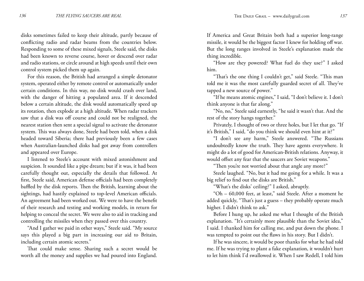disks sometimes failed to keep their altitude, partly because of conflicting radio and radar beams from the countries below. Responding to some of these mixed signals, Steele said, the disks had been known to reverse course, hover or descend over radar and radio stations, or circle around at high speeds until their own control system picked them up again.

For this reason, the British had arranged a simple detonator system, operated either by remote control or automatically under certain conditions. In this way, no disk would crash over land, with the danger of hitting a populated area. If it descended below a certain altitude, the disk would automatically speed up its rotation, then explode at a high altitude. When radar trackers saw that a disk was off course and could not be realigned, the nearest station then sent a special signal to activate the detonator system. This was always done, Steele had been told, when a disk headed toward Siberia; there had previously been a few cases when Australian-launched disks had got away from controllers and appeared over Europe.

I listened to Steele's account with mixed astonishment and suspicion. It sounded like a pipe dream; but if it was, it had been carefully thought out, especially the details that followed. At first, Steele said, American defense officials had been completely baffled by the disk reports. Then the British, learning about the sightings, had hastily explained to top-level American officials. An agreement had been worked out. We were to have the benefit of their research and testing and working models, in return for helping to conceal the secret. We were also to aid in tracking and controlling the missiles when they passed over this country.

"And I gather we paid in other ways," Steele said. "My source says this played a big part in increasing our aid to Britain, including certain atomic secrets."

That could make sense. Sharing such a secret would be worth all the money and supplies we had poured into England.

If America and Great Britain both had a superior long-range missile, it would be the biggest factor I knew for holding off war. But the long ranges involved in Steele's explanation made the thing incredible.

"How are they powered? What fuel do they use?" I asked him.

"That's the one thing I couldn't get," said Steele. "This man told me it was the most carefully guarded secret of all. They've tapped a new source of power."

"If he means atomic engines," I said, "I don't believe it. I don't think anyone is that far along."

"No, no," Steele said earnestly, "he said it wasn't that. And the rest of the story hangs together."

Privately, I thought of two or three holes, but I let that go. "If it's British," I said, "do you think we should even hint at it?"

"I don't see any harm," Steele answered. "The Russians undoubtedly know the truth. They have agents everywhere. It might do a lot of good for American-British relations. Anyway, it would offset any fear that the saucers are Soviet weapons."

"Then you're not worried about that angle any more?"

Steele laughed. "No, but it had me going for a while. It was a big relief to find out the disks are British."

"What's the disks' ceiling?" I asked, abruptly.

"Oh – 60,000 feet, at least," said Steele. After a moment he added quickly, "That's just a guess – they probably operate much higher. I didn't think to ask."

Before I hung up, he asked me what I thought of the British explanation. "It's certainly more plausible than the Soviet idea," I said. I thanked him for calling me, and put down the phone. I was tempted to point out the flaws in his story. But I didn't.

If he was sincere, it would be poor thanks for what he had told me. If he was trying to plant a fake explanation, it wouldn't hurt to let him think I'd swallowed it. When I saw Redell, I told him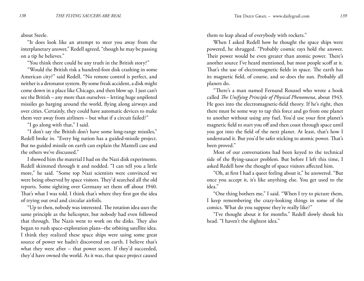about Steele.

"It does look like an attempt to steer you away from the interplanetary answer," Redell agreed, "though he may be passing on a tip he believes."

"You think there could be any truth in the British story?"

"Would the British risk a hundred-foot disk crashing in some American city?" said Redell. "No remote control is perfect, and neither is a detonator system. By some freak accident, a disk might come down in a place like Chicago, and then blow up. I just can't see the British – any more than ourselves – letting huge unpiloted missiles go barging around the world, flying along airways and over cities. Certainly, they could have automatic devices to make them veer away from airliners – but what if a circuit failed?"

"I go along with that," I said.

"I don't say the British don't have some long-range missiles," Redell broke in. "Every big nation has a guided-missile project. But no guided missile on earth can explain the Mantell case and the others we've discussed."

I showed him the material I had on the Nazi disk experiments. Redell skimmed through it and nodded. "I can tell you a little more," he said. "Some top Nazi scientists were convinced we were being observed by space visitors. They'd searched all the old reports. Some sighting over Germany set them off about 1940. That's what I was told. I think that's where they first got the idea of trying out oval and circular airfoils.

"Up to then, nobody was interested. The rotation idea uses the same principle as the helicopter, but nobody had even followed that through. The Nazis went to work on the disks. They also began to rush space-exploration plans--the orbiting satellite idea. I think they realized these space ships were using some great source of power we hadn't discovered on earth. I believe that's what they were after – that power secret. If they'd succeeded, they'd have owned the world. As it was, that space project caused

them to leap ahead of everybody with rockets."

When I asked Redell how he thought the space ships were powered, he shrugged. "Probably cosmic rays hold the answer. Their power would be even greater than atomic power. There's another source I've heard mentioned, but most people scoff at it. That's the use of electromagnetic fields in space. The earth has its magnetic field, of course, and so does the sun. Probably all planets do.

"There's a man named Fernand Roussel who wrote a book called *The Unifying Principle of Physical Phenomena*, about 1943. He goes into the electromagnetic-field theory. If he's right, then there must be some way to tap this force and go from one planet to another without using any fuel. You'd use your first planet's magnetic field to start you off and then coast through space until you got into the field of the next planet. At least, that's how I understand it. But you'd be safer sticking to atomic power. That's been proved."

Most of our conversations had been keyed to the technical side of the flying-saucer problem. But before I left this time, I asked Redell how the thought of space visitors affected him.

"Oh, at first I had a queer feeling about it," he answered. "But once you accept it, it's like anything else. You get used to the idea."

"One thing bothers me," I said. "When I try to picture them, I keep remembering the crazy-looking things in some of the comics. What do you suppose they're really like?"

"I've thought about it for months." Redell slowly shook his head. "I haven't the slightest idea."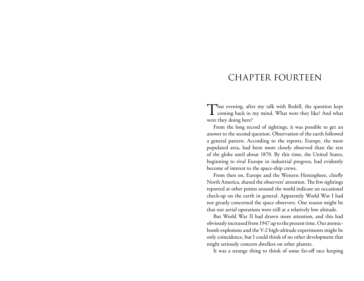### CHAPTER FOURTEEN

That evening, after my talk with Redell, the question kept coming back in my mind. What were they like? And what were they doing here?

From the long record of sightings, it was possible to get an answer to the second question. Observation of the earth followed a general pattern. According to the reports, Europe, the most populated area, had been more closely observed than the rest of the globe until about 1870. By this time, the United States, beginning to rival Europe in industrial progress, had evidently become of interest to the space-ship crews.

From then on, Europe and the Western Hemisphere, chiefly North America, shared the observers' attention. The few sightings reported at other points around the world indicate an occasional check-up on the earth in general. Apparently World War I had not greatly concerned the space observers. One reason might be that our aerial operations were still at a relatively low altitude.

But World War II had drawn more attention, and this had obviously increased from 1947 up to the present time. Our atomicbomb explosions and the V-2 high-altitude experiments might be only coincidence, but I could think of no other development that might seriously concern dwellers on other planets.

It was a strange thing to think of some far-off race keeping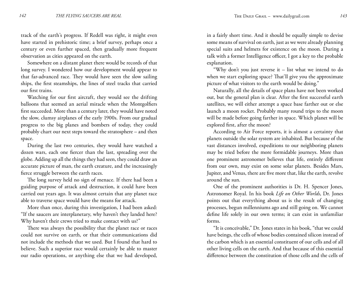track of the earth's progress. If Redell was right, it might even have started in prehistoric time; a brief survey, perhaps once a century or even further spaced, then gradually more frequent observation as cities appeared on the earth.

Somewhere on a distant planet there would be records of that long survey. I wondered how our development would appear to that far-advanced race. They would have seen the slow sailing ships, the first steamships, the lines of steel tracks that carried our first trains.

Watching for our first aircraft, they would see the drifting balloons that seemed an aerial miracle when the Montgolfiers first succeeded. More than a century later, they would have noted the slow, clumsy airplanes of the early 1900s. From our gradual progress to the big planes and bombers of today, they could probably chart our next steps toward the stratosphere – and then space.

During the last two centuries, they would have watched a dozen wars, each one fiercer than the last, spreading over the globe. Adding up all the things they had seen, they could draw an accurate picture of man, the earth creature, and the increasingly fierce struggle between the earth races.

The long survey held no sign of menace. If there had been a guiding purpose of attack and destruction, it could have been carried out years ago. It was almost certain that any planet race able to traverse space would have the means for attack.

More than once, during this investigation, I had been asked: "If the saucers are interplanetary, why haven't they landed here? Why haven't their crews tried to make contact with us?"

There was always the possibility that the planet race or races could not survive on earth, or that their communications did not include the methods that we used. But I found that hard to believe. Such a superior race would certainly be able to master our radio operations, or anything else that we had developed,

in a fairly short time. And it should be equally simple to devise some means of survival on earth, just as we were already planning special suits and helmets for existence on the moon. During a talk with a former Intelligence officer, I got a key to the probable explanation.

"Why don't you just reverse it – list what we intend to do when we start exploring space? That'll give you the approximate picture of what visitors to the earth would be doing."

Naturally, all the details of space plans have not been worked out, but the general plan is clear. After the first successful earth satellites, we will either attempt a space base farther out or else launch a moon rocket. Probably many round trips to the moon will be made before going farther in space. Which planet will be explored first, after the moon?

According to Air Force reports, it is almost a certainty that planets outside the solar system are inhabited. But because of the vast distances involved, expeditions to our neighboring planets may be tried before the more formidable journeys. More than one prominent astronomer believes that life, entirely different from our own, may exist on some solar planets. Besides Mars, Jupiter, and Venus, there are five more that, like the earth, revolve around the sun.

One of the prominent authorities is Dr. H. Spencer Jones, Astronomer Royal. In his book *Life on Other Worlds*, Dr. Jones points out that everything about us is the result of changing processes, begun millenniums ago and still going on. We cannot define life solely in our own terms; it can exist in unfamiliar forms.

"It is conceivable," Dr. Jones states in his book, "that we could have beings, the cells of whose bodies contained silicon instead of the carbon which is an essential constituent of our cells and of all other living cells on the earth. And that because of this essential difference between the constitution of those cells and the cells of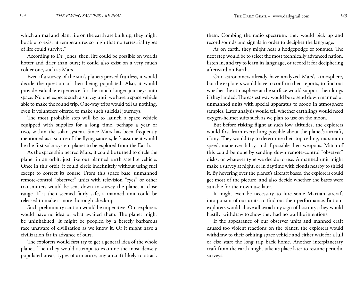which animal and plant life on the earth are built up, they might be able to exist at temperatures so high that no terrestrial types of life could survive."

According to Dr. Jones, then, life could be possible on worlds hotter and drier than ours; it could also exist on a very much colder one, such as Mars.

Even if a survey of the sun's planets proved fruitless, it would decide the question of their being populated. Also, it would provide valuable experience for the much longer journeys into space. No one expects such a survey until we have a space vehicle able to make the round trip. One-way trips would tell us nothing, even if volunteers offered to make such suicidal journeys.

The most probable step will be to launch a space vehicle equipped with supplies for a long time, perhaps a year or two, within the solar system. Since Mars has been frequently mentioned as a source of the flying saucers, let's assume it would be the first solar-system planet to be explored from the Earth.

As the space ship neared Mars, it could be turned to circle the planet in an orbit, just like our planned earth satellite vehicle. Once in this orbit, it could circle indefinitely without using fuel except to correct its course. From this space base, unmanned remote-control "observer" units with television "eyes" or other transmitters would be sent down to survey the planet at close range. If it then seemed fairly safe, a manned unit could be released to make a more thorough check-up.

Such preliminary caution would be imperative. Our explorers would have no idea of what awaited them. The planet might be uninhabited. It might be peopled by a fiercely barbarous race unaware of civilization as we know it. Or it might have a civilization far in advance of ours.

The explorers would first try to get a general idea of the whole planet. Then they would attempt to examine the most densely populated areas, types of armature, any aircraft likely to attack them. Combing the radio spectrum, they would pick up and record sounds and signals in order to decipher the language.

As on earth, they might hear a hodgepodge of tongues. The next step would be to select the most technically advanced nation, listen in, and try to learn its language, or record it for deciphering afterward on Earth.

Our astronomers already have analyzed Mars's atmosphere, but the explorers would have to confirm their reports, to find out whether the atmosphere at the surface would support their lungs if they landed. The easiest way would be to send down manned or unmanned units with special apparatus to scoop in atmosphere samples. Later analysis would tell whether earthlings would need oxygen-helmet suits such as we plan to use on the moon.

But before risking flight at such low altitudes, the explorers would first learn everything possible about the planet's aircraft, if any. They would try to determine their top ceiling, maximum speed, maneuverability, and if possible their weapons. Mitch of this could be done by sending down remote-control "observer" disks, or whatever type we decide to use. A manned unit might make a survey at night, or in daytime with clouds nearby to shield it. By hovering over the planet's aircraft bases, the explorers could get most of the picture, and also decide whether the bases were suitable for their own use later.

It might even be necessary to lure some Martian aircraft into pursuit of our units, to find out their performance. But our explorers would above all avoid any sign of hostility; they would hastily. withdraw to show they had no warlike intentions.

If the appearance of our observer units and manned craft caused too violent reactions on the planet, the explorers would withdraw to their orbiting space vehicle and either wait for a lull or else start the long trip back home. Another interplanetary craft from the earth might take its place later to resume periodic surveys.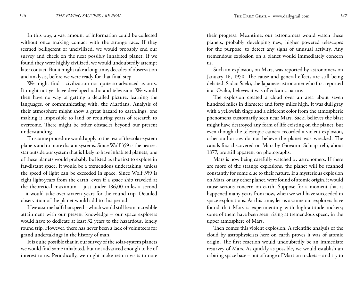In this way, a vast amount of information could be collected without once making contact with the strange race. If they seemed belligerent or uncivilized, we would probably end our survey and check on the next possibly inhabited planet. If we found they were highly civilized, we would undoubtedly attempt later contact. But it might take a long time, decades of observation and analysis, before we were ready for that final step.

We might find a civilization not quite so advanced as ours. It might not yet have developed radio and television. We would then have no way of getting a detailed picture, learning the languages, or communicating with. the Martians. Analysis of their atmosphere might show a great hazard to earthlings, one making it impossible to land or requiring years of research to overcome. There might be other obstacles beyond our present understanding.

This same procedure would apply to the rest of the solar-system planets and to more distant systems. Since Wolf 359 is the nearest star outside our system that is likely to have inhabited planets, one of these planets would probably be listed as the first to explore in far-distant space. It would be a tremendous undertaking, unless the speed of light can be exceeded in space. Since Wolf 359 is eight light-years from the earth, even if a space ship traveled at the theoretical maximum – just under 186,00 miles a second – it would take over sixteen years for the round trip. Detailed observation of the planet would add to this period.

If we assume half that speed – which would still be an incredible attainment with our present knowledge – our space explorers would have to dedicate at least 32 years to the hazardous, lonely round trip. However, there has never been a lack of volunteers for grand undertakings in the history of man.

It is quite possible that in our survey of the solar-system planets we would find some inhabited, but not advanced enough to be of interest to us. Periodically, we might make return visits to note

their progress. Meantime, our astronomers would watch these planets, probably developing new, higher powered telescopes for the purpose, to detect any signs of unusual activity. Any tremendous explosion on a planet would immediately concern us.

Such an explosion, on Mars, was reported by astronomers on January 16, 1950. The cause and general effects are still being debated. Sadao Saeki, the Japanese astronomer who first reported it at Osaka, believes it was of volcanic nature.

The explosion created a cloud over an area about seven hundred miles in diameter and forty miles high. It was dull gray with a yellowish tinge and a different color from the atmospheric phenomena customarily seen near Mars. Saeki believes the blast might have destroyed any form of life existing on the planet, but even though the telescopic camera recorded a violent explosion, other authorities do not believe the planet was wrecked. The canals first discovered on Mars by Giovanni Schiaparelli, about 1877, are still apparent on photographs.

Mars is now being carefully watched by astronomers. If there are more of the strange explosions, the planet will be scanned constantly for some clue to their nature. If a mysterious explosion on Mars, or any other planet, were found of atomic origin, it would cause serious concern on earth. Suppose for a moment that it happened many years from now, when we will have succeeded in space explorations. At this time, let us assume our explorers have found that Mars is experimenting with high-altitude rockets; some of them have been seen, rising at tremendous speed, in the upper atmosphere of Mars.

Then comes this violent explosion. A scientific analysis of the cloud by astrophysicists here on earth proves it was of atomic origin. The first reaction would undoubtedly be an immediate resurvey of Mars. As quickly as possible, we would establish an orbiting space base – out of range of Martian rockets – and try to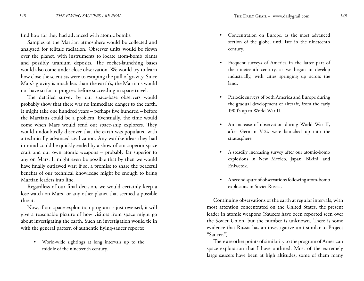find how far they had advanced with atomic bombs.

Samples of the Martian atmosphere would be collected and analyzed for telltale radiation. Observer units would be flown over the planet, with instruments to locate atom-bomb plants and possibly uranium deposits. The rocket-launching bases would also come under close observation. We would try to learn how close the scientists were to escaping the pull of gravity. Since Mars's gravity is much less than the earth's, the Martians would not have so far to progress before succeeding in space travel.

The detailed survey by our space-base observers would probably show that there was no immediate danger to the earth. It might take one hundred years – perhaps five hundred – before the Martians could be a problem. Eventually, the time would come when Mars would send out space-ship explorers. They would undoubtedly discover that the earth was populated with a technically advanced civilization. Any warlike ideas they had in mind could be quickly ended by a show of our superior space craft and our own atomic weapons – probably far superior to any on Mars. It might even be possible that by then we would have finally outlawed war; if so, a promise to share the peaceful benefits of our technical knowledge might be enough to bring Martian leaders into line.

Regardless of our final decision, we would certainly keep a lose watch on Mars--or any other planet that seemed a possible threat.

Now, if our space-exploration program is just reversed, it will give a reasonable picture of how visitors from space might go about investigating the earth. Such an investigation would tie in with the general pattern of authentic flying-saucer reports:

World-wide sightings at long intervals up to the • middle of the nineteenth century.

- Concentration on Europe, as the most advanced section of the globe, until late in the nineteenth century.
- Frequent surveys of America in the latter part of the nineteenth century, as we began to develop industrially, with cities springing up across the land. •
- Periodic surveys of both America and Europe during the gradual development of aircraft, from the early 1900's up to World War II. •
- An increase of observation during World War II, after German V-2's were launched up into the stratosphere.
- A steadily increasing survey after our atomic-bomb explosions in New Mexico, Japan, Bikini, and Eniwetok. •
- A second spurt of observations following atom-bomb explosions in Soviet Russia. •

Continuing observations of the earth at regular intervals, with most attention concentrated on the United States, the present leader in atomic weapons (Saucers have been reported seen over the Soviet Union, but the number is unknown. There is some evidence that Russia has an investigative unit similar to Project "Saucer.")

There are other points of similarity to the program of American space exploration that I have outlined. Most of the extremely large saucers have been at high altitudes, some of them many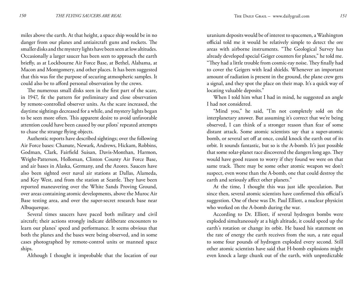miles above the earth. At that height, a space ship would be in no danger from our planes and antiaircraft guns and rockets. The smaller disks and the mystery lights have been seen at low altitudes. Occasionally a larger saucer has been seen to approach the earth briefly, as at Lockbourne Air Force Base, at Bethel, Alabama, at Macon and Montgomery, and other places. It has been suggested that this was for the purpose of securing atmospheric samples. It could also be to afford personal observation by the crews.

The numerous small disks seen in the first part of the scare, in 1947, fit the pattern for preliminary and close observation by remote-controlled observer units. As the scare increased, the daytime sightings decreased for a while, and mystery lights began to be seen more often. This apparent desire to avoid unfavorable attention could have been caused by our pilots' repeated attempts to chase the strange flying objects.

Authentic reports have described sightings; over the following Air Force bases: Chanute, Newark, Andrews, Hickam, Robbins, Godman, Clark, Fairfield Suisan, Davis-Monthan, Harmon, Wright-Patterson, Holloman, Clinton County Air Force Base, and air bases in Alaska, Germany, and the Azores. Saucers have also been sighted over naval air stations at Dallas, Alameda, and Key West, and from the station at Seattle. They have been reported maneuvering over the White Sands Proving Ground, over areas containing atomic developments, above the Muroc Air Base testing area, and over the super-secret research base near Albuquerque.

Several times saucers have paced both military and civil aircraft; their actions strongly indicate deliberate encounters to learn our planes' speed and performance. It seems obvious that both the planes and the bases were being observed, and in some cases photographed by remote-control units or manned space ships.

Although I thought it improbable that the location of our

uranium deposits would be of interest to spacemen, a Washington official told me it would be relatively simple to detect the ore areas with airborne instruments. "The Geological Survey has already developed special Geiger counters for planes," he told me. "They had a little trouble from cosmic-ray noise. They finally had to cover the Geigers with lead shields. Whenever an important amount of radiation is present in the ground, the plane crew gets a signal, and they spot the place on their map. It's a quick way of locating valuable deposits."

When I told him what I had in mind, he suggested an angle I had not considered.

"Mind you," he said, "I'm not completely sold on the interplanetary answer. But assuming it's correct that we're being observed, I can think of a stronger reason than fear of some distant attack. Some atomic scientists say that a super-atomic bomb, or several set off at once, could knock the earth out of its orbit. It sounds fantastic, but so is the A-bomb. It's just possible that some solar-planet race discovered the dangers long ago. They would have good reason to worry if they found we were on that same track. There may be some other atomic weapon we don't suspect, even worse than the A-bomb, one that could destroy the earth and seriously affect other planets."

At the time, I thought this was just idle speculation. But since then, several atomic scientists have confirmed this official's suggestion. One of these was Dr. Paul Elliott, a nuclear physicist who worked on the A-bomb during the war.

According to Dr. Elliott, if several hydrogen bombs were exploded simultaneously at a high altitude, it could speed up the earth's rotation or change its orbit. He based his statement on the rate of energy the earth receives from the sun, a rate equal to some four pounds of hydrogen exploded every second. Still other atomic scientists have said that H-bomb explosions might even knock a large chunk out of the earth, with unpredictable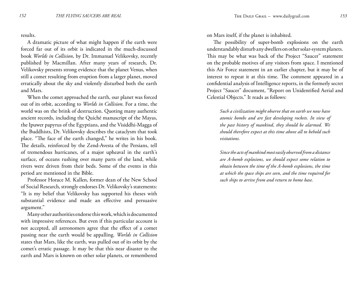results.

A dramatic picture of what might happen if the earth were forced far out of its orbit is indicated in the much-discussed book *Worlds in Collision*, by Dr. Immanuel Velikovsky, recently published by Macmillan. After many years of research, Dr. Velikovsky presents strong evidence that the planet Venus, when still a comet resulting from eruption from a larger planet, moved erratically about the sky and violently disturbed both the earth and Mars.

When the comet approached the earth, our planet was forced out of its orbit, according to *Worlds in Collision*. For a time, the world was on the brink of destruction. Quoting many authentic ancient records, including the Quiché manuscript of the Mayas, the Ipuwer papyrus of the Egyptians, and the Visiddhi-Magga of the Buddhists, Dr. Velikovsky describes the cataclysm that took place. "The face of the earth changed," he writes in his book. The details, reinforced by the Zend-Avesta of the Persians, tell of tremendous hurricanes, of a major upheaval in the earth's surface, of oceans rushing over many parts of the land, while rivers were driven from their beds. Some of the events in this period are mentioned in the Bible.

Professor Horace M. Kallen, former dean of the New School of Social Research, strongly endorses Dr. Velikovsky's statements: "It is my belief that Velikovsky has supported his theses with substantial evidence and made an effective and persuasive argument."

Many other authorities endorse this work, which is documented with impressive references. But even if this particular account is not accepted, all astronomers agree that the effect of a comet passing near the earth would be appalling. *Worlds in Collision* states that Mars, like the earth, was pulled out of its orbit by the comet's erratic passage. It may be that this near disaster to the earth and Mars is known on other solar planets, or remembered

on Mars itself, if the planet is inhabited.

The possibility of super-bomb explosions on the earth understandably disturb any dwellers on other solar-system planets. This may be what was back of the Project "Saucer" statement on the probable motives of any visitors from space. I mentioned this Air Force statement in an earlier chapter, but it may be of interest to repeat it at this time. The comment appeared in a confidential analysis of Intelligence reports, in the formerly secret Project "Saucer" document, "Report on Unidentified Aerial and Celestial Objects." It reads as follows:

*Such a civilization might observe that on earth we now have atomic bombs and are fast developing rockets. In view of the past history of mankind, they should be alarmed. We should therefore expect at this time above all to behold such visitations.*

*Since the acts of mankind most easily observed from a distance are A-bomb explosions, we should expect some relation to obtain between the time of the A-bomb explosions, the time at which the space ships are seen, and the time required for such ships to arrive from and return to home base.*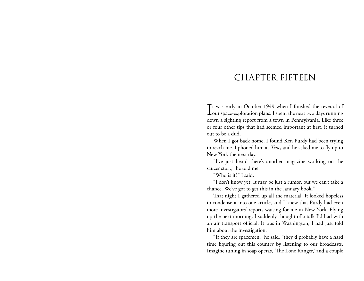#### CHAPTER FIFTEEN

It was early in October 1949 when I finished the reversal of our space-exploration plans. I spent the next two days running t was early in October 1949 when I finished the reversal of down a sighting report from a town in Pennsylvania. Like three or four other tips that had seemed important at first, it turned out to be a dud.

When I got back home, I found Ken Purdy had been trying to reach me. I phoned him at *True*, and he asked me to fly up to New York the next day.

"I've just heard there's another magazine working on the saucer story," he told me.

"Who is it?" I said.

"I don't know yet. It may be just a rumor, but we can't take a chance. We've got to get this in the January book."

That night I gathered up all the material. It looked hopeless to condense it into one article, and I knew that Purdy had even more investigators' reports waiting for me in New York. Flying up the next morning, I suddenly thought of a talk I'd had with an air transport official. It was in Washington; I had just told him about the investigation.

"If they are spacemen," he said, "they'd probably have a hard time figuring out this country by listening to our broadcasts. Imagine tuning in soap operas, 'The Lone Ranger,' and a couple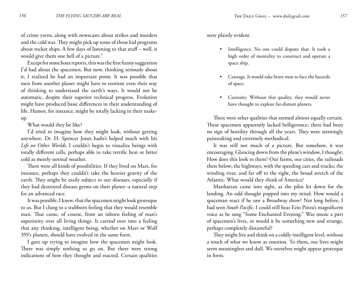of crime yarns, along with newscasts about strikes and murders and the cold war. They might pick up some of those kid programs about rocket ships. A few days of listening to that stuff – well, it would give them one hell of a picture."

Except for some hoax reports, this was the first funny suggestion I'd had about the spacemen. But now, thinking seriously about it, I realized he had an important point. It was possible that men from another planet might have to reorient even their way of thinking to understand the earth's ways. It would not be automatic, despite their superior technical progress. Evolution might have produced basic differences in their understanding of life. Humor, for instance, might be totally lacking in their makeup.

What would they be like?

I'd tried to imagine how they might look, without getting anywhere. Dr. H. Spencer Jones hadn't helped much with his *Life on Other Worlds*. I couldn't begin to visualize beings with totally different cells, perhaps able to take terrific heat or bitter cold as merely normal weather.

There were all kinds of possibilities. If they lived on Mars, for instance, perhaps they couldn't take the heavier gravity of the earth. They might be easily subject to our diseases, especially if they had destroyed disease germs on their planet--a natural step for an advanced race.

It was possible, I knew, that the spacemen might look grotesque to us. But I clung to a stubborn feeling that they would resemble man. That came, of course, from an inborn feeling of man's superiority over all living things. It carried over into a feeling that any thinking, intelligent being, whether on Mars or Wolf 359's planets, should have evolved in the same form.

I gave up trying to imagine how the spacemen might look. There was simply nothing to go on. But there were strong indications of how they thought and reacted. Certain qualities were plainly evident.

- Intelligence. No one could dispute that. It took a high order of mentality to construct and operate a space ship.
- Courage. It would take brave men to face the hazards of space.
- Curiosity. Without this quality, they would never have thought to explore far-distant planets. •

There were other qualities that seemed almost equally certain. These spacemen apparently lacked belligerence; there had been no sign of hostility through all the years. They were seemingly painstaking and extremely methodical.

It was still not much of a picture. But somehow, it was encouraging. Glancing down from the plane's window, I thought: How does this look to them? Our farms, our cities, the railroads there below; the highways, with the speeding cars and trucks; the winding river, and far off to the right, the broad stretch of the Atlantic. What would they think of America?

Manhattan came into sight, as the pilot let down for the landing. An odd thought popped into my mind. How would a spaceman react if he saw a Broadway show? Not long before, I had seen *South Pacific*. I could still hear Ezio Pinza's magnificent voice as he sang "Some Enchanted Evening." Was music a part of spacemen's lives, or would it be something new and strange, perhaps completely distasteful?

They might live and think on a coldly intelligent level, without a touch of what we know as emotion. To them, our lives might seem meaningless and dull. We ourselves might appear grotesque in form.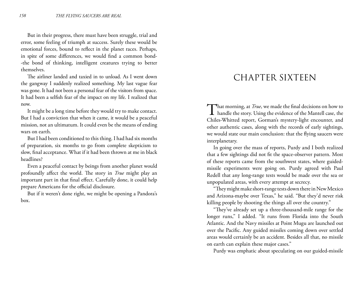But in their progress, there must have been struggle, trial and error, some feeling of triumph at success. Surely these would be emotional forces, bound to reflect in the planet races. Perhaps, in spite of some differences, we would find a common bond- -the bond of thinking, intelligent creatures trying to better themselves.

The airliner landed and taxied in to unload. As I went down the gangway I suddenly realized something. My last vague fear was gone. It had not been a personal fear of the visitors from space. It had been a selfish fear of the impact on my life. I realized that now.

It might be a long time before they would try to make contact. But I had a conviction that when it came, it would be a peaceful mission, not an ultimatum. It could even be the means of ending wars on earth.

But I had been conditioned to this thing. I had had six months of preparation, six months to go from complete skepticism to slow, final acceptance. What if it had been thrown at me in black headlines?

Even a peaceful contact by beings from another planet would profoundly affect the world. The story in *True* might play an important part in that final effect. Carefully done, it could help prepare Americans for the official disclosure.

But if it weren't done right, we might be opening a Pandora's box.

#### CHAPTER SIXTEEN

That morning, at *True*, we made the final decisions on how to<br>handle the story. Using the evidence of the Mantell case, the Chiles-Whitted report, Gorman's mystery-light encounter, and other authentic cases, along with the records of early sightings, we would state our main conclusion: that the flying saucers were interplanetary.

In going over the mass of reports, Purdy and I both realized that a few sightings did not fit the space-observer pattern. Most of these reports came from the southwest states, where guidedmissile experiments were going on. Purdy agreed with Paul Redell that any long-range tests would be made over the sea or unpopulated areas, with every attempt at secrecy.

"They might make short-range tests down there in New Mexico and Arizona-maybe over Texas," he said. "But they'd never risk killing people by shooting the things all over the country."

"They've already set up a three-thousand-mile range for the longer runs," I added. "It runs from Florida into the South Atlantic. And the Navy missiles at Point Mugu are launched out over the Pacific. Any guided missiles coming down over settled areas would certainly be an accident. Besides all that, no missile on earth can explain these major cases."

Purdy was emphatic about speculating on our guided-missile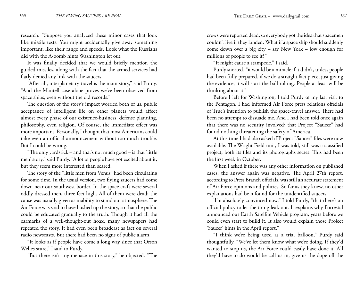research. "Suppose you analyzed these minor cases that look like missile tests. You might accidentally give away something important, like their range and speeds. Look what the Russians did with the A-bomb hints Washington let out."

It was finally decided that we would briefly mention the guided missiles, along with the fact that the armed services had flatly denied any link with the saucers.

"After all, interplanetary travel is the main story," said Purdy. "And the Mantell case alone proves we've been observed from space ships, even without the old records."

The question of the story's impact worried both of us. public acceptance of intelligent life on other planets would affect almost every phase of our existence-business, defense planning, philosophy, even religion. Of course, the immediate effect was more important. Personally, I thought that most Americans could take even an official announcement without too much trouble. But I could be wrong.

"The only yardstick – and that's not much good – is that 'little men' story," said Purdy. "A lot of people have got excited about it, but they seem more interested than scared."

The story of the "little men from Venus" had been circulating for some time. In the usual version, two flying saucers had come down near our southwest border. In the space craft were several oddly dressed men, three feet high. All of them were dead; the cause was usually given as inability to stand our atmosphere. The Air Force was said to have hushed up the story, so that the public could be educated gradually to the truth. Though it had all the earmarks of a well-thought-out hoax, many newspapers had repeated the story. It had even been broadcast as fact on several radio newscasts. But there had been no signs of public alarm.

"It looks as if people have come a long way since that Orson Welles scare," I said to Purdy.

"But there isn't any menace in this story," he objected. "The

crews were reported dead, so everybody got the idea that spacemen couldn't live if they landed. What if a space ship should suddenly come down over a big city – say New York – low enough for millions of people to see it?"

"It might cause a stampede," I said.

Purdy snorted. "it would be a miracle if it didn't, unless people had been fully prepared. if we do a straight fact piece, just giving the evidence, it will start the ball rolling. People at least will be thinking about it."

Before I left for Washington, I told Purdy of my last visit to the Pentagon. I had informed Air Force press relations officials of True's intention to publish the space-travel answer. There had been no attempt to dissuade me. And I had been told once again that there was no security involved; that Project "Saucer" had found nothing threatening the safety of America.

At this time I had also asked if Project "Saucer" files were now available. The Wright Field unit, I was told, still was a classified project, both its files and its photographs secret. This had been the first week in October.

When I asked if there was any other information on published cases, the answer again was negative. The April 27th report, according to Press Branch officials, was still an accurate statement of Air Force opinions and policies. So far as they knew, no other explanations had be n found for the unidentified saucers.

'I'm absolutely convinced now," I told Purdy, "that there's an official policy to let the thing leak out. It explains why Forrestal announced our Earth Satellite Vehicle program, years before we could even start to build it. It also would explain those Project 'Saucer' hints in the April report."

"I think we're being used as a trial balloon," Purdy said thoughtfully. "We've let them know what we're doing. If they'd wanted to stop us, the Air Force could easily have done it. All they'd have to do would be call us in, give us the dope off the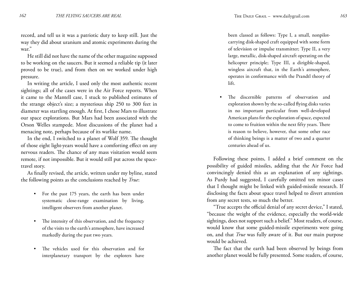record, and tell us it was a patriotic duty to keep still. Just the way they did about uranium and atomic experiments during the war."

He still did not have the name of the other magazine supposed to be working on the saucers. But it seemed a reliable tip (it later proved to be true), and from then on we worked under high pressure.

In writing the article, I used only the most authentic recent sightings; all of the cases were in the Air Force reports. When it came to the Mantell case, I stuck to published estimates of the strange object's size; a mysterious ship 250 to 300 feet in diameter was startling enough. At first, I chose Mars to illustrate our space explorations. But Mars had been associated with the Orson Welles stampede. Most discussions of the planet had a menacing note, perhaps because of its warlike name.

In the end, I switched to a planet of Wolf 359. The thought of those eight light-years would have a comforting effect on any nervous readers. The chance of any mass visitation would seem remote, if not impossible. But it would still put across the spacetravel story.

As finally revised, the article, written under my byline, stated the following points as the conclusions reached by *True*:

- For the past 175 years, the earth has been under systematic close-range examination by living, intelligent observers from another planet. •
- The intensity of this observation, and the frequency of the visits to the earth's atmosphere, have increased markedly during the past two years. •
- The vehicles used for this observation and for interplanetary transport by the explorers have •

been classed as follows: Type I, a small, nonpilotcarrying disk-shaped craft equipped with some form of television or impulse transmitter; Type II, a very large, metallic, disk-shaped aircraft operating on the helicopter principle; Type III, a dirigible-shaped, wingless aircraft that, in the Earth's atmosphere, operates in conformance with the Prandtl theory of lift.

The discernible patterns of observation and exploration shown by the so-called flying disks varies in no important particular from well-developed American plans for the exploration of space, expected to come to fruition within the next fifty years. There is reason to believe, however, that some other race of thinking beings is a matter of two and a quarter centuries ahead of us. •

Following these points, I added a brief comment on the possibility of guided missiles, adding that the Air Force had convincingly denied this as an explanation of any sightings. As Purdy had suggested, I carefully omitted ten minor cases that I thought might be linked with guided-missile research. If disclosing the facts about space travel helped to divert attention from any secret tests, so much the better.

"True accepts the official denial of any secret device," I stated, "because the weight of the evidence, especially the world-wide sightings, does not support such a belief." Most readers, of course, would know that some guided-missile experiments were going on, and that *True* was fully aware of it. But our main purpose would be achieved.

The fact that the earth had been observed by beings from another planet would be fully presented. Some readers, of course,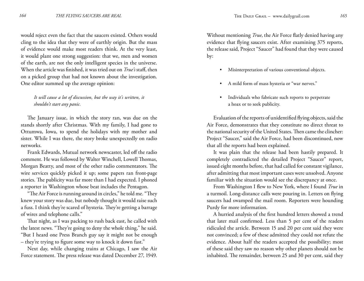would reject even the fact that the saucers existed. Others would cling to the idea that they were of earthly origin. But the mass of evidence would make most readers think. At the very least, it would plant one strong suggestion: that we, men and women of the earth, are not the only intelligent species in the universe. When the article was finished, it was tried out on *True's* staff, then on a picked group that had not known about the investigation. One editor summed up the average opinion:

#### *It will cause a lot of discussion, but the way it's written, it shouldn't start any panic.*

The January issue, in which the story ran, was due on the stands shortly after Christmas. With my family, I had gone to Ottumwa, Iowa, to spend the holidays with my mother and sister. While I was there, the story broke unexpectedly on radio networks.

Frank Edwards, Mutual network newscaster, led off the radio comment. He was followed by Walter Winchell, Lowell Thomas, Morgan Beatty, and most of the other radio commentators. The wire services quickly picked it up; some papers ran front-page stories. The publicity was far more than I had expected. I phoned a reporter in Washington whose beat includes the Pentagon.

"The Air Force is running around in circles," he told me. "They knew your story was due, but nobody thought it would raise such a fuss. I think they're scared of hysteria. They're getting a barrage of wires and telephone calls."

That night, as I was packing to rush back east, he called with the latest news. "They're going to deny the whole thing," he said. "But I heard one Press Branch guy say it might not be enough – they're trying to figure some way to knock it down fast."

Next day, while changing trains at Chicago, I saw the Air Force statement. The press release was dated December 27, 1949.

Without mentioning *True*, the Air Force flatly denied having any evidence that flying saucers exist. After examining 375 reports, the release said, Project "Saucer" had found that they were caused by:

- Misinterpretation of various conventional objects. •
- A mild form of mass hysteria or "war nerves." •
- Individuals who fabricate such reports to perpetrate a hoax or to seek publicity. •

Evaluation of the reports of unidentified flying objects, said the Air Force, demonstrates that they constitute no direct threat to the national security of the United States. Then came the clincher: Project "Saucer," said the Air Force, had been discontinued, now that all the reports had been explained.

It was plain that the release had been hastily prepared. It completely contradicted the detailed Project "Saucer" report, issued eight months before, that had called for constant vigilance, after admitting that most important cases were unsolved. Anyone familiar with the situation would see the discrepancy at once.

From Washington I flew to New York, where I found *True* in a turmoil. Long-distance calls were pouring in. Letters on flying saucers had swamped the mail room. Reporters were hounding Purdy for more information.

A hurried analysis of the first hundred letters showed a trend that later mail confirmed. Less than 5 per cent of the readers ridiculed the article. Between 15 and 20 per cent said they were not convinced; a few of these admitted they could not refute the evidence. About half the readers accepted the possibility; most of these said they saw no reason why other planets should not be inhabited. The remainder, between 25 and 30 per cent, said they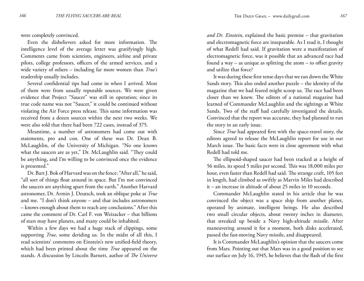were completely convinced.

Even the disbelievers asked for more information. The intelligence level of the average letter was gratifyingly high. Comments came from scientists, engineers, airline and private pilots, college professors, officers of the armed services, and a wide variety of others – including far more women than *True's* readership usually includes.

Several confidential tips had come in when I arrived. Most of them were from usually reputable sources. We were given evidence that Project "Saucer" was still in operation; since its true code name was not "Saucer," it could be continued without violating the Air Force press release. This same information was received from a dozen sources within the next two weeks. We were also told that there had been 722 cases, instead of 375.

Meantime, a number of astronomers had come out with statements, pro and con. One of these was Dr. Dean B. McLaughlin, of the University of Michigan. "No one knows what the saucers are as yet," Dr. McLaughlin said. "They could be anything, and I'm willing to be convinced once the evidence is presented."

Dr. Bart J. Bok of Harvard was on the fence: "After all," he said, "all sort of things float around in space. But I'm not convinced the saucers are anything apart from the earth." Another Harvard astronomer, Dr. Armin J. Deutsch, took an oblique poke at *True* and me. "I don't think anyone – and that includes astronomers – knows enough about them to reach any conclusions." After this came the comment of Dr. Carl F. von Weizacker – that billions of stars may have planets, and many could be inhabited.

Within a few days we had a huge stack of clippings, some supporting *True*, some deriding us. In the midst of all this, I read scientists' comments on Einstein's new unified-field theory, which had been printed about the time *True* appeared on the stands. A discussion by Lincoln Barnett, author of *The Universe* *and Dr. Einstein*, explained the basic premise – that gravitation and electromagnetic force are inseparable. As I read it, I thought of what Redell had said. If gravitation were a manifestation of electromagnetic force, was it possible that an advanced race had found a way – as unique as splitting the atom – to offset gravity and utilize that force?

It was during these first tense days that we ran down the White Sands story. This also ended another puzzle – the identity of the magazine that we had feared might scoop us. The race had been closer than we knew. The editors of a national magazine had learned of Commander McLaughlin and the sightings at White Sands. Two of the staff had carefully investigated the details. Convinced that the report was accurate, they had planned to run the story in an early issue.

Since *True* had appeared first with the space-travel story, the editors agreed to release the McLaughlin report for use in our March issue. The basic facts were in close agreement with what Redell had told me.

The ellipsoid-shaped saucer had been tracked at a height of 56 miles, its speed 5 miles per second. This was 18,000 miles per hour, even faster than Redell had said. The strange craft, 105 feet in length, had climbed as swiftly as Marvin Miles had described it – an increase in altitude of about 25 miles in 10 seconds.

Commander McLaughlin stated in his article that he was convinced the object was a space ship from another planet, operated by animate, intelligent beings. He also described two small circular objects, about twenty inches in diameter, that streaked up beside a Navy high-altitude missile. After maneuvering around it for a moment, both disks accelerated, passed the fast-moving Navy missile, and disappeared.

It is Commander McLaughlin's opinion that the saucers come from Mars. Pointing out that Mars was in a good position to see our surface on July 16, 1945, he believes that the flash of the first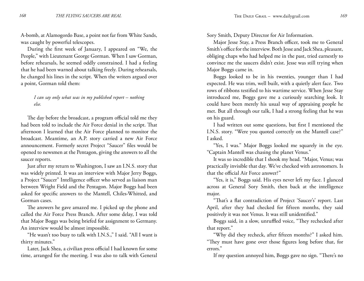A-bomb, at Alamogordo Base, a point not far from White Sands, was caught by powerful telescopes.

During the first week of January, I appeared on "We, the People," with Lieutenant George Gorman. When I saw Gorman, before rehearsals, he seemed oddly constrained. I had a feeling that he had been warned about talking freely. During rehearsals, he changed his lines in the script. When the writers argued over a point, Gorman told them:

#### *I can say only what was in my published report – nothing else.*

The day before the broadcast, a program official told me they had been told to include the Air Force denial in the script. That afternoon I learned that the Air Force planned to monitor the broadcast. Meantime, an A.P. story carried a new Air Force announcement. Formerly secret Project "Saucer" files would be opened to newsmen at the Pentagon, giving the answers to all the saucer reports.

Just after my return to Washington, I saw an I.N.S. story that was widely printed. It was an interview with Major Jerry Boggs, a Project "Saucer" Intelligence officer who served as liaison man between Wright Field and the Pentagon. Major Boggs had been asked for specific answers to the Mantell, Chiles-Whitted, and Gorman cases.

The answers he gave amazed me. I picked up the phone and called the Air Force Press Branch. After some delay, I was told that Major Boggs was being briefed for assignment to Germany. An interview would be almost impossible.

"He wasn't too busy to talk with I.N.S.," I said. "All I want is thirty minutes."

Later, Jack Shea, a civilian press official I had known for some time, arranged for the meeting. I was also to talk with General

Sory Smith, Deputy Director for Air Information.

Major Jesse Stay, a Press Branch officer, took me to General Smith's office for the interview. Both Jesse and Jack Shea, pleasant, obliging chaps who had helped me in the past, tried earnestly to convince me the saucers didn't exist. Jesse was still trying when Major Boggs came in.

Boggs looked to be in his twenties, younger than I had expected. He was trim, well built, with a quietly alert face. Two rows of ribbons testified to his wartime service. When Jesse Stay introduced me, Boggs gave me a curiously searching look. It could have been merely his usual way of appraising people he met. But all through our talk, I had a strong feeling that he was on his guard.

I had written out some questions, but first I mentioned the I.N.S. story. "Were you quoted correctly on the Mantell case?" I asked.

"Yes, I was." Major Boggs looked me squarely in the eye. "Captain Mantell was chasing the planet Venus."

It was so incredible that I shook my head. "Major, Venus; was practically invisible that day. We've checked with astronomers. Is that the official Air Force answer?"

"Yes, it is," Boggs said. His eyes never left my face. I glanced across at General Sory Smith, then back at the intelligence major.

"That's a flat contradiction of Project 'Saucer's' report. Last April, after they had checked for fifteen months, they said positively it was not Venus. It was still unidentified."

Boggs said, in a slow, unruffled voice, "They rechecked after that report."

"Why did they recheck, after fifteen months?" I asked him. "They must have gone over those figures long before that, for errors."

If my question annoyed him, Boggs gave no sign. "There's no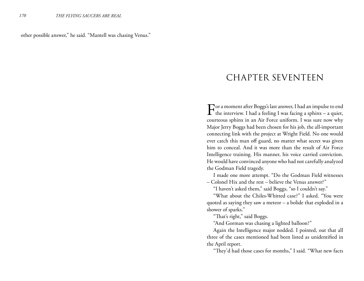other possible answer," he said. "Mantell was chasing Venus."

#### CHAPTER SEVENTEEN

For a moment after Boggs's last answer, I had an impulse to end  $\Gamma$  the interview. I had a feeling I was facing a sphinx – a quiet, courteous sphinx in an Air Force uniform. I was sure now why Major Jerry Boggs had been chosen for his job, the all-important connecting link with the project at Wright Field. No one would ever catch this man off guard, no matter what secret was given him to conceal. And it was more than the result of Air Force Intelligence training. His manner, his voice carried conviction. He would have convinced anyone who had not carefully analyzed the Godman Field tragedy.

I made one more attempt. "Do the Godman Field witnesses

– Colonel Hix and the rest – believe the Venus answer?"

"I haven't asked them," said Boggs, "so I couldn't say."

"What about the Chiles-Whitted case?" I asked. "You were quoted as saying they saw a meteor – a bolide that exploded in a shower of sparks."

"That's right," said Boggs.

"And Gorman was chasing a lighted balloon?"

Again the Intelligence major nodded. I pointed, out that all three of the cases mentioned had been listed as unidentified in the April report.

"They'd had those cases for months," I said. "What new facts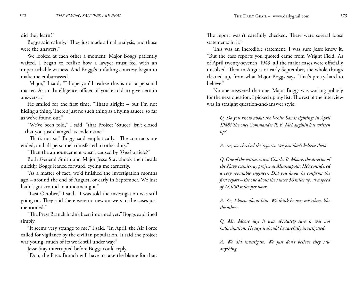did they learn?"

Boggs said calmly, "They just made a final analysis, and those were the answers."

We looked at each other a moment. Major Boggs patiently waited. I began to realize how a lawyer must feel with an imperturbable witness. And Boggs's unfailing courtesy began to make me embarrassed.

"Major," I said, "I hope you'll realize this is not a personal matter. As an Intelligence officer, if you're told to give certain answers…"

He smiled for the first time. "That's alright – but I'm not hiding a thing. There's just no such thing as a flying saucer, so far as we've found out."

"We've been told," I said, "that Project 'Saucer' isn't closed – that you just changed its code name."

"That's not so," Boggs said emphatically. "The contracts are ended, and all personnel transferred to other duty."

"Then the announcement wasn't caused by *True's* article?"

Both General Smith and Major Jesse Stay shook their heads quickly. Boggs leaned forward, eyeing me earnestly.

"As a matter of fact, we'd finished the investigation months ago – around the end of August, or early in September. We just hadn't got around to announcing it."

"Last October," I said, "I was told the investigation was still going on. They said there were no new answers to the cases just mentioned."

"The Press Branch hadn't been informed yet," Boggs explained simply.

"It seems very strange to me," I said. "In April, the Air Force called for vigilance by the civilian population. It said the project was young, much of its work still under way."

Jesse Stay interrupted before Boggs could reply.

"Don, the Press Branch will have to take the blame for that.

The report wasn't carefully checked. There were several loose statements in it."

This was an incredible statement. I was sure Jesse knew it. "But the case reports you quoted came from Wright Field. As of April twenty-seventh, 1949, all the major cases were officially unsolved. Then in August or early September, the whole thing's cleaned up, from what Major Boggs says. That's pretty hard to believe."

No one answered that one. Major Boggs was waiting politely for the next question. I picked up my list. The rest of the interview was in straight question-and-answer style:

*Q. Do you know about the White Sands sightings in April 1948? The ones Commander R. B. McLaughlin has written up?*

*A. Yes, we checked the reports. We just don't believe them.*

*Q. One of the witnesses was Charles B. Moore, the director of the Navy cosmic-ray project at Minneapolis, He's considered a very reputable engineer. Did you know he confirms the first report – the one about the saucer 56 miles up, at a speed of 18,000 miles per hour.*

*A. Yes, I knew about him. We think he was mistaken, like the others.*

*Q. Mr. Moore says it was absolutely sure it was not hallucination. He says it should be carefully investigated.*

*A. We did investigate. We just don't believe they saw anything.*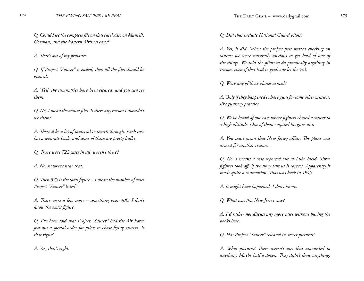*Q. Could I see the complete file on that case? Also on Mantell, Gorman, and the Eastern Airlines cases?*

*A. That's out of my province.*

*Q. If Project "Saucer" is ended, then all the files should be opened.*

*A. Well, the summaries have been cleared, and you can see them.*

*Q. No, I mean the actual files. Is there any reason I shouldn't see them?*

*A. There'd be a lot of material to search through. Each case has a separate book, and some of them are pretty bulky.*

*Q. There were 722 cases in all, weren't there?*

*A. No, nowhere near that.*

*Q. Then 375 is the total figure – I mean the number of cases Project "Saucer" listed?*

*A. There were a few more – something over 400. I don't know the exact figure.*

*Q. I've been told that Project "Saucer" had the Air Force put out a special order for pilots to chase flying saucers. Is that right?*

*A. Yes, that's right.*

*Q. Did that include National Guard pilots?*

*A. Yes, it did. When the project first started checking on saucers we were naturally anxious to get hold of one of the things. We told the pilots to do practically anything in reason, even if they had to grab one by the tail.*

*Q. Were any of those planes armed?*

*A. Only if they happened to have guns for some other mission, like gunnery practice.*

*Q. We've heard of one case where fighters chased a saucer to a high altitude. One of them emptied his guns at it.*

*A. You must mean that New Jersey affair. The plane was armed for another reason.*

*Q. No, I meant a case reported out at Luke Field. Three fighters took off, if the story sent us is correct. Apparently it made quite a commotion. That was back in 1945.*

*A. It might have happened. I don't know.*

*Q. What was this New Jersey case?*

*A. I'd rather not discuss any more cases without having the books here.*

*Q. Has Project "Saucer" released its secret pictures?*

*A. What pictures? There weren't any that amounted to anything. Maybe half a dozen. They didn't show anything,*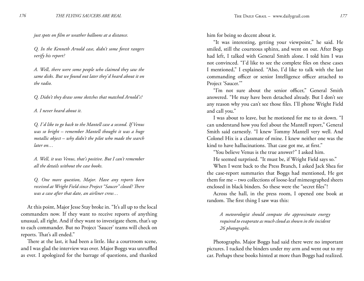*just spots on film or weather balloons at a distance.*

*Q. In the Kenneth Arnold case, didn't some forest rangers verify his report?*

*A. Well, there were some people who claimed they saw the same disks. But we found out later they'd heard about it on the radio.*

*Q. Didn't they draw some sketches that matched Arnold's?*

*A. I never heard about it.*

*Q. I'd like to go back to the Mantell case a second. If Venus was so bright – remember Mantell thought it was a huge metallic object – why didn't the pilot who made the search later on…*

*A. Well, it was Venus, that's positive. But I can't remember all the details without the case books.*

*Q. One more question, Major. Have any reports been received at Wright Field since Project "Saucer" closed? There was a case after that date, an airliner crew…*

At this point, Major Jesse Stay broke in. "It's all up to the local commanders now. If they want to receive reports of anything unusual, all right. And if they want to investigate them, that's up to each commander. But no Project 'Saucer' teams will check on reports. That's all ended."

There at the last, it had been a little. like a courtroom scene, and I was glad the interview was over. Major Boggs was unruffled as ever. I apologized for the barrage of questions, and thanked him for being so decent about it.

"It was interesting, getting your viewpoint," he said. He smiled, still the courteous sphinx, and went on out. After Bogs had left, I talked with General Smith alone. I told him I was not convinced. "I'd like to see the complete files on these cases I mentioned," I explained. "Also, I'd like to talk with the last commanding officer or senior Intelligence officer attached to Project 'Saucer."

"I'm not sure about the senior officer," General Smith answered. "He may have been detached already. But I don't see any reason why you can't see those files. I'll phone Wright Field and call you."

I was about to leave, but he motioned for me to sit down. "I can understand how you feel about the Mantell report," General Smith said earnestly. "I knew Tommy Mantell very well. And Colonel Hix is a classmate of mine. I knew neither one was the kind to have hallucinations. That case got me, at first."

"You believe Venus is the true answer?" I asked him.

He seemed surprised. "It must be, if Wright Field says so."

When I went back to the Press Branch, I asked Jack Shea for the case-report summaries that Boggs had mentioned, He got them for me – two collections of loose-leaf mimeographed sheets enclosed in black binders. So these were the "secret files"!

Across the hall, in the press room, I opened one book at random. The first thing I saw was this:

*A meteorologist should compute the approximate energy required to evaporate as much cloud as shown in the incident 26 photographs.*

Photographs. Major Boggs had said there were no important pictures. I tucked the binders under my arm and went out to my car. Perhaps these books hinted at more than Boggs had realized.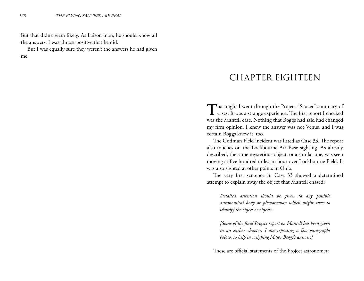But that didn't seem likely. As liaison man, he should know all the answers. I was almost positive that he did.

But I was equally sure they weren't the answers he had given me.

### CHAPTER EIGHTEEN

That night I went through the Project "Saucer" summary of cases. It was a strange experience. The first report I checked was the Mantell case. Nothing that Boggs had said had changed my firm opinion. I knew the answer was not Venus, and I was certain Boggs knew it, too.

The Godman Field incident was listed as Case 33. The report also touches on the Lockbourne Air Base sighting. As already described, the same mysterious object, or a similar one, was seen moving at five hundred miles an hour over Lockbourne Field. It was also sighted at other points in Ohio.

The very first sentence in Case 33 showed a determined attempt to explain away the object that Mantell chased:

*Detailed attention should be given to any possible astronomical body or phenomenon which might serve to identify the object or objects.*

*[Some of the final Project report on Mantell has been given in an earlier chapter. I am repeating a few paragraphs below, to help in weighing Major Boggs's answer.]*

These are official statements of the Project astronomer: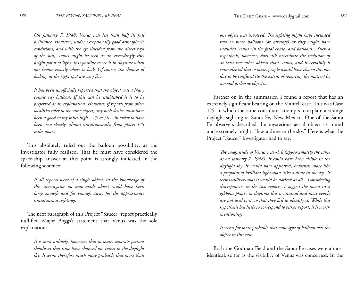*On January 7, 1948, Venus was less than half its full brilliance. However, under exceptionally good atmospheric conditions, and with the eye shielded from the direct rays of the sun, Venus might be seen as an exceedingly tiny bright point of light. It is possible to see it in daytime when one knows exactly where to look. Of course, the chances of looking at the right spot are very few.*

*It has been unofficially reported that the object was a Navy cosmic ray balloon. If this can be established it is to be preferred as an explanation. However, if reports from other localities refer to the same object, any such device must have been a good many miles high – 25 to 50 – in order to have been seen clearly, almost simultaneously, from places 175 miles apart.*

This absolutely ruled out the balloon possibility, as the investigator fully realized. That he must have considered the space-ship answer at this point is strongly indicated in the following sentence:

*If all reports were of a single object, in the knowledge of this investigator no man-made object could have been large enough and far enough away for the approximate simultaneous sightings.*

The next paragraph of this Project "Saucer" report practically nullified Major Boggs's statement that Venus was the sole explanation:

*It is most unlikely, however, that so many separate persons should at that time have chanced on Venus in the daylight sky. It seems therefore much more probable that more than* 

*one object was involved. The sighting might have included two or more balloons (or aircraft) or they might have included Venus (in the fatal chase) and balloons…Such a hypothesis, however, does still necessitate the inclusion of at least two other objects than Venus, and it certainly is coincidental that so many people would have chosen this one day to be confused (to the extent of reporting the matter) by normal airborne objects…*

Farther on in the summaries, I found a report that has an extremely significant bearing on the Mantell case. This was Case 175, in which the same consultant attempts to explain a strange daylight sighting at Santa Fe, New Mexico. One of the Santa Fe observers described the mysterious aerial object as round and extremely bright, "like a dime in the sky." Here is what the Project "Saucer" investigator had to say:

*The magnitude of Venus was -3.8 (approximately the same as on January 7, 1948). It could have been visible in the daylight sky. It would have appeared, however, more like a pinpoint of brilliant light than 'like a dime in the sky.' It seems unlikely that it would be noticed at all…Considering discrepancies in the two reports, I suggest the moon in a gibbous phase; in daytime this is unusual and most people are not used to it, so that they fail to identify it. While this hypothesis has little to correspond to either report, it is worth mentioning.*

*It seems far more probable that some type of balloon was the object in this case.*

Both the Godman Field and the Santa Fe cases were almost identical, so far as the visibility of Venus was concerned. In the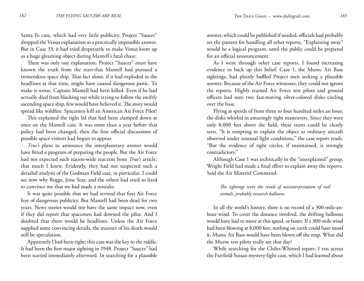Santa Fe case, which had very little publicity, Project "Saucer" dropped the Venus explanation as a practically impossible answer. But in Case 33, it had tried desperately to make Venus loom up as a huge gleaming object during Mantell's fatal chase.

There was only one explanation: Project "Saucer" must have known the truth from the start-that Mantell had pursued a tremendous space ship. That fact alone, if it had exploded in the headlines at that time, might have caused dangerous panic. To make it worse, Captain Mantell had been killed. Even if he had actually died from blacking out while trying to follow the swiftly ascending space ship, few would have believed it. The story would spread like wildfire: Spacemen kill an American Air Force Pilot!

This explained the tight lid that had been clamped down at once on the Mantell case. It was more than a year before that policy had been changed; then the first official discussions of possible space visitors had begun to appear.

*True's* plans to announce the interplanetary answer would have fitted a program of preparing the people. But the Air Force had not expected such nation-wide reaction from *True's* article; that much I knew. Evidently, they had not suspected such a detailed analysis of the Godman Field case, in particular. I could see now why Boggs, Jesse Stay, and the others had tried so hard to convince me that we had made a mistake.

It was quite possible that we had revived that first Air Force fear of dangerous publicity. But Mantell had been dead for two years. News stories would not have the same impact now, even if they did report that spacemen had downed the pilot. And I doubted that there would be headlines. Unless the Air Force supplied some convincing details, the manner of his death would still be speculation.

Apparently I had been right; this case was the key to the riddle. It had been the first major sighting in 1948. Project "Saucer" had been started immediately afterward. In searching for a plausible answer, which could be published if needed, officials had probably set the pattern for handling all other reports, "Explaining away" would be a logical program, until the public could be prepared for an official announcement.

As I went through other case reports, I found increasing evidence to back up this belief. Case 1, the Muroc Air Base sightings, had plainly baffled Project men seeking a plausible answer. Because of the Air Force witnesses, they could not ignore the reports. Highly trained Air Force test pilots and ground officers had seen two fast-moving silver-colored disks circling over the base.

Flying at speeds of from three to four hundred miles an hour, the disks whirled in amazingly tight maneuvers. Since they were only 8,000 feet above the field, these turns could be clearly seen. "It is tempting to explain the object as ordinary aircraft observed under unusual light conditions," the case report reads. "But the evidence of tight circles, if maintained, is strongly contradictory."

Although Case 1 was technically in the "unexplained" group, Wright Field had made a final effort to explain away the reports. Said the Air Materiel Command:

*The sightings were the result of misinterpretation of real stimuli, probably research balloons.*

In all the world's history, there is no record of a 300-mile-anhour wind. To cover the distance involved, the drifting balloons would have had to move at this speed, or faster. If a 300-mile wind had been blowing at 8,000 feet, nothing on earth could have stood it, Muroc Air Base would have been blown off the map. What did the Muroc test pilots really see that day?

While searching for the Chiles-Whitted report, I ran across the Fairfield Suisan mystery-light case, which I had learned about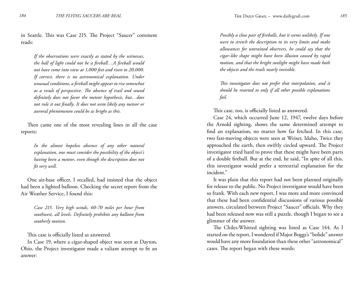in Seattle. This was Case 215. The Project "Saucer" comment reads:

*If the observations were exactly as stated by the witnesses, the ball of light could not be a fireball…A fireball would not have come into view at 1,000 feet and risen to 20,000. If correct, there is no astronomical explanation. Under unusual conditions, a fireball might appear to rise somewhat as a result of perspective. The absence of trail and sound definitely does not favor the meteor hypothesis, but…does not rule it out finally. It does not seem likely any meteor or auroral phenomenon could be as bright as this.*

Then came one of the most revealing lines in all the case reports:

*In the almost hopeless absence of any other natural explanation, one must consider the possibility of the object's having been a meteor, even though the description does not fit very well.*

One air-base officer, I recalled, had insisted that the object had been a lighted balloon. Checking the secret report from the Air Weather Service, I found this:

*Case 215. Very high winds, 60-70 miles per hour from southwest, all levels. Definitely prohibits any balloon from southerly motion.*

This case is officially listed as answered.

In Case 19, where a cigar-shaped object was seen at Dayton, Ohio, the Project investigator made a valiant attempt to fit an answer:

*Possibly a close pair of fireballs, but it seems unlikely. If one were to stretch the description to its very limits and make allowances for untrained observers, he could say that the cigar-like shape might have been illusion caused by rapid motion, and that the bright sunlight might have made both the objects and the trails nearly invisible.*

*This investigator does not prefer that interpolation, and it should he resorted to only if all other possible explanations fail.*

This case, too, is officially listed as answered.

Case 24, which occurred June 12, 1947, twelve days before the Arnold sighting, shows the same determined attempt to find an explanation, no matter how far fetched. In this case, two fast-moving objects were seen at Weiser, Idaho, Twice they approached the earth, then swiftly circled upward. The Project investigator tried hard to prove that these might have been parts of a double fireball. But at the end, he said, "In spite of all this, this investigator would prefer a terrestrial explanation for the incident."

It was plain that this report had not been planned originally for release to the public. No Project investigator would have been so frank. With each new report, I was more and more convinced that these had been confidential discussions of various possible answers, circulated between Project "Saucer" officials. Why they had been released now was still a puzzle, though I began to see a glimmer of the answer.

The Chiles-Whitted sighting was listed as Case 144. As I started on the report, I wondered if Major Boggs's "bolide" answer would have any more foundation than these other "astronomical" cases. The report began with these words: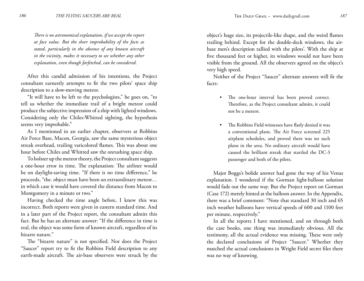*There is no astronomical explanation, if we accept the report at face value. But the sheer improbability of the facts as stated, particularly in the absence of any known aircraft in the vicinity, makes it necessary to see whether any other explanation, even though farfetched, can be considered.*

After this candid admission of his intentions, the Project consultant earnestly attempts to fit the two pilots' space ship description to a slow-moving meteor.

"It will have to be left to the psychologists," he goes on, "to tell us whether the immediate trail of a bright meteor could produce the subjective impression of a ship with lighted windows. Considering only the Chiles-Whitted sighting, the hypothesis seems very improbable."

As I mentioned in an earlier chapter, observers at Robbins Air Force Base, Macon, Georgia, saw the same mysterious object streak overhead, trailing varicolored flames. This was about one hour before Chiles and Whitted saw the onrushing space ship.

To bolster up the meteor theory, the Project consultant suggests a one-hour error in time. The explanation: The airliner would be on daylight-saving time. "If there is no time difference," he proceeds, "the. object must have been an extraordinary meteor… in which case it would have covered the distance from Macon to Montgomery in a minute or two."

Having checked the time angle before, I knew this was incorrect. Both reports were given in eastern standard time. And in a later part of the Project report, the consultant admits this fact. But he has an alternate answer: "If the difference in time is real, the object was some form of known aircraft, regardless of its bizarre nature."

The "bizarre nature" is not specified. Nor does the Project "Saucer" report try to fit the Robbins Field description to any earth-made aircraft. The air-base observers were struck by the object's huge size, its projectile-like shape, and the weird flames trailing behind. Except for the double-deck windows, the airbase men's description tallied with the pilots'. With the ship at five thousand feet or higher, its windows would not have been visible from the ground. All the observers agreed on the object's very high speed.

Neither of the Project "Saucer" alternate answers will fit the facts:

- The one-hour interval has been proved correct. Therefore, as the Project consultant admits, it could not be a meteor.
- The Robbins Field witnesses have flatly denied it was a conventional plane. The Air Force screened 225 airplane schedules, and proved there was no such plane in the area. No ordinary aircraft would have caused the brilliant streak that startled the DC-3 passenger and both of the pilots. •

Major Boggs's bolide answer had gone the way of his Venus explanation. I wondered if the Gorman light-balloon solution would fade out the same way. But the Project report on Gorman (Case 172) merely hinted at the balloon answer. In the Appendix, there was a brief comment: "Note that standard 30 inch and 65 inch weather balloons have vertical speeds of 600 and 1100 feet per minute, respectively."

In all the reports I have mentioned, and on through both the case books, one thing was immediately obvious. All the testimony, all the actual evidence was missing. These were only the declared conclusions of Project "Saucer." Whether they matched the actual conclusions in Wright Field secret files there was no way of knowing.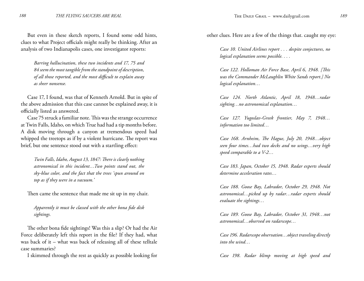But even in these sketch reports, I found some odd hints, clues to what Project officials might really be thinking. After an analysis of two Indianapolis cases, one investigator reports:

*Barring hallucination, these two incidents and 17, 75 and 84 seem the most tangible from the standpoint of description, of all those reported, and the most difficult to explain away as sheer nonsense.*

Case 17, I found, was that of Kenneth Arnold. But in spite of the above admission that this case cannot be explained away, it is officially listed as answered.

Case 75 struck a familiar note. This was the strange occurrence at Twin Falls, Idaho, on which True had had a tip months before. A disk moving through a canyon at tremendous speed had whipped the treetops as if by a violent hurricane. The report was brief, but one sentence stood out with a startling effect:

*Twin Falls, Idaho, August 13, 1847: There is clearly nothing astronomical in this incident…Two points stand out, the sky-blue color, and the fact that the trees 'spun around on top as if they were in a vacuum.'*

Then came the sentence that made me sit up in my chair.

*Apparently it must be classed with the other bona fide disk sightings.*

The other bona fide sightings! Was this a slip? Or had the Air Force deliberately left this report in the file? If they had, what was back of it – what was back of releasing all of these telltale case summaries?

I skimmed through the rest as quickly as possible looking for

other clues. Here are a few of the things that. caught my eye:

*Case 10. United Airlines report . . . despite conjectures, no logical explanation seems possible. . . .*

*Case 122. Holloman Air Force Base, April 6, 1948. [This was the Commander McLaughlin White Sands report.] No logical explanation…*

*Case 124. North Atlantic, April 18, 1948…radar sighting…no astronomical explanation…*

*Case 127. Yugoslav-Greek frontier, May 7, 1948… information too limited…*

*Case 168. Arnheim, The Hague, July 20, 1948…object seen four times…had two decks and no wings…very high speed comparable to a V-2…*

*Case 183. Japan, October 15, 1948. Radar experts should determine acceleration rates…*

*Case 188. Goose Bay, Labrador, October 29, 1948. Not astronomical…picked up by radar…radar experts should evaluate the sightings…*

*Case 189. Goose Bay, Labrador, October 31, 1948…not astronomical…observed on radarscope…*

*Case 196. Radarscope observation…object traveling directly into the wind…*

*Case 198. Radar blimp moving at high speed and*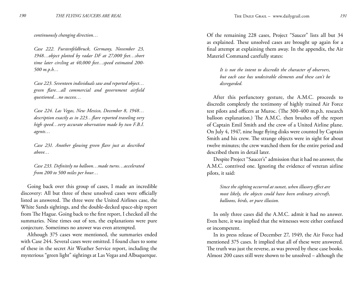*continuously changing direction…*

*Case 222. Furstenfeldbruck, Germany, November 23, 1948…object plotted by radar DF at 27,000 feet…short time later circling at 40,000 feet…speed estimated 200- 500 m.p.h…*

*Case 223. Seventeen individuals saw and reported object… green flare…all commercial and government airfield questioned…no success…*

*Case 224. Las Vegas, New Mexico, December 8, 1948… description exactly as in 223…flare reported traveling very high speed…very accurate observation made by two F.B.I. agents…*

*Case 231. Another glowing green flare just as described above…*

*Case 233. Definitely no balloon…made turns…accelerated from 200 to 500 miles per hour…*

Going back over this group of cases, I made an incredible discovery: All but three of these unsolved cases were officially listed as answered. The three were the United Airlines case, the White Sands sightings, and the double-decked space-ship report from The Hague. Going back to the first report, I checked all the summaries. Nine times out of ten, the explanations were pure conjecture. Sometimes no answer was even attempted.

Although 375 cases were mentioned, the summaries ended with Case 244. Several cases were omitted. I found clues to some of these in the secret Air Weather Service report, including the mysterious "green light" sightings at Las Vegas and Albuquerque.

Of the remaining 228 cases, Project "Saucer" lists all but 34 as explained. These unsolved cases are brought up again for a final attempt at explaining them away. In the appendix, the Air Materiel Command carefully states:

*It is not the intent to discredit the character of observers, but each case has undesirable elements and these can't be disregarded.*

After this perfunctory gesture, the A.M.C. proceeds to discredit completely the testimony of highly trained Air Force test pilots and officers at Muroc. (The 300-400 m.p.h. research balloon explanation.) The A.M.C. then brushes off the report of Captain Emil Smith and the crew of a United Airline plane. On July 4, 1947, nine huge flying disks were counted by Captain Smith and his crew. The strange objects were in sight for about twelve minutes; the crew watched them for the entire period and described them in detail later.

Despite Project "Saucer's" admission that it had no answer, the A.M.C. contrived one. Ignoring the evidence of veteran airline pilots, it said:

*Since the sighting occurred at sunset, when illusory effect are most likely, the objects could have been ordinary aircraft, balloons, birds, or pure illusion.*

In only three cases did the A.M.C. admit it had no answer. Even here, it was implied that the witnesses were either confused or incompetent.

In its press release of December 27, 1949, the Air Force had mentioned 375 cases. It implied that all of these were answered. The truth was just the reverse, as was proved by these case books. Almost 200 cases still were shown to be unsolved – although the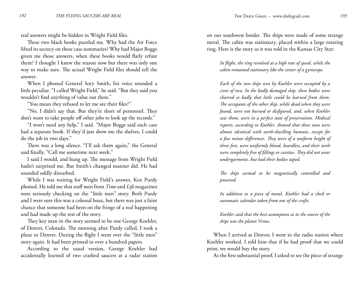real answers might be hidden in Wright Field files.

These two black books puzzled me. Why had the Air Force lifted its secrecy on these case summaries? Why had Major Boggs given me those answers, when these books would flatly refute them? I thought I knew the reason now but there was only one way to make sure. The actual Wright Field files should tell the answer.

When I phoned General Sory Smith, his voice sounded a little peculiar. "I called Wright Field," he said. "But they said you wouldn't find anything of value out there."

"You mean they refused to let me see their files?"

"No, I didn't say that. But they're short of personnel. They don't want to take people off other jobs to look up the records."

"I won't need any help," I said. "Major Boggs said each case had a separate book. If they'd just show me the shelves, I could do the job in two days."

There was a long silence. "I'll ask them again," the General said finally. "Call me sometime next week."

I said I would, and hung up. The message from Wright Field hadn't surprised me. But Smith's changed manner did. He had sounded oddly disturbed.

While I was waiting for Wright Field's answer, Ken Purdy phoned. He told me that staff men from *Time* and *Life* magazines were seriously checking on the "little men" story. Both Purdy and I were sure this was a colossal hoax, but there was just a faint chance that someone had been on the fringe of a real happening and had made up the rest of the story.

They key man in the story seemed to be one George Koehler, of Denver, Colorado. The morning after Purdy called, I took a plane to Denver. During the flight I went over the "little men" story again. It had been printed in over a hundred papers.

According to the usual version, George Koehler had accidentally learned of two crashed saucers at a radar station on our southwest border. The ships were made of some strange metal. The cabin was stationary, placed within a large rotating ring. Here is the story as it was told in the Kansas City Star:

*In flight, the ring revolved at a high rate of speed, while the cabin remained stationary like the center of a gyroscope.*

*Each of the two ships seen by Koehler were occupied by a crew of two. In the badly damaged ship, these bodies were charred so badly that little could be learned from them. The occupants of the other ship, while dead when they were found, were not burned or disfigured, and, when Koehler saw them, were in a perfect state of preservation. Medical reports, according to Koehler, showed that these men were almost identical with earth-dwelling humans, except for a few minor differences. They were of a uniform height of three feet, were uniformly blond, beardless, and their teeth were completely free of fillings or cavities. They did not wear undergarments, but had their bodies taped.*

*The ships seemed to be magnetically controlled and powered.*

*In addition to a piece of metal, Koehler had a clock or automatic calendar taken from one of the crafts.*

*Koehler said that the best assumption as to the source of the ships was the planet Venus.*

When I arrived at Denver, I went to the radio station where Koehler worked. I told him that if he had proof that we could print, we would buy the story.

As the first substantial proof, I asked to see the piece of strange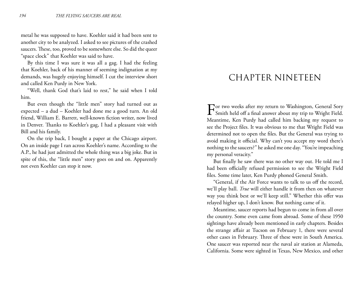metal he was supposed to have. Koehler said it had been sent to another city to be analyzed. I asked to see pictures of the crashed saucers. These, too, proved to be somewhere else. So did the queer "space clock" that Koehler was said to have.

By this time I was sure it was all a gag. I had the feeling that Koehler, back of his manner of seeming indignation at my demands, was hugely enjoying himself. I cut the interview short and called Ken Purdy in New York.

"Well, thank God that's laid to rest," he said when I told him.

But even though the "little men" story had turned out as expected – a dud – Koehler had done me a good turn. An old friend, William E. Barrett, well-known fiction writer, now lived in Denver. Thanks to Koehler's gag, I had a pleasant visit with Bill and his family.

On the trip back, I bought a paper at the Chicago airport. On an inside page I ran across Koehler's name. According to the A.P., he had just admitted the whole thing was a big joke. But in spite of this, the "little men" story goes on and on. Apparently not even Koehler can stop it now.

#### CHAPTER NINETEEN

For two weeks after my return to Washington, General Sory<br>
Smith held off a final answer about my trip to Wright Field. Meantime, Ken Purdy had called him backing my request to see the Project files. It was obvious to me that Wright Field was determined not to open the files. But the General was trying to avoid making it official. Why can't you accept my word there's nothing to the saucers?" he asked me one day. "You're impeaching my personal veracity."

But finally he saw there was no other way out. He told me I had been officially refused permission to see the Wright Field files. Some time later, Ken Purdy phoned General Smith.

"General, if the Air Force wants to talk to us off the record, we'll play ball. *True* will either handle it from then on whatever way you think best or we'll keep still." Whether this offer was relayed higher up, I don't know. But nothing came of it.

Meantime, saucer reports had begun to come in from all over the country. Some even came from abroad. Some of these 1950 sightings have already been mentioned in early chapters. Besides the strange affair at Tucson on February 1, there were several other cases in February. Three of these were in South America. One saucer was reported near the naval air station at Alameda, California. Some were sighted in Texas, New Mexico, and other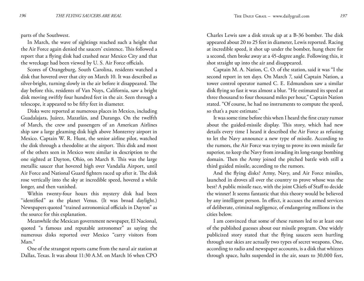parts of the Southwest.

In March, the wave of sightings reached such a height that the Air Force again denied the saucers' existence. This followed a report that a flying disk had crashed near Mexico City and that the wreckage had been viewed by U. S. Air Force officials.

Scores of Orangeburg, South Carolina, residents watched a disk that hovered over that city on March 10. It was described as silver-bright, turning slowly in the air before it disappeared. The day before this, residents of Van Nuys, California, saw a bright disk moving swiftly four hundred feet in the air. Seen through a telescope, it appeared to be fifty feet in diameter.

Disks were reported at numerous places in Mexico, including Guadalajara, Juárez, Mazatlán, and Durango. On the twelfth of March, the crew and passengers of an American Airlines ship saw a large gleaming disk high above Monterrey airport in Mexico. Captain W. R. Hunt, the senior airline pilot, watched the disk through a theodolite at the airport. This disk and most of the others seen in Mexico were similar in description to the one sighted at Dayton, Ohio, on March 8. This was the large metallic saucer that hovered high over Vandalia Airport, until Air Force and National Guard fighters raced up after it. The disk rose vertically into the sky at incredible speed, hovered a while longer, and then vanished.

Within twenty-four hours this mystery disk had been "identified" as the planet Venus. (It was broad daylight.) Newspapers quoted "trained astronomical officials in Dayton" as the source for this explanation.

Meanwhile the Mexican government newspaper, El Nacional, quoted "a famous and reputable astronomer" as saying the numerous disks reported over Mexico "carry visitors from Mars."

One of the strangest reports came from the naval air station at Dallas, Texas. It was about 11:30 A.M. on March 16 when CPO

Charles Lewis saw a disk streak up at a B-36 bomber. The disk appeared about 20 to 25 feet in diameter, Lewis reported. Racing at incredible speed, it shot up under the bomber, hung there for a second, then broke away at a 45-degree angle. Following this, it shot straight up into the air and disappeared.

Captain M. A. Nation, C. O. of the station, said it was "I the second report in ten days. On March 7, said Captain Nation, a tower control operator named C. E. Edmundson saw a similar disk flying so fast it was almost a blur. "He estimated its speed at three thousand to four thousand miles per hour," Captain Nation stated. "Of course, he had no instruments to compute the speed, so that's a pure estimate."

It was some time before this when I heard the first crazy rumor about the guided-missile display. This story, which had new details every time I heard it described the Air Force as refusing to let the Navy announce a new type of missile. According to the rumors, the Air Force was trying to prove its own missile far superior, to keep the Navy from invading its long-range bombing domain. Then the Army joined the pitched battle with still a third guided missile, according to the rumors.

And the flying disks? Army, Navy, and Air Force missiles, launched in droves all over the country to prove whose was the best? A public missile race, with the joint Chiefs of Staff to decide the winner! It seems fantastic that this theory would be believed by any intelligent person. In effect, it accuses the armed services of deliberate, criminal negligence, of endangering millions in the cities below.

I am convinced that some of these rumors led to at least one of the published guesses about our missile program. One widely publicized story stated that the flying saucers seen hurtling through our skies are actually two types of secret weapons. One, according to radio and newspaper accounts, is a disk that whizzes through space, halts suspended in the air, soars to 30,000 feet,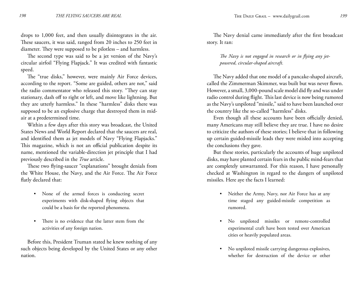drops to 1,000 feet, and then usually disintegrates in the air. These saucers, it was said, ranged from 20 inches to 250 feet in diameter. They were supposed to be pilotless – and harmless.

The second type was said to be a jet version of the Navy's circular airfoil "Flying Flapjack." It was credited with fantastic speed.

The "true disks," however, were mainly Air Force devices, according to the report. "Some are guided, others are not," said the radio commentator who released this story. "They can stay stationary, dash off to right or left, and move like lightning. But they are utterly harmless." In these "harmless" disks there was supposed to be an explosive charge that destroyed them in midair at a predetermined time.

Within a few days after this story was broadcast, the United States News and World Report declared that the saucers are real, and identified them as jet models of Navy "Flying Flapjacks." This magazine, which is not an official publication despite its name, mentioned the variable-direction jet principle that I had previously described in the *True* article.

These two flying-saucer "explanations" brought denials from the White House, the Navy, and the Air Force. The Air Force flatly declared that:

- None of the armed forces is conducting secret experiments with disk-shaped flying objects that could be a basis for the reported phenomena. •
- There is no evidence that the latter stem from the activities of any foreign nation. •

Before this, President Truman stated he knew nothing of any such objects being developed by the United States or any other nation.

The Navy denial came immediately after the first broadcast story. It ran:

*The Navy is not engaged in research or in flying any jetpowered, circular-shaped aircraft.*

The Navy added that one model of a pancake-shaped aircraft, called the Zimmerman Skimmer, was built but was never flown. However, a small, 3,000-pound scale model did fly and was under radio control during flight. This last device is now being rumored as the Navy's unpiloted "missile," said to have been launched over the country like the so-called "harmless" disks.

Even though all these accounts have been officially denied, many Americans may still believe they are true. I have no desire to criticize the authors of these stories; I believe that in following up certain guided-missile leads they were misled into accepting the conclusions they gave.

But these stories, particularly the accounts of huge unpiloted disks, may have planted certain fears in the public mind-fears that are completely unwarranted. For this reason, I have personally checked at Washington in regard to the dangers of unpiloted missiles. Here aye the facts I learned:

- Neither the Army, Navy, nor Air Force has at any time staged any guided-missile competition as rumored.
- No unpiloted missiles or remote-controlled experimental craft have been tested over American cities or heavily populated areas. •
- No unpiloted missile carrying dangerous explosives, •whether for destruction of the device or other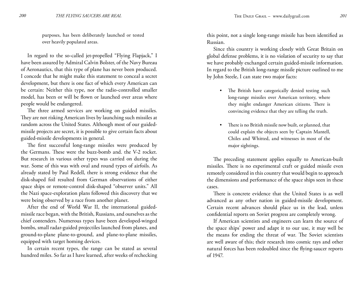purposes, has been deliberately launched or tested over heavily populated areas.

In regard to the so-called jet-propelled "Flying Flapjack," I have been assured by Admiral Calvin Bolster, of the Navy Bureau of Aeronautics, that this type of plane has never been produced. I concede that he might make this statement to conceal a secret development, but there is one fact of which every American can be certain: Neither this type, nor the radio-controlled smaller model, has been or will be flown or launched over areas where people would be endangered.

The three armed services are working on guided missiles. They are not risking American lives by launching such missiles at random across the United States. Although most of our guidedmissile projects are secret, it is possible to give certain facts about guided-missile developments in general.

The first successful long-range missiles were produced by the Germans. These were the buzz-bomb and. the V-2 rocket. But research in various other types was carried on during the war. Some of this was with oval and round types of airfoils. As already stated by Paul Redell, there is strong evidence that the disk-shaped foil resulted from German observations of either space ships or remote-control disk-shaped "observer units." All the Nazi space-exploration plans followed this discovery that we were being observed by a race from another planet.

After the end of World War II, the international guidedmissile race began, with the British, Russians, and ourselves as the chief contenders. Numerous types have been developed-winged bombs, small radar-guided projectiles launched from planes, and ground-to-plane plane-to-ground, and plane-to-plane missiles, equipped with target homing devices.

In certain recent types, the range can be stated as several hundred miles. So far as I have learned, after weeks of rechecking this point, not a single long-range missile has been identified as Russian.

Since this country is working closely with Great Britain on global defense problems, it is no violation of security to say that we have probably exchanged certain guided-missile information. In regard to the British long-range missile picture outlined to me by John Steele, I can state two major facts:

- The British have categorically denied testing such long-range missiles over American territory, where they might endanger American citizens. There is convincing evidence that they are telling the truth.
- There is no British missile now built, or planned, that could explain the objects seen by Captain Mantell, Chiles and Whitted, and witnesses in most of the major sightings. •

The preceding statement applies equally to American-built missiles. There is no experimental craft or guided missile even remotely considered in this country that would begin to approach the dimensions and performance of the space ships seen in these cases.

There is concrete evidence that the United States is as well advanced as any other nation in guided-missile development. Certain recent advances should place us in the lead, unless confidential reports on Soviet progress are completely wrong.

If American scientists and engineers can learn the source of the space ships' power and adapt it to our use, it may well be the means for ending the threat of war. The Soviet scientists are well aware of this; their research into cosmic rays and other natural forces has been redoubled since the flying-saucer reports of 1947.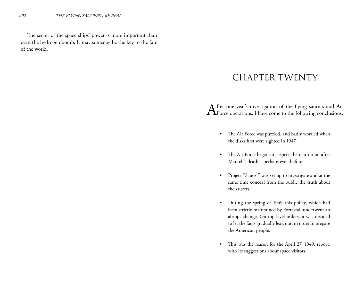The secret of the space ships' power is more important than even the hydrogen bomb. It may someday be the key to the fate of the world.

### CHAPTER TWENTY

After one year's investigation of the flying saucers and Air Force operations, I have come to the following conclusions:

- The Air Force was puzzled, and badly worried when the disks first were sighted in 1947. •
- The Air Force began to suspect the truth soon after Mantell's death – perhaps even before. •
- Project "Saucer" was set up to investigate and at the same time conceal from the public the truth about the saucers. •
- During the spring of 1949 this policy, which had been strictly maintained by Forrestal, underwent an abrupt change. On top-level orders, it was decided to let the facts gradually leak out, in order to prepare the American people. •
- This was the reason for the April 27, 1949, report, with its suggestions about space visitors. •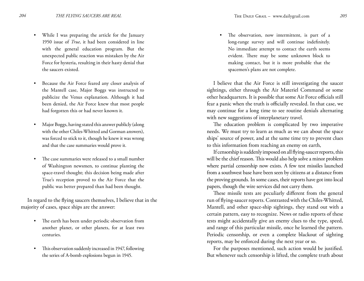- While I was preparing the article for the January 1950 issue of *True*, it had been considered in line with the general education program. But the unexpected public reaction was mistaken by the Air Force for hysteria, resulting in their hasty denial that the saucers existed. •
- Because the Air Force feared any closer analysis of the Mantell case, Major Boggs was instructed to publicize the Venus explanation. Although it had been denied, the Air Force knew that most people had forgotten this or had never known it. •
- Major Boggs, having stated this answer publicly (along with the other Chiles-Whitted and Gorman answers), was forced to stick to it, though he knew it was wrong and that the case summaries would prove it. •
- The case summaries were released to a small number of Washington newsmen, to continue planting the space-travel thought; this decision being made after True's reception proved to the Air Force that the public was better prepared than had been thought. •

In regard to the flying saucers themselves, I believe that in the majority of cases, space ships are the answer:

- The earth has been under periodic observation from another planet, or other planets, for at least two centuries. •
- This observation suddenly increased in 1947, following the series of A-bomb explosions begun in 1945. •

The observation, now intermittent, is part of a long-range survey and will continue indefinitely. No immediate attempt to contact the earth seems evident. There may be some unknown block to making contact, but it is more probable that the spacemen's plans are not complete. •

I believe that the Air Force is still investigating the saucer sightings, either through the Air Materiel Command or some other headquarters. It is possible that some Air Force officials still fear a panic when the truth is officially revealed. In that case, we may continue for a long time to see routine denials alternating with new suggestions of interplanetary travel.

The education problem is complicated by two imperative needs. We must try to learn as much as we can about the space ships' source of power, and at the same time try to prevent clues to this information from reaching an enemy on earth,

If censorship is suddenly imposed on all flying-saucer reports, this will be the chief reason. This would also help solve a minor problem where partial censorship now exists. A few test missiles launched from a southwest base have been seen by citizens at a distance from the proving grounds. In some cases, their reports have got into local papers, though the wire services did not carry them.

These missile tests are peculiarly different from the general run of flying-saucer reports. Contrasted with the Chiles-Whitted, Mantell, and other space-ship sightings, they stand out with a certain pattern, easy to recognize. News or radio reports of these tests might accidentally give an enemy clues to the type, speed, and range of this particular missile, once he learned the pattern. Periodic censorship, or even a complete blackout of sighting reports, may be enforced during the next year or so.

For the purposes mentioned, such action would be justified. But whenever such censorship is lifted, the complete truth about